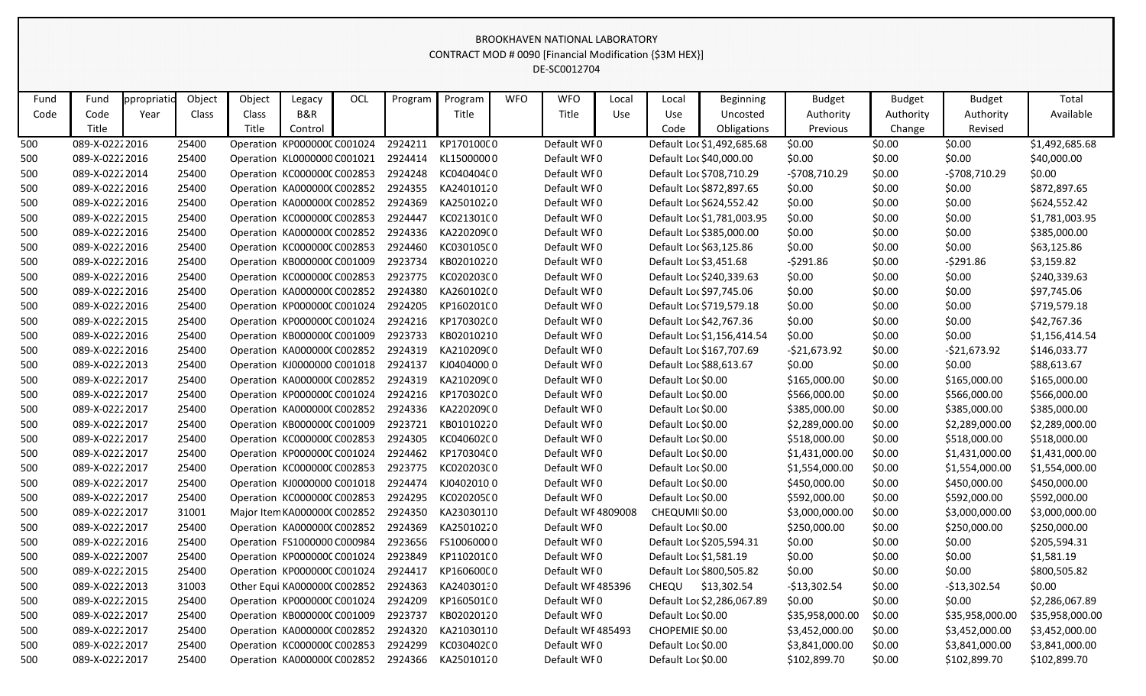## DE-SC0012704 CONTRACT MOD # 0090 [Financial Modification {\$3M HEX}] BROOKHAVEN NATIONAL LABORATORY

| Fund | Fund           | ppropriatio | Object | Object | Legacy                       | OCL | Program | Program    | <b>WFO</b> | <b>WFO</b>         | Local      | Local              | <b>Beginning</b>           | <b>Budget</b>   | <b>Budget</b> | <b>Budget</b>   | Total           |
|------|----------------|-------------|--------|--------|------------------------------|-----|---------|------------|------------|--------------------|------------|--------------------|----------------------------|-----------------|---------------|-----------------|-----------------|
| Code | Code           | Year        | Class  | Class  | B&R                          |     |         | Title      |            | Title              | <b>Use</b> | Use                | Uncosted                   | Authority       | Authority     | Authority       | Available       |
|      | Title          |             |        | Title  | Control                      |     |         |            |            |                    |            | Code               | Obligations                | Previous        | Change        | Revised         |                 |
| 500  | 089-X-02222016 |             | 25400  |        | Operation KP000000CC001024   |     | 2924211 | KP170100C0 |            | Default WF0        |            |                    | Default Loc \$1,492,685.68 | \$0.00          | \$0.00        | \$0.00          | \$1,492,685.68  |
| 500  | 089-X-02222016 |             | 25400  |        | Operation KL0000000 C001021  |     | 2924414 | KL15000000 |            | Default WI0        |            |                    | Default Loc \$40,000.00    | \$0.00          | \$0.00        | \$0.00          | \$40,000.00     |
| 500  | 089-X-02222014 |             | 25400  |        | Operation KC000000C C002853  |     | 2924248 | KC040404C0 |            | Default WI0        |            |                    | Default Loc \$708,710.29   | $-5708,710.29$  | \$0.00        | $-5708,710.29$  | \$0.00          |
| 500  | 089-X-02222016 |             | 25400  |        | Operation KA000000C C002852  |     | 2924355 | KA24010120 |            | Default WF0        |            |                    | Default Loc \$872,897.65   | \$0.00          | \$0.00        | \$0.00          | \$872,897.65    |
| 500  | 089-X-02222016 |             | 25400  |        | Operation KA0000000 C002852  |     | 2924369 | KA25010220 |            | Default WI0        |            |                    | Default Loc \$624,552.42   | \$0.00          | \$0.00        | \$0.00          | \$624,552.42    |
| 500  | 089-X-02222015 |             | 25400  |        | Operation KC000000C C002853  |     | 2924447 | KC021301C0 |            | Default WI0        |            |                    | Default Loc \$1,781,003.95 | \$0.00          | \$0.00        | \$0.00          | \$1,781,003.95  |
| 500  | 089-X-02222016 |             | 25400  |        | Operation KA000000C C002852  |     | 2924336 | KA220209(0 |            | Default WF0        |            |                    | Default Loc \$385,000.00   | \$0.00          | \$0.00        | \$0.00          | \$385,000.00    |
| 500  | 089-X-02222016 |             | 25400  |        | Operation KC000000C C002853  |     | 2924460 | KC030105C0 |            | Default WI0        |            |                    | Default Loc \$63,125.86    | \$0.00          | \$0.00        | \$0.00          | \$63,125.86     |
| 500  | 089-X-02222016 |             | 25400  |        | Operation KB000000C C001009  |     | 2923734 | KB02010220 |            | Default WF0        |            |                    | Default Loc \$3,451.68     | $-5291.86$      | \$0.00        | $-5291.86$      | \$3,159.82      |
| 500  | 089-X-02222016 |             | 25400  |        | Operation KC000000C C002853  |     | 2923775 | KC020203C0 |            | Default WF0        |            |                    | Default Loc \$240,339.63   | \$0.00          | \$0.00        | \$0.00          | \$240,339.63    |
| 500  | 089-X-02222016 |             | 25400  |        | Operation KA000000C C002852  |     | 2924380 | KA260102(0 |            | Default WI0        |            |                    | Default Loc \$97,745.06    | \$0.00          | \$0.00        | \$0.00          | \$97,745.06     |
| 500  | 089-X-02222016 |             | 25400  |        | Operation KP000000C C001024  |     | 2924205 | KP160201C0 |            | Default WF0        |            |                    | Default Loc \$719,579.18   | \$0.00          | \$0.00        | \$0.00          | \$719,579.18    |
| 500  | 089-X-02222015 |             | 25400  |        | Operation KP000000C C001024  |     | 2924216 | KP170302C0 |            | Default WI0        |            |                    | Default Loc \$42,767.36    | \$0.00          | \$0.00        | \$0.00          | \$42,767.36     |
| 500  | 089-X-02222016 |             | 25400  |        | Operation KB000000CC001009   |     | 2923733 | KB02010210 |            | Default WI0        |            |                    | Default Loc \$1,156,414.54 | \$0.00          | \$0.00        | \$0.00          | \$1,156,414.54  |
| 500  | 089-X-02222016 |             | 25400  |        | Operation KA000000C C002852  |     | 2924319 | KA210209(0 |            | Default WI0        |            |                    | Default Loc \$167,707.69   | $-$21,673.92$   | \$0.00        | $-521,673.92$   | \$146,033.77    |
| 500  | 089-X-02222013 |             | 25400  |        | Operation KJ0000000 C001018  |     | 2924137 | KJ04040000 |            | Default WF0        |            |                    | Default Loc \$88,613.67    | \$0.00          | \$0.00        | \$0.00          | \$88,613.67     |
| 500  | 089-X-02222017 |             | 25400  |        | Operation KA0000000 C002852  |     | 2924319 | KA210209(0 |            | Default WF0        |            | Default Loc \$0.00 |                            | \$165,000.00    | \$0.00        | \$165,000.00    | \$165,000.00    |
| 500  | 089-X-02222017 |             | 25400  |        | Operation KP000000CC001024   |     | 2924216 | KP170302C0 |            | Default WF0        |            | Default Loc \$0.00 |                            | \$566,000.00    | \$0.00        | \$566,000.00    | \$566,000.00    |
| 500  | 089-X-02222017 |             | 25400  |        | Operation KA0000000 C002852  |     | 2924336 | KA220209(0 |            | Default WI0        |            | Default Loc \$0.00 |                            | \$385,000.00    | \$0.00        | \$385,000.00    | \$385,000.00    |
| 500  | 089-X-02222017 |             | 25400  |        | Operation KB000000C C001009  |     | 2923721 | KB01010220 |            | Default WF0        |            | Default Loc \$0.00 |                            | \$2,289,000.00  | \$0.00        | \$2,289,000.00  | \$2,289,000.00  |
| 500  | 089-X-02222017 |             | 25400  |        | Operation KC000000C C002853  |     | 2924305 | KC040602C0 |            | Default WF0        |            | Default Loc \$0.00 |                            | \$518,000.00    | \$0.00        | \$518,000.00    | \$518,000.00    |
| 500  | 089-X-02222017 |             | 25400  |        | Operation KP000000C C001024  |     | 2924462 | KP170304C0 |            | Default WF0        |            | Default Loc \$0.00 |                            | \$1,431,000.00  | \$0.00        | \$1,431,000.00  | \$1,431,000.00  |
| 500  | 089-X-02222017 |             | 25400  |        | Operation KC000000C C002853  |     | 2923775 | KC020203C0 |            | Default WI0        |            | Default Loc \$0.00 |                            | \$1,554,000.00  | \$0.00        | \$1,554,000.00  | \$1,554,000.00  |
| 500  | 089-X-02222017 |             | 25400  |        | Operation KJ0000000 C001018  |     | 2924474 | KJ04020100 |            | Default WI0        |            | Default Loc \$0.00 |                            | \$450,000.00    | \$0.00        | \$450,000.00    | \$450,000.00    |
| 500  | 089-X-02222017 |             | 25400  |        | Operation KC000000C C002853  |     | 2924295 | KC020205C0 |            | Default WF0        |            | Default Loc \$0.00 |                            | \$592,000.00    | \$0.00        | \$592,000.00    | \$592,000.00    |
| 500  | 089-X-02222017 |             | 31001  |        | Major Item KA0000000 C002852 |     | 2924350 | KA23030110 |            | Default WF 4809008 |            | CHEQUMII \$0.00    |                            | \$3,000,000.00  | \$0.00        | \$3,000,000.00  | \$3,000,000.00  |
| 500  | 089-X-02222017 |             | 25400  |        | Operation KA000000C C002852  |     | 2924369 | KA25010220 |            | Default WI0        |            | Default Loc \$0.00 |                            | \$250,000.00    | \$0.00        | \$250,000.00    | \$250,000.00    |
| 500  | 089-X-02222016 |             | 25400  |        | Operation FS1000000 C000984  |     | 2923656 | FS10060000 |            | Default WF0        |            |                    | Default Loc \$205,594.31   | \$0.00          | \$0.00        | \$0.00          | \$205,594.31    |
| 500  | 089-X-02222007 |             | 25400  |        | Operation KP000000C C001024  |     | 2923849 | KP110201C0 |            | Default WF0        |            |                    | Default Loc \$1,581.19     | \$0.00          | \$0.00        | \$0.00          | \$1,581.19      |
| 500  | 089-X-02222015 |             | 25400  |        | Operation KP000000CC001024   |     | 2924417 | KP160600C0 |            | Default WF0        |            |                    | Default Loc \$800,505.82   | \$0.00          | \$0.00        | \$0.00          | \$800,505.82    |
| 500  | 089-X-02222013 |             | 31003  |        | Other Equi KA0000000 C002852 |     | 2924363 | KA24030130 |            | Default WF485396   |            | CHEQU              | \$13,302.54                | $-$13,302.54$   | \$0.00        | $-$13,302.54$   | \$0.00          |
| 500  | 089-X-02222015 |             | 25400  |        | Operation KP000000CC001024   |     | 2924209 | KP160501C0 |            | Default WFO        |            |                    | Default Loc \$2,286,067.89 | \$0.00          | \$0.00        | \$0.00          | \$2,286,067.89  |
| 500  | 089-X-02222017 |             | 25400  |        | Operation KB000000C C001009  |     | 2923737 | KB02020120 |            | Default WF0        |            | Default Loc \$0.00 |                            | \$35,958,000.00 | \$0.00        | \$35,958,000.00 | \$35,958,000.00 |
| 500  | 089-X-02222017 |             | 25400  |        | Operation KA000000CC002852   |     | 2924320 | KA21030110 |            | Default WF485493   |            | CHOPEMIE \$0.00    |                            | \$3,452,000.00  | \$0.00        | \$3,452,000.00  | \$3,452,000.00  |
| 500  | 089-X-02222017 |             | 25400  |        | Operation KC000000CC002853   |     | 2924299 | KC030402C0 |            | Default WF0        |            | Default Loc \$0.00 |                            | \$3,841,000.00  | \$0.00        | \$3,841,000.00  | \$3,841,000.00  |
| 500  | 089-X-02222017 |             | 25400  |        | Operation KA0000000 C002852  |     | 2924366 | KA25010120 |            | Default WF0        |            | Default Loc \$0.00 |                            | \$102,899.70    | \$0.00        | \$102,899.70    | \$102,899.70    |
|      |                |             |        |        |                              |     |         |            |            |                    |            |                    |                            |                 |               |                 |                 |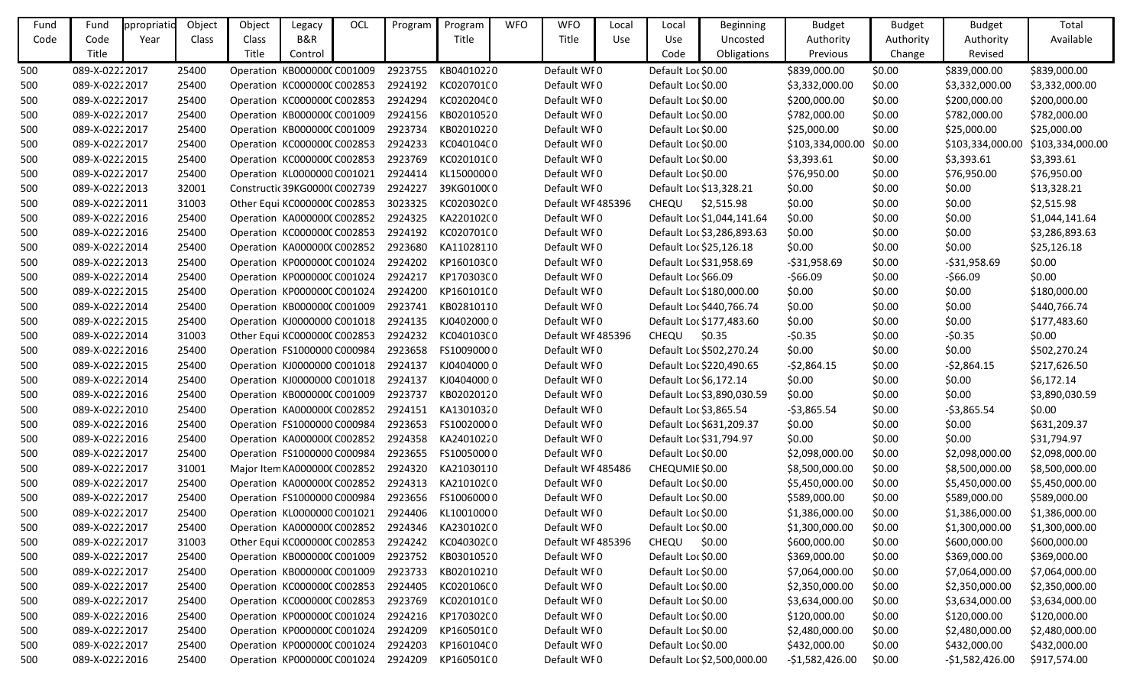| Fund | Fund           | ppropriatic | Object | Object                             | Legacy                        | OCL | Program | Program    | <b>WFO</b> | <b>WFO</b>        | Local      | Local               | <b>Beginning</b>           | <b>Budget</b>    | <b>Budget</b> | <b>Budget</b>    | Total            |
|------|----------------|-------------|--------|------------------------------------|-------------------------------|-----|---------|------------|------------|-------------------|------------|---------------------|----------------------------|------------------|---------------|------------------|------------------|
| Code | Code           | Year        | Class  | Class                              | B&R                           |     |         | Title      |            | Title             | <b>Use</b> | Use                 | Uncosted                   | Authority        | Authority     | Authority        | Available        |
|      | Title          |             |        | Title                              | Control                       |     |         |            |            |                   |            | Code                | Obligations                | Previous         | Change        | Revised          |                  |
| 500  | 089-X-02222017 |             | 25400  |                                    | Operation KB000000C C001009   |     | 2923755 | KB04010220 |            | Default WF0       |            | Default Loc \$0.00  |                            | \$839,000.00     | \$0.00        | \$839,000.00     | \$839,000.00     |
| 500  | 089-X-02222017 |             | 25400  | Operation KC000000C C002853        |                               |     | 2924192 | KC020701C0 |            | Default WF0       |            | Default Loc \$0.00  |                            | \$3,332,000.00   | \$0.00        | \$3,332,000.00   | \$3,332,000.00   |
| 500  | 089-X-02222017 |             | 25400  |                                    | Operation KC000000CC002853    |     | 2924294 | KC020204C0 |            | Default WF0       |            | Default Loc \$0.00  |                            | \$200,000.00     | \$0.00        | \$200,000.00     | \$200,000.00     |
| 500  | 089-X-02222017 |             | 25400  |                                    | Operation KB000000C C001009   |     | 2924156 | KB02010520 |            | Default WF0       |            | Default Loc \$0.00  |                            | \$782,000.00     | \$0.00        | \$782,000.00     | \$782,000.00     |
| 500  | 089-X-02222017 |             | 25400  |                                    | Operation KB000000C C001009   |     | 2923734 | KB02010220 |            | Default WF0       |            | Default Loc \$0.00  |                            | \$25,000.00      | \$0.00        | \$25,000.00      | \$25,000.00      |
| 500  | 089-X-02222017 |             | 25400  |                                    | Operation KC000000C C002853   |     | 2924233 | KC040104C0 |            | Default WF0       |            | Default Loc \$0.00  |                            | \$103,334,000.00 | \$0.00        | \$103,334,000.00 | \$103,334,000.00 |
| 500  | 089-X-02222015 |             | 25400  |                                    | Operation KC000000CC002853    |     | 2923769 | KC020101(0 |            | Default WF0       |            | Default Loc \$0.00  |                            | \$3,393.61       | \$0.00        | \$3,393.61       | \$3,393.61       |
| 500  | 089-X-02222017 |             | 25400  |                                    | Operation KL0000000 C001021   |     | 2924414 | KL15000000 |            | Default WF0       |            | Default Loc \$0.00  |                            | \$76,950.00      | \$0.00        | \$76,950.00      | \$76,950.00      |
| 500  | 089-X-02222013 |             | 32001  |                                    | Constructic 39KG00000 C002739 |     | 2924227 | 39KG0100(0 |            | Default WF0       |            |                     | Default Loc \$13,328.21    | \$0.00           | \$0.00        | \$0.00           | \$13,328.21      |
| 500  | 089-X-02222011 |             | 31003  |                                    | Other Equi KC000000C C002853  |     | 3023325 | KC020302C0 |            | Default WF485396  |            | CHEQU               | \$2,515.98                 | \$0.00           | \$0.00        | \$0.00           | \$2,515.98       |
| 500  | 089-X-02222016 |             | 25400  |                                    | Operation KA0000000 C002852   |     | 2924325 | KA220102(0 |            | Default WF0       |            |                     | Default Loc \$1,044,141.64 | \$0.00           | \$0.00        | \$0.00           | \$1,044,141.64   |
| 500  | 089-X-02222016 |             | 25400  |                                    | Operation KC000000CC002853    |     | 2924192 | KC020701C0 |            | Default WF0       |            |                     | Default Loc \$3,286,893.63 | \$0.00           | \$0.00        | \$0.00           | \$3,286,893.63   |
| 500  | 089-X-02222014 |             | 25400  |                                    | Operation KA0000000 C002852   |     | 2923680 | KA11028110 |            | Default WF0       |            |                     | Default Loc \$25,126.18    | \$0.00           | \$0.00        | \$0.00           | \$25,126.18      |
| 500  | 089-X-02222013 |             | 25400  |                                    | Operation KP000000C C001024   |     | 2924202 | KP160103C0 |            | Default WF0       |            |                     | Default Loc \$31,958.69    | $-531,958.69$    | \$0.00        | $-531,958.69$    | \$0.00           |
| 500  | 089-X-02222014 |             | 25400  |                                    | Operation KP000000C C001024   |     | 2924217 | KP170303C0 |            | Default WF0       |            | Default Loc \$66.09 |                            | $-566.09$        | \$0.00        | $-$66.09$        | \$0.00           |
| 500  | 089-X-02222015 |             | 25400  |                                    | Operation KP000000C C001024   |     | 2924200 | KP160101C0 |            | Default WF0       |            |                     | Default Loc \$180,000.00   | \$0.00           | \$0.00        | \$0.00           | \$180,000.00     |
| 500  | 089-X-02222014 |             | 25400  |                                    | Operation KB000000CC001009    |     | 2923741 | KB02810110 |            | Default WF0       |            |                     | Default Loc \$440,766.74   | \$0.00           | \$0.00        | \$0.00           | \$440,766.74     |
| 500  | 089-X-02222015 |             | 25400  |                                    | Operation KJ0000000 C001018   |     | 2924135 | KJ04020000 |            | Default WF0       |            |                     | Default Loc \$177,483.60   | \$0.00           | \$0.00        | \$0.00           | \$177,483.60     |
| 500  | 089-X-02222014 |             | 31003  |                                    | Other Equi KC000000C C002853  |     | 2924232 | KC04010300 |            | Default WF485396  |            | CHEQU               | \$0.35                     | $-50.35$         | \$0.00        | $-50.35$         | \$0.00           |
| 500  | 089-X-02222016 |             | 25400  |                                    | Operation FS1000000 C000984   |     | 2923658 | FS10090000 |            | Default WF0       |            |                     | Default Loc \$502,270.24   | \$0.00           | \$0.00        | \$0.00           | \$502,270.24     |
| 500  | 089-X-02222015 |             | 25400  |                                    | Operation KJ0000000 C001018   |     | 2924137 | KJ04040000 |            | Default WF0       |            |                     | Default Loc \$220,490.65   | $-52,864.15$     | \$0.00        | $-52,864.15$     | \$217,626.50     |
| 500  | 089-X-02222014 |             | 25400  |                                    | Operation KJ0000000 C001018   |     | 2924137 | KJ04040000 |            | Default WF0       |            |                     | Default Loc \$6,172.14     | \$0.00           | \$0.00        | \$0.00           | \$6,172.14       |
| 500  | 089-X-02222016 |             | 25400  |                                    | Operation KB000000CC001009    |     | 2923737 | KB02020120 |            | Default WF0       |            |                     | Default Loc \$3,890,030.59 | \$0.00           | \$0.00        | \$0.00           | \$3,890,030.59   |
| 500  | 089-X-02222010 |             | 25400  |                                    | Operation KA0000000 C002852   |     | 2924151 | KA13010320 |            | Default WF0       |            |                     | Default Loc \$3,865.54     | $-53,865.54$     | \$0.00        | $-53,865.54$     | \$0.00           |
| 500  | 089-X-02222016 |             | 25400  |                                    | Operation FS1000000 C000984   |     | 2923653 | FS10020000 |            | Default WF0       |            |                     | Default Loc \$631,209.37   | \$0.00           | \$0.00        | \$0.00           | \$631,209.37     |
| 500  | 089-X-02222016 |             | 25400  |                                    | Operation KA000000CC002852    |     | 2924358 | KA24010220 |            | Default WF0       |            |                     | Default Loc \$31,794.97    | \$0.00           | \$0.00        | \$0.00           | \$31,794.97      |
| 500  | 089-X-02222017 |             | 25400  |                                    | Operation FS1000000 C000984   |     | 2923655 | FS10050000 |            | Default WF0       |            | Default Loc \$0.00  |                            | \$2,098,000.00   | \$0.00        | \$2,098,000.00   | \$2,098,000.00   |
| 500  | 089-X-02222017 |             | 31001  |                                    | Major Item KA0000000 C002852  |     | 2924320 | KA21030110 |            | Default WF485486  |            | CHEQUMIE \$0.00     |                            | \$8,500,000.00   | \$0.00        | \$8,500,000.00   | \$8,500,000.00   |
| 500  | 089-X-02222017 |             | 25400  | Operation KA000000CC002852 2924313 |                               |     |         | KA210102(0 |            | Default WF0       |            | Default Loc \$0.00  |                            | \$5,450,000.00   | \$0.00        | \$5,450,000.00   | \$5,450,000.00   |
| 500  | 089-X-02222017 |             | 25400  |                                    | Operation FS1000000 C000984   |     | 2923656 | FS10060000 |            | Default WF0       |            | Default Loc \$0.00  |                            | \$589,000.00     | \$0.00        | \$589,000.00     | \$589,000.00     |
| 500  | 089-X-02222017 |             | 25400  | Operation KL0000000 C001021        |                               |     | 2924406 | KL10010000 |            | Default WF0       |            | Default Loc \$0.00  |                            | \$1,386,000.00   | \$0.00        | \$1,386,000.00   | \$1,386,000.00   |
| 500  | 089-X-02222017 |             | 25400  |                                    | Operation KA0000000 C002852   |     | 2924346 | KA230102(0 |            | Default WF0       |            | Default Loc \$0.00  |                            | \$1,300,000.00   | \$0.00        | \$1,300,000.00   | \$1,300,000.00   |
| 500  | 089-X-02222017 |             | 31003  |                                    | Other Equi KC000000C C002853  |     | 2924242 | KC040302C0 |            | Default WF 485396 |            | <b>CHEQU</b>        | \$0.00                     | \$600,000.00     | \$0.00        | \$600,000.00     | \$600,000.00     |
| 500  | 089-X-02222017 |             | 25400  |                                    | Operation KB000000C C001009   |     | 2923752 | KB03010520 |            | Default WF0       |            | Default Loc \$0.00  |                            | \$369,000.00     | \$0.00        | \$369,000.00     | \$369,000.00     |
| 500  | 089-X-02222017 |             | 25400  |                                    | Operation KB000000CC001009    |     | 2923733 | KB02010210 |            | Default WF0       |            | Default Loc \$0.00  |                            | \$7,064,000.00   | \$0.00        | \$7,064,000.00   | \$7,064,000.00   |
| 500  | 089-X-02222017 |             | 25400  |                                    | Operation KC000000C C002853   |     | 2924405 | KC020106C0 |            | Default WF0       |            | Default Loc \$0.00  |                            | \$2,350,000.00   | \$0.00        | \$2,350,000.00   | \$2,350,000.00   |
| 500  | 089-X-02222017 |             | 25400  |                                    | Operation KC000000C C002853   |     | 2923769 | KC020101C0 |            | Default WF0       |            | Default Loc \$0.00  |                            | \$3,634,000.00   | \$0.00        | \$3,634,000.00   | \$3,634,000.00   |
| 500  | 089-X-02222016 |             | 25400  |                                    | Operation KP000000C C001024   |     | 2924216 | KP170302C0 |            | Default WF0       |            | Default Loc \$0.00  |                            | \$120,000.00     | \$0.00        | \$120,000.00     | \$120,000.00     |
| 500  | 089-X-02222017 |             | 25400  | Operation KP000000C C001024        |                               |     | 2924209 | KP160501C0 |            | Default WF0       |            | Default Loc \$0.00  |                            | \$2,480,000.00   | \$0.00        | \$2,480,000.00   | \$2,480,000.00   |
| 500  | 089-X-02222017 |             | 25400  |                                    | Operation KP000000CC001024    |     | 2924203 | KP160104C0 |            | Default WF0       |            | Default Loc \$0.00  |                            | \$432,000.00     | \$0.00        | \$432,000.00     | \$432,000.00     |
| 500  | 089-X-02222016 |             | 25400  |                                    | Operation KP000000CC001024    |     | 2924209 | KP160501C0 |            | Default WI0       |            |                     | Default Loc \$2,500,000.00 | $-$1,582,426.00$ | \$0.00        | $-51,582,426.00$ | \$917,574.00     |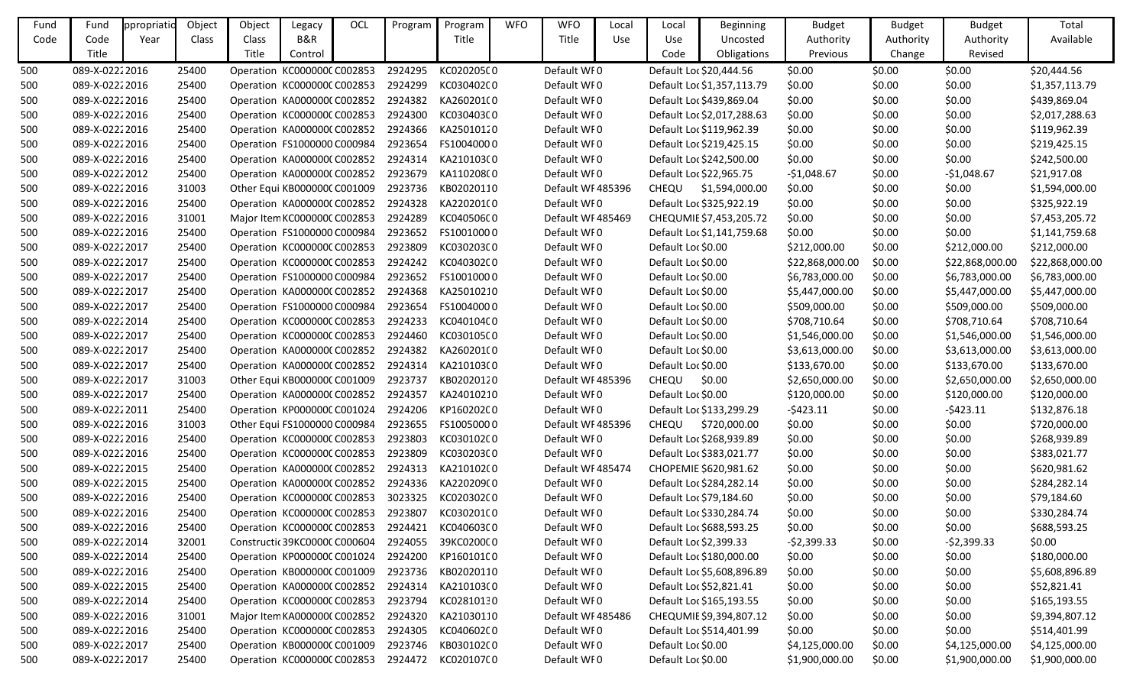| Fund | Fund           | ppropriatid | Object | Object       | Legacy                        | OCL | Program | Program                                       | <b>WFO</b> | <b>WFO</b>        | Local      | Local              | <b>Beginning</b>           | <b>Budget</b>   | <b>Budget</b> | <b>Budget</b>   | Total           |
|------|----------------|-------------|--------|--------------|-------------------------------|-----|---------|-----------------------------------------------|------------|-------------------|------------|--------------------|----------------------------|-----------------|---------------|-----------------|-----------------|
| Code | Code           | Year        | Class  | Class        | B&R                           |     |         | Title                                         |            | Title             | <b>Use</b> | Use                | Uncosted                   | Authority       | Authority     | Authority       | Available       |
|      | Title          |             |        | <b>Title</b> | Control                       |     |         |                                               |            |                   |            | Code               | Obligations                | Previous        | Change        | Revised         |                 |
| 500  | 089-X-02222016 |             | 25400  |              | Operation KC000000CC002853    |     | 2924295 | KC020205C0                                    |            | Default WF0       |            |                    | Default Loc \$20,444.56    | \$0.00          | \$0.00        | \$0.00          | \$20,444.56     |
| 500  | 089-X-02222016 |             | 25400  |              | Operation KC000000CC002853    |     | 2924299 | KC03040200                                    |            | Default WF0       |            |                    | Default Loc \$1,357,113.79 | \$0.00          | \$0.00        | \$0.00          | \$1,357,113.79  |
| 500  | 089-X-02222016 |             | 25400  |              | Operation KA0000000 C002852   |     | 2924382 | KA260201(0                                    |            | Default WF0       |            |                    | Default Loc \$439,869.04   | \$0.00          | \$0.00        | \$0.00          | \$439,869.04    |
| 500  | 089-X-02222016 |             | 25400  |              | Operation KC000000CC002853    |     | 2924300 | KC03040300                                    |            | Default WF0       |            |                    | Default Loc \$2,017,288.63 | \$0.00          | \$0.00        | \$0.00          | \$2,017,288.63  |
| 500  | 089-X-02222016 |             | 25400  |              | Operation KA000000C C002852   |     | 2924366 | KA25010120                                    |            | Default WF0       |            |                    | Default Loc \$119,962.39   | \$0.00          | \$0.00        | \$0.00          | \$119,962.39    |
| 500  | 089-X-02222016 |             | 25400  |              | Operation FS1000000 C000984   |     | 2923654 | FS10040000                                    |            | Default WF0       |            |                    | Default Loc \$219,425.15   | \$0.00          | \$0.00        | \$0.00          | \$219,425.15    |
| 500  | 089-X-02222016 |             | 25400  |              | Operation KA000000(C002852    |     | 2924314 | KA210103(0                                    |            | Default WF0       |            |                    | Default Loc \$242,500.00   | \$0.00          | \$0.00        | \$0.00          | \$242,500.00    |
| 500  | 089-X-02222012 |             | 25400  |              | Operation KA000000C C002852   |     | 2923679 | KA110208(0                                    |            | Default WF0       |            |                    | Default Loc \$22,965.75    | $-$1,048.67$    | \$0.00        | $-$1,048.67$    | \$21,917.08     |
| 500  | 089-X-02222016 |             | 31003  |              | Other Equi KB000000C C001009  |     | 2923736 | KB02020110                                    |            | Default WF485396  |            | CHEQU              | \$1,594,000.00             | \$0.00          | \$0.00        | \$0.00          | \$1,594,000.00  |
| 500  | 089-X-02222016 |             | 25400  |              | Operation KA000000CC002852    |     | 2924328 | KA220201(0                                    |            | Default WF0       |            |                    | Default Loc \$325,922.19   | \$0.00          | \$0.00        | \$0.00          | \$325,922.19    |
| 500  | 089-X-02222016 |             | 31001  |              | Major Item KC000000C C002853  |     | 2924289 | KC04050600                                    |            | Default WF485469  |            |                    | CHEQUMIE \$7,453,205.72    | \$0.00          | \$0.00        | \$0.00          | \$7,453,205.72  |
| 500  | 089-X-02222016 |             | 25400  |              | Operation FS1000000 C000984   |     | 2923652 | FS10010000                                    |            | Default WF0       |            |                    | Default Loc \$1,141,759.68 | \$0.00          | \$0.00        | \$0.00          | \$1,141,759.68  |
| 500  | 089-X-02222017 |             | 25400  |              | Operation KC000000C C002853   |     | 2923809 | KC03020300                                    |            | Default WF0       |            | Default Loc \$0.00 |                            | \$212,000.00    | \$0.00        | \$212,000.00    | \$212,000.00    |
| 500  | 089-X-02222017 |             | 25400  |              | Operation KC000000C C002853   |     | 2924242 | KC04030200                                    |            | Default WF0       |            | Default Loc \$0.00 |                            | \$22,868,000.00 | \$0.00        | \$22,868,000.00 | \$22,868,000.00 |
| 500  | 089-X-02222017 |             | 25400  |              | Operation FS1000000 C000984   |     | 2923652 | FS10010000                                    |            | Default WF0       |            | Default Loc \$0.00 |                            | \$6,783,000.00  | \$0.00        | \$6,783,000.00  | \$6,783,000.00  |
| 500  | 089-X-02222017 |             | 25400  |              | Operation KA000000C C002852   |     | 2924368 | KA25010210                                    |            | Default WF0       |            | Default Loc \$0.00 |                            | \$5,447,000.00  | \$0.00        | \$5,447,000.00  | \$5,447,000.00  |
| 500  | 089-X-02222017 |             | 25400  |              | Operation FS1000000 C000984   |     | 2923654 | FS10040000                                    |            | Default WF0       |            | Default Loc \$0.00 |                            | \$509,000.00    | \$0.00        | \$509,000.00    | \$509,000.00    |
| 500  | 089-X-02222014 |             | 25400  |              | Operation KC000000C C002853   |     | 2924233 | KC040104C0                                    |            | Default WF0       |            | Default Loc \$0.00 |                            | \$708,710.64    | \$0.00        | \$708,710.64    | \$708,710.64    |
| 500  | 089-X-02222017 |             | 25400  |              | Operation KC000000CC002853    |     | 2924460 | KC030105C0                                    |            | Default WI0       |            | Default Loc \$0.00 |                            | \$1,546,000.00  | \$0.00        | \$1,546,000.00  | \$1,546,000.00  |
| 500  | 089-X-02222017 |             | 25400  |              | Operation KA0000000 C002852   |     | 2924382 | KA260201(0                                    |            | Default WF0       |            | Default Loc \$0.00 |                            | \$3,613,000.00  | \$0.00        | \$3,613,000.00  | \$3,613,000.00  |
| 500  | 089-X-02222017 |             | 25400  |              | Operation KA0000000 C002852   |     | 2924314 | KA210103(0                                    |            | Default WF0       |            | Default Loc \$0.00 |                            | \$133,670.00    | \$0.00        | \$133,670.00    | \$133,670.00    |
| 500  | 089-X-02222017 |             | 31003  |              | Other Equi KB000000C C001009  |     | 2923737 | KB02020120                                    |            | Default WF485396  |            | CHEQU              | \$0.00                     | \$2,650,000.00  | \$0.00        | \$2,650,000.00  | \$2,650,000.00  |
| 500  | 089-X-02222017 |             | 25400  |              | Operation KA0000000 C002852   |     | 2924357 | KA24010210                                    |            | Default WI0       |            | Default Loc \$0.00 |                            | \$120,000.00    | \$0.00        | \$120,000.00    | \$120,000.00    |
| 500  | 089-X-02222011 |             | 25400  |              | Operation KP000000C C001024   |     | 2924206 | KP160202C0                                    |            | Default WF0       |            |                    | Default Loc \$133,299.29   | $-5423.11$      | \$0.00        | $-5423.11$      | \$132,876.18    |
| 500  | 089-X-02222016 |             | 31003  |              | Other Equi FS1000000 C000984  |     | 2923655 | FS10050000                                    |            | Default WF485396  |            | <b>CHEQU</b>       | \$720,000.00               | \$0.00          | \$0.00        | \$0.00          | \$720,000.00    |
| 500  | 089-X-02222016 |             | 25400  |              | Operation KC000000C C002853   |     | 2923803 | KC030102C0                                    |            | Default WF0       |            |                    | Default Loc \$268,939.89   | \$0.00          | \$0.00        | \$0.00          | \$268,939.89    |
| 500  | 089-X-02222016 |             | 25400  |              | Operation KC000000C C002853   |     | 2923809 | KC03020300                                    |            | Default WI0       |            |                    | Default Loc \$383,021.77   | \$0.00          | \$0.00        | \$0.00          | \$383,021.77    |
| 500  | 089-X-02222015 |             | 25400  |              | Operation KA0000000 C002852   |     | 2924313 | KA210102(0                                    |            | Default WF 485474 |            |                    | CHOPEMIE \$620,981.62      | \$0.00          | \$0.00        | \$0.00          | \$620,981.62    |
| 500  | 089-X-02222015 |             | 25400  |              |                               |     |         | Operation KA000000(C002852 2924336 KA220209(0 |            | Default WI0       |            |                    | Default Loc \$284,282.14   | \$0.00          | \$0.00        | \$0.00          | \$284,282.14    |
| 500  | 089-X-02222016 |             | 25400  |              | Operation KC000000C C002853   |     | 3023325 | KC020302C0                                    |            | Default WF0       |            |                    | Default Loc \$79,184.60    | \$0.00          | \$0.00        | \$0.00          | \$79,184.60     |
| 500  | 089-X-02222016 |             | 25400  |              | Operation KC000000C C002853   |     | 2923807 | KC030201C0                                    |            | Default WF0       |            |                    | Default Loc \$330,284.74   | \$0.00          | \$0.00        | \$0.00          | \$330,284.74    |
| 500  | 089-X-02222016 |             | 25400  |              | Operation KC000000CC002853    |     | 2924421 | KC040603C0                                    |            | Default WF0       |            |                    | Default Loc \$688,593.25   | \$0.00          | \$0.00        | \$0.00          | \$688,593.25    |
| 500  | 089-X-02222014 |             | 32001  |              | Constructic 39KC0000C C000604 |     | 2924055 | 39KC0200C0                                    |            | Default WF0       |            |                    | Default Loc \$2,399.33     | $-52,399.33$    | \$0.00        | $-52,399.33$    | \$0.00          |
| 500  | 089-X-02222014 |             | 25400  |              | Operation KP000000C C001024   |     | 2924200 | KP160101C0                                    |            | Default WF0       |            |                    | Default Loc \$180,000.00   | \$0.00          | \$0.00        | \$0.00          | \$180,000.00    |
| 500  | 089-X-02222016 |             | 25400  |              | Operation KB000000C C001009   |     | 2923736 | KB02020110                                    |            | Default WF0       |            |                    | Default Loc \$5,608,896.89 | \$0.00          | \$0.00        | \$0.00          | \$5,608,896.89  |
| 500  | 089-X-02222015 |             | 25400  |              | Operation KA0000000 C002852   |     | 2924314 | KA210103(0                                    |            | Default WF0       |            |                    | Default Loc \$52,821.41    | \$0.00          | \$0.00        | \$0.00          | \$52,821.41     |
| 500  | 089-X-02222014 |             | 25400  |              | Operation KC000000CC002853    |     | 2923794 | KC02810130                                    |            | Default WF0       |            |                    | Default Loc \$165,193.55   | \$0.00          | \$0.00        | \$0.00          | \$165,193.55    |
| 500  | 089-X-02222016 |             | 31001  |              | Major Item KA0000000 C002852  |     | 2924320 | KA21030110                                    |            | Default WF485486  |            |                    | CHEQUMIE \$9,394,807.12    | \$0.00          | \$0.00        | \$0.00          | \$9,394,807.12  |
| 500  | 089-X-02222016 |             | 25400  |              | Operation KC000000C C002853   |     | 2924305 | KC040602C0                                    |            | Default WF0       |            |                    | Default Loc \$514,401.99   | \$0.00          | \$0.00        | \$0.00          | \$514,401.99    |
| 500  | 089-X-02222017 |             | 25400  |              | Operation KB000000C C001009   |     | 2923746 | KB030102C0                                    |            | Default WF0       |            | Default Loc \$0.00 |                            | \$4,125,000.00  | \$0.00        | \$4,125,000.00  | \$4,125,000.00  |
| 500  | 089-X-02222017 |             | 25400  |              | Operation KC000000CC002853    |     | 2924472 | KC020107C0                                    |            | Default WF0       |            | Default Loc \$0.00 |                            | \$1,900,000.00  | \$0.00        | \$1,900,000.00  | \$1,900,000.00  |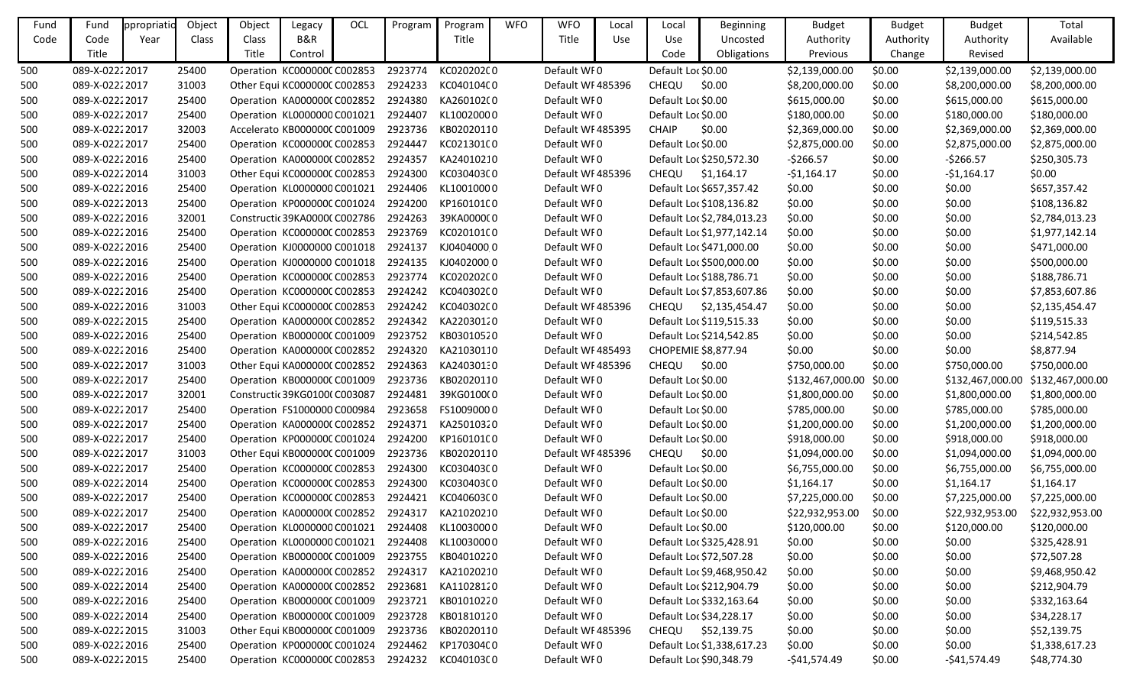| Fund | Fund           | ppropriatid | Object | Object                        | Legacy  | OCL | Program | Program                                       | <b>WFO</b> | <b>WFO</b>        | Local | Local              | <b>Beginning</b>           | <b>Budget</b>    | <b>Budget</b> | <b>Budget</b>   | Total                             |
|------|----------------|-------------|--------|-------------------------------|---------|-----|---------|-----------------------------------------------|------------|-------------------|-------|--------------------|----------------------------|------------------|---------------|-----------------|-----------------------------------|
| Code | Code           | Year        | Class  | Class                         | B&R     |     |         | Title                                         |            | Title             | Use   | Use                | Uncosted                   | Authority        | Authority     | Authority       | Available                         |
|      | Title          |             |        | Title                         | Control |     |         |                                               |            |                   |       | Code               | Obligations                | Previous         | Change        | Revised         |                                   |
| 500  | 089-X-02222017 |             | 25400  | Operation KC000000C C002853   |         |     | 2923774 | KC02020200                                    |            | Default WI0       |       | Default Loc \$0.00 |                            | \$2,139,000.00   | \$0.00        | \$2,139,000.00  | \$2,139,000.00                    |
| 500  | 089-X-02222017 |             | 31003  | Other Equi KC000000C C002853  |         |     | 2924233 | KC04010400                                    |            | Default WI 485396 |       | CHEQU              | \$0.00                     | \$8,200,000.00   | \$0.00        | \$8,200,000.00  | \$8,200,000.00                    |
| 500  | 089-X-02222017 |             | 25400  | Operation KA0000000 C002852   |         |     | 2924380 | KA260102(0                                    |            | Default WI0       |       | Default Loc \$0.00 |                            | \$615,000.00     | \$0.00        | \$615,000.00    | \$615,000.00                      |
| 500  | 089-X-02222017 |             | 25400  | Operation KL0000000 C001021   |         |     | 2924407 | KL10020000                                    |            | Default WI0       |       | Default Loc \$0.00 |                            | \$180,000.00     | \$0.00        | \$180,000.00    | \$180,000.00                      |
| 500  | 089-X-02222017 |             | 32003  | Accelerato KB000000C C001009  |         |     | 2923736 | KB02020110                                    |            | Default WF485395  |       | <b>CHAIP</b>       | \$0.00                     | \$2,369,000.00   | \$0.00        | \$2,369,000.00  | \$2,369,000.00                    |
| 500  | 089-X-02222017 |             | 25400  | Operation KC000000CC002853    |         |     | 2924447 | KC021301C0                                    |            | Default WF0       |       | Default Loc \$0.00 |                            | \$2,875,000.00   | \$0.00        | \$2,875,000.00  | \$2,875,000.00                    |
| 500  | 089-X-02222016 |             | 25400  | Operation KA0000000 C002852   |         |     | 2924357 | KA24010210                                    |            | Default WI0       |       |                    | Default Loc \$250,572.30   | $-5266.57$       | \$0.00        | $-5266.57$      | \$250,305.73                      |
| 500  | 089-X-02222014 |             | 31003  | Other Equi KC000000C C002853  |         |     | 2924300 | KC030403C0                                    |            | Default WF485396  |       |                    | CHEQU \$1,164.17           | $-$1,164.17$     | \$0.00        | $-51,164.17$    | \$0.00                            |
| 500  | 089-X-02222016 |             | 25400  | Operation KL0000000 C001021   |         |     | 2924406 | KL10010000                                    |            | Default WF0       |       |                    | Default Loc \$657,357.42   | \$0.00           | \$0.00        | \$0.00          | \$657,357.42                      |
| 500  | 089-X-02222013 |             | 25400  | Operation KP000000CC001024    |         |     | 2924200 | KP160101C0                                    |            | Default WF0       |       |                    | Default Loc \$108,136.82   | \$0.00           | \$0.00        | \$0.00          | \$108,136.82                      |
| 500  | 089-X-02222016 |             | 32001  | Constructic 39KA0000C C002786 |         |     | 2924263 | 39KA000000                                    |            | Default WI0       |       |                    | Default Loc \$2,784,013.23 | \$0.00           | \$0.00        | \$0.00          | \$2,784,013.23                    |
| 500  | 089-X-02222016 |             | 25400  | Operation KC000000C C002853   |         |     | 2923769 | KC02010100                                    |            | Default WI0       |       |                    | Default Loc \$1,977,142.14 | \$0.00           | \$0.00        | \$0.00          | \$1,977,142.14                    |
| 500  | 089-X-02222016 |             | 25400  | Operation KJ0000000 C001018   |         |     | 2924137 | KJ04040000                                    |            | Default WF0       |       |                    | Default Loc \$471,000.00   | \$0.00           | \$0.00        | \$0.00          | \$471,000.00                      |
| 500  | 089-X-02222016 |             | 25400  | Operation KJ0000000 C001018   |         |     | 2924135 | KJ04020000                                    |            | Default WF0       |       |                    | Default Loc \$500,000.00   | \$0.00           | \$0.00        | \$0.00          | \$500,000.00                      |
| 500  | 089-X-02222016 |             | 25400  | Operation KC000000CC002853    |         |     | 2923774 | KC020202C0                                    |            | Default WF0       |       |                    | Default Loc \$188,786.71   | \$0.00           | \$0.00        | \$0.00          | \$188,786.71                      |
| 500  | 089-X-02222016 |             | 25400  | Operation KC000000C C002853   |         |     | 2924242 | KC040302C0                                    |            | Default WF0       |       |                    | Default Loc \$7,853,607.86 | \$0.00           | \$0.00        | \$0.00          | \$7,853,607.86                    |
| 500  | 089-X-02222016 |             | 31003  | Other Equi KC000000C C002853  |         |     | 2924242 | KC040302C0                                    |            | Default WF485396  |       | CHEQU              | \$2,135,454.47             | \$0.00           | \$0.00        | \$0.00          | \$2,135,454.47                    |
| 500  | 089-X-02222015 |             | 25400  | Operation KA000000C C002852   |         |     | 2924342 | KA22030120                                    |            | Default WF0       |       |                    | Default Loc \$119,515.33   | \$0.00           | \$0.00        | \$0.00          | \$119,515.33                      |
| 500  | 089-X-02222016 |             | 25400  | Operation KB000000C C001009   |         |     | 2923752 | KB03010520                                    |            | Default WI0       |       |                    | Default Loc \$214,542.85   | \$0.00           | \$0.00        | \$0.00          | \$214,542.85                      |
| 500  | 089-X-02222016 |             | 25400  | Operation KA0000000 C002852   |         |     | 2924320 | KA21030110                                    |            | Default WF485493  |       |                    | CHOPEMIE \$8,877.94        | \$0.00           | \$0.00        | \$0.00          | \$8,877.94                        |
| 500  | 089-X-02222017 |             | 31003  | Other Equi KA0000000 C002852  |         |     | 2924363 | KA24030130                                    |            | Default WF485396  |       | <b>CHEQU</b>       | \$0.00                     | \$750,000.00     | \$0.00        | \$750,000.00    | \$750,000.00                      |
| 500  | 089-X-02222017 |             | 25400  | Operation KB000000CC001009    |         |     | 2923736 | KB02020110                                    |            | Default WI0       |       | Default Loc \$0.00 |                            | \$132,467,000.00 | \$0.00        |                 | \$132,467,000.00 \$132,467,000.00 |
| 500  | 089-X-02222017 |             | 32001  | Constructic 39KG0100(C003087  |         |     | 2924481 | 39KG0100(0                                    |            | Default WI0       |       | Default Loc \$0.00 |                            | \$1,800,000.00   | \$0.00        | \$1,800,000.00  | \$1,800,000.00                    |
| 500  | 089-X-02222017 |             | 25400  | Operation FS1000000 C000984   |         |     | 2923658 | FS10090000                                    |            | Default WF0       |       | Default Loc \$0.00 |                            | \$785,000.00     | \$0.00        | \$785,000.00    | \$785,000.00                      |
| 500  | 089-X-02222017 |             | 25400  | Operation KA0000000 C002852   |         |     | 2924371 | KA25010320                                    |            | Default WF0       |       | Default Loc \$0.00 |                            | \$1,200,000.00   | \$0.00        | \$1,200,000.00  | \$1,200,000.00                    |
| 500  | 089-X-02222017 |             | 25400  | Operation KP000000CC001024    |         |     | 2924200 | KP160101C0                                    |            | Default WI0       |       | Default Loc \$0.00 |                            | \$918,000.00     | \$0.00        | \$918,000.00    | \$918,000.00                      |
| 500  | 089-X-02222017 |             | 31003  | Other Equi KB000000C C001009  |         |     | 2923736 | KB02020110                                    |            | Default WF485396  |       | <b>CHEQU</b>       | \$0.00                     | \$1,094,000.00   | \$0.00        | \$1,094,000.00  | \$1,094,000.00                    |
| 500  | 089-X-02222017 |             | 25400  | Operation KC000000CC002853    |         |     | 2924300 | KC030403C0                                    |            | Default WF0       |       | Default Loc \$0.00 |                            | \$6,755,000.00   | \$0.00        | \$6,755,000.00  | \$6,755,000.00                    |
| 500  | 089-X-02222014 |             | 25400  |                               |         |     |         | Operation KC000000CC002853 2924300 KC030403C0 |            | Default WF0       |       | Default Loc \$0.00 |                            | \$1,164.17       | \$0.00        | \$1,164.17      | \$1,164.17                        |
| 500  | 089-X-02222017 |             | 25400  | Operation KC000000CC002853    |         |     | 2924421 | KC040603C0                                    |            | Default WF0       |       | Default Loc \$0.00 |                            | \$7,225,000.00   | \$0.00        | \$7,225,000.00  | \$7,225,000.00                    |
| 500  | 089-X-02222017 |             | 25400  | Operation KA0000000 C002852   |         |     | 2924317 | KA21020210                                    |            | Default WF0       |       | Default Loc \$0.00 |                            | \$22,932,953.00  | \$0.00        | \$22,932,953.00 | \$22,932,953.00                   |
| 500  | 089-X-02222017 |             | 25400  | Operation KL0000000 C001021   |         |     | 2924408 | KL10030000                                    |            | Default WF0       |       | Default Loc \$0.00 |                            | \$120,000.00     | \$0.00        | \$120,000.00    | \$120,000.00                      |
| 500  | 089-X-02222016 |             | 25400  | Operation KL0000000 C001021   |         |     | 2924408 | KL10030000                                    |            | Default WF0       |       |                    | Default Loc \$325,428.91   | \$0.00           | \$0.00        | \$0.00          | \$325,428.91                      |
| 500  | 089-X-02222016 |             | 25400  | Operation KB000000CC001009    |         |     | 2923755 | KB04010220                                    |            | Default WF0       |       |                    | Default Loc \$72,507.28    | \$0.00           | \$0.00        | \$0.00          | \$72,507.28                       |
| 500  | 089-X-02222016 |             | 25400  | Operation KA0000000 C002852   |         |     | 2924317 | KA21020210                                    |            | Default WF0       |       |                    | Default Loc \$9,468,950.42 | \$0.00           | \$0.00        | \$0.00          | \$9,468,950.42                    |
| 500  | 089-X-02222014 |             | 25400  | Operation KA0000000 C002852   |         |     | 2923681 | KA11028120                                    |            | Default WF0       |       |                    | Default Loc \$212,904.79   | \$0.00           | \$0.00        | \$0.00          | \$212,904.79                      |
| 500  | 089-X-02222016 |             | 25400  | Operation KB000000CC001009    |         |     | 2923721 | KB01010220                                    |            | Default WF0       |       |                    | Default Loc \$332,163.64   | \$0.00           | \$0.00        | \$0.00          | \$332,163.64                      |
| 500  | 089-X-02222014 |             | 25400  | Operation KB000000C C001009   |         |     | 2923728 | KB01810120                                    |            | Default WF0       |       |                    | Default Loc \$34,228.17    | \$0.00           | \$0.00        | \$0.00          | \$34,228.17                       |
| 500  | 089-X-02222015 |             | 31003  | Other Equi KB000000C C001009  |         |     | 2923736 | KB02020110                                    |            | Default WF485396  |       |                    | CHEQU \$52,139.75          | \$0.00           | \$0.00        | \$0.00          | \$52,139.75                       |
| 500  | 089-X-02222016 |             | 25400  | Operation KP000000C C001024   |         |     | 2924462 | KP170304C0                                    |            | Default WI0       |       |                    | Default Loc \$1,338,617.23 | \$0.00           | \$0.00        | \$0.00          | \$1,338,617.23                    |
| 500  | 089-X-02222015 |             | 25400  | Operation KC000000CC002853    |         |     | 2924232 | KC040103C0                                    |            | Default WF0       |       |                    | Default Loc \$90,348.79    | -\$41,574.49     | \$0.00        | -\$41,574.49    | \$48,774.30                       |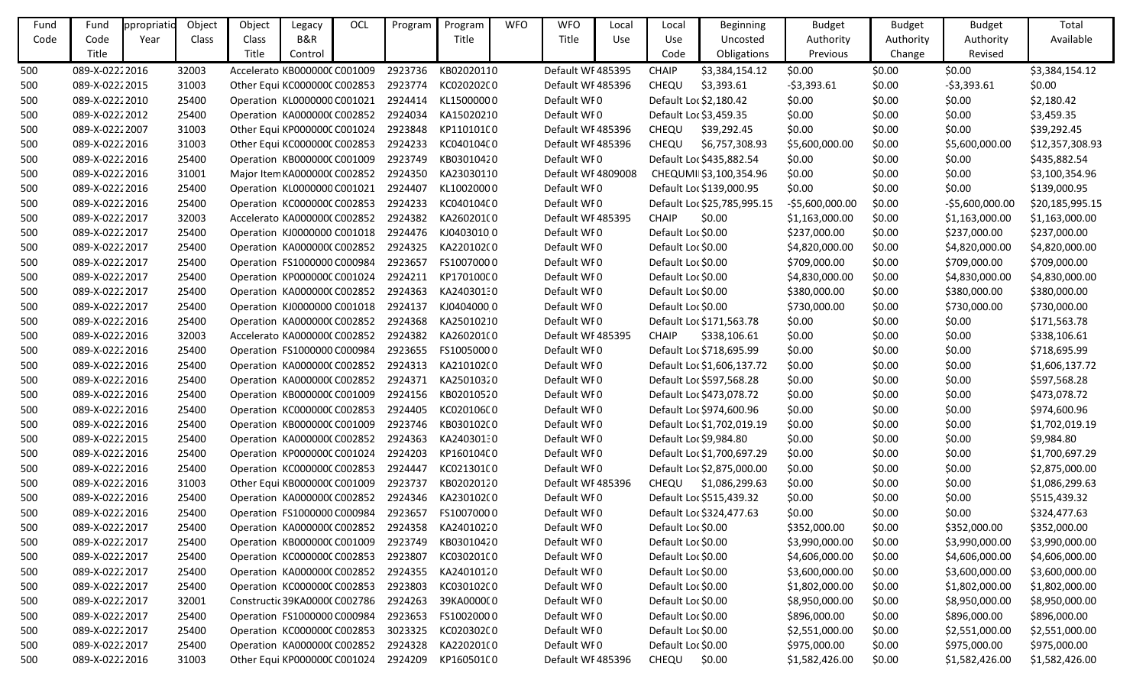| Fund | Fund           | ppropriatio | Object | Object | Legacy                       | OCL | Program | Program                                         | <b>WFO</b> | <b>WFO</b>         | Local      | Local              | <b>Beginning</b>            | <b>Budget</b>    | <b>Budget</b> | <b>Budget</b>   | Total           |
|------|----------------|-------------|--------|--------|------------------------------|-----|---------|-------------------------------------------------|------------|--------------------|------------|--------------------|-----------------------------|------------------|---------------|-----------------|-----------------|
| Code | Code           | Year        | Class  | Class  | B&R                          |     |         | Title                                           |            | Title              | <b>Use</b> | Use                | Uncosted                    | Authority        | Authority     | Authority       | Available       |
|      | Title          |             |        | Title  | Control                      |     |         |                                                 |            |                    |            | Code               | Obligations                 | Previous         | Change        | Revised         |                 |
| 500  | 089-X-02222016 |             | 32003  |        | Accelerato KB000000C C001009 |     | 2923736 | KB02020110                                      |            | Default WF485395   |            | <b>CHAIP</b>       | \$3,384,154.12              | \$0.00           | \$0.00        | \$0.00          | \$3,384,154.12  |
| 500  | 089-X-02222015 |             | 31003  |        | Other Equi KC000000C C002853 |     | 2923774 | KC02020200                                      |            | Default WF485396   |            | CHEQU              | \$3,393.61                  | $-53,393.61$     | \$0.00        | $-53,393.61$    | \$0.00          |
| 500  | 089-X-02222010 |             | 25400  |        | Operation KL0000000 C001021  |     | 2924414 | KL15000000                                      |            | Default WI0        |            |                    | Default Loc \$2,180.42      | \$0.00           | \$0.00        | \$0.00          | \$2,180.42      |
| 500  | 089-X-02222012 |             | 25400  |        | Operation KA000000C C002852  |     | 2924034 | KA15020210                                      |            | Default WI0        |            |                    | Default Loc \$3,459.35      | \$0.00           | \$0.00        | \$0.00          | \$3,459.35      |
| 500  | 089-X-02222007 |             | 31003  |        | Other Equi KP000000C C001024 |     | 2923848 | KP110101C0                                      |            | Default WF485396   |            | CHEQU              | \$39,292.45                 | \$0.00           | \$0.00        | \$0.00          | \$39,292.45     |
| 500  | 089-X-02222016 |             | 31003  |        | Other Equi KC000000C C002853 |     | 2924233 | KC04010400                                      |            | Default WF485396   |            | CHEQU              | \$6,757,308.93              | \$5,600,000.00   | \$0.00        | \$5,600,000.00  | \$12,357,308.93 |
| 500  | 089-X-02222016 |             | 25400  |        | Operation KB000000C C001009  |     | 2923749 | KB03010420                                      |            | Default WF0        |            |                    | Default Loc \$435,882.54    | \$0.00           | \$0.00        | \$0.00          | \$435,882.54    |
| 500  | 089-X-02222016 |             | 31001  |        | Major Item KA0000000 C002852 |     | 2924350 | KA23030110                                      |            | Default WF 4809008 |            |                    | CHEQUMII\$3,100,354.96      | \$0.00           | \$0.00        | \$0.00          | \$3,100,354.96  |
| 500  | 089-X-02222016 |             | 25400  |        | Operation KL0000000 C001021  |     | 2924407 | KL10020000                                      |            | Default WF0        |            |                    | Default Loc \$139,000.95    | \$0.00           | \$0.00        | \$0.00          | \$139,000.95    |
| 500  | 089-X-02222016 |             | 25400  |        | Operation KC000000C C002853  |     | 2924233 | KC04010400                                      |            | Default WF0        |            |                    | Default Loc \$25,785,995.15 | $-55,600,000.00$ | \$0.00        | -\$5,600,000.00 | \$20,185,995.15 |
| 500  | 089-X-02222017 |             | 32003  |        | Accelerato KA0000000 C002852 |     | 2924382 | KA260201(0                                      |            | Default WF485395   |            | <b>CHAIP</b>       | \$0.00                      | \$1,163,000.00   | \$0.00        | \$1,163,000.00  | \$1,163,000.00  |
| 500  | 089-X-02222017 |             | 25400  |        | Operation KJ0000000 C001018  |     | 2924476 | KJ04030100                                      |            | Default WI0        |            | Default Loc \$0.00 |                             | \$237,000.00     | \$0.00        | \$237,000.00    | \$237,000.00    |
| 500  | 089-X-02222017 |             | 25400  |        | Operation KA000000C C002852  |     | 2924325 | KA220102(0                                      |            | Default WF0        |            | Default Loc \$0.00 |                             | \$4,820,000.00   | \$0.00        | \$4,820,000.00  | \$4,820,000.00  |
| 500  | 089-X-02222017 |             | 25400  |        | Operation FS1000000 C000984  |     | 2923657 | FS10070000                                      |            | Default WF0        |            | Default Loc \$0.00 |                             | \$709,000.00     | \$0.00        | \$709,000.00    | \$709,000.00    |
| 500  | 089-X-02222017 |             | 25400  |        | Operation KP000000C C001024  |     | 2924211 | KP170100C0                                      |            | Default WF0        |            | Default Loc \$0.00 |                             | \$4,830,000.00   | \$0.00        | \$4,830,000.00  | \$4,830,000.00  |
| 500  | 089-X-02222017 |             | 25400  |        | Operation KA0000000 C002852  |     | 2924363 | KA24030130                                      |            | Default WF0        |            | Default Loc \$0.00 |                             | \$380,000.00     | \$0.00        | \$380,000.00    | \$380,000.00    |
| 500  | 089-X-02222017 |             | 25400  |        | Operation KJ0000000 C001018  |     | 2924137 | KJ04040000                                      |            | Default WF0        |            | Default Loc \$0.00 |                             | \$730,000.00     | \$0.00        | \$730,000.00    | \$730,000.00    |
| 500  | 089-X-02222016 |             | 25400  |        | Operation KA0000000 C002852  |     | 2924368 | KA25010210                                      |            | Default WI0        |            |                    | Default Loc \$171,563.78    | \$0.00           | \$0.00        | \$0.00          | \$171,563.78    |
| 500  | 089-X-02222016 |             | 32003  |        | Accelerato KA0000000 C002852 |     | 2924382 | KA260201(0                                      |            | Default WF485395   |            | <b>CHAIP</b>       | \$338,106.61                | \$0.00           | \$0.00        | \$0.00          | \$338,106.61    |
| 500  | 089-X-02222016 |             | 25400  |        | Operation FS1000000 C000984  |     | 2923655 | FS10050000                                      |            | Default WF0        |            |                    | Default Loc \$718,695.99    | \$0.00           | \$0.00        | \$0.00          | \$718,695.99    |
| 500  | 089-X-02222016 |             | 25400  |        | Operation KA0000000 C002852  |     | 2924313 | KA210102(0                                      |            | Default WF0        |            |                    | Default Loc \$1,606,137.72  | \$0.00           | \$0.00        | \$0.00          | \$1,606,137.72  |
| 500  | 089-X-02222016 |             | 25400  |        | Operation KA0000000 C002852  |     | 2924371 | KA25010320                                      |            | Default WI0        |            |                    | Default Loc \$597,568.28    | \$0.00           | \$0.00        | \$0.00          | \$597,568.28    |
| 500  | 089-X-02222016 |             | 25400  |        | Operation KB000000C C001009  |     | 2924156 | KB02010520                                      |            | Default WI0        |            |                    | Default Loc \$473,078.72    | \$0.00           | \$0.00        | \$0.00          | \$473,078.72    |
| 500  | 089-X-02222016 |             | 25400  |        | Operation KC000000C C002853  |     | 2924405 | KC02010600                                      |            | Default WF0        |            |                    | Default Loc \$974,600.96    | \$0.00           | \$0.00        | \$0.00          | \$974,600.96    |
| 500  | 089-X-02222016 |             | 25400  |        | Operation KB000000C C001009  |     | 2923746 | KB03010200                                      |            | Default WF0        |            |                    | Default Loc \$1,702,019.19  | \$0.00           | \$0.00        | \$0.00          | \$1,702,019.19  |
| 500  | 089-X-02222015 |             | 25400  |        | Operation KA000000C C002852  |     | 2924363 | KA24030130                                      |            | Default WF0        |            |                    | Default Loc \$9,984.80      | \$0.00           | \$0.00        | \$0.00          | \$9,984.80      |
| 500  | 089-X-02222016 |             | 25400  |        | Operation KP000000CC001024   |     | 2924203 | KP160104C0                                      |            | Default WF0        |            |                    | Default Loc \$1,700,697.29  | \$0.00           | \$0.00        | \$0.00          | \$1,700,697.29  |
| 500  | 089-X-02222016 |             | 25400  |        | Operation KC000000CC002853   |     | 2924447 | KC02130100                                      |            | Default WI0        |            |                    | Default Loc \$2,875,000.00  | \$0.00           | \$0.00        | \$0.00          | \$2,875,000.00  |
| 500  | 089-X-02222016 |             | 31003  |        |                              |     |         | Other Equi KB000000C C001009 2923737 KB02020120 |            | Default WF485396   |            |                    | CHEQU \$1,086,299.63        | \$0.00           | \$0.00        | \$0.00          | \$1,086,299.63  |
| 500  | 089-X-02222016 |             | 25400  |        | Operation KA0000000 C002852  |     | 2924346 | KA230102(0                                      |            | Default WF0        |            |                    | Default Loc \$515,439.32    | \$0.00           | \$0.00        | \$0.00          | \$515,439.32    |
| 500  | 089-X-02222016 |             | 25400  |        | Operation FS1000000 C000984  |     | 2923657 | FS10070000                                      |            | Default WF0        |            |                    | Default Loc \$324,477.63    | \$0.00           | \$0.00        | \$0.00          | \$324,477.63    |
| 500  | 089-X-02222017 |             | 25400  |        | Operation KA0000000 C002852  |     | 2924358 | KA24010220                                      |            | Default WF0        |            | Default Loc \$0.00 |                             | \$352,000.00     | \$0.00        | \$352,000.00    | \$352,000.00    |
| 500  | 089-X-02222017 |             | 25400  |        | Operation KB000000C C001009  |     | 2923749 | KB03010420                                      |            | Default WF0        |            | Default Loc \$0.00 |                             | \$3,990,000.00   | \$0.00        | \$3,990,000.00  | \$3,990,000.00  |
| 500  | 089-X-02222017 |             | 25400  |        | Operation KC000000C C002853  |     | 2923807 | KC03020100                                      |            | Default WF0        |            | Default Loc \$0.00 |                             | \$4,606,000.00   | \$0.00        | \$4,606,000.00  | \$4,606,000.00  |
| 500  | 089-X-02222017 |             | 25400  |        | Operation KA0000000 C002852  |     | 2924355 | KA24010120                                      |            | Default WF0        |            | Default Loc \$0.00 |                             | \$3,600,000.00   | \$0.00        | \$3,600,000.00  | \$3,600,000.00  |
| 500  | 089-X-02222017 |             | 25400  |        | Operation KC000000C C002853  |     | 2923803 | KC030102C0                                      |            | Default WF0        |            | Default Loc \$0.00 |                             | \$1,802,000.00   | \$0.00        | \$1,802,000.00  | \$1,802,000.00  |
| 500  | 089-X-02222017 |             | 32001  |        | Constructic 39KA0000CC002786 |     | 2924263 | 39KA000000                                      |            | Default WF0        |            | Default Loc \$0.00 |                             | \$8,950,000.00   | \$0.00        | \$8,950,000.00  | \$8,950,000.00  |
| 500  | 089-X-02222017 |             | 25400  |        | Operation FS1000000 C000984  |     | 2923653 | FS10020000                                      |            | Default WF0        |            | Default Loc \$0.00 |                             | \$896,000.00     | \$0.00        | \$896,000.00    | \$896,000.00    |
| 500  | 089-X-02222017 |             | 25400  |        | Operation KC000000C C002853  |     | 3023325 | KC020302C0                                      |            | Default WF0        |            | Default Loc \$0.00 |                             | \$2,551,000.00   | \$0.00        | \$2,551,000.00  | \$2,551,000.00  |
| 500  | 089-X-02222017 |             | 25400  |        | Operation KA0000000 C002852  |     | 2924328 | KA220201(0                                      |            | Default WF0        |            | Default Loc \$0.00 |                             | \$975,000.00     | \$0.00        | \$975,000.00    | \$975,000.00    |
| 500  | 089-X-02222016 |             | 31003  |        | Other Equi KP000000C C001024 |     | 2924209 | KP160501C0                                      |            | Default WI 485396  |            | CHEQU              | \$0.00                      | \$1,582,426.00   | \$0.00        | \$1,582,426.00  | \$1,582,426.00  |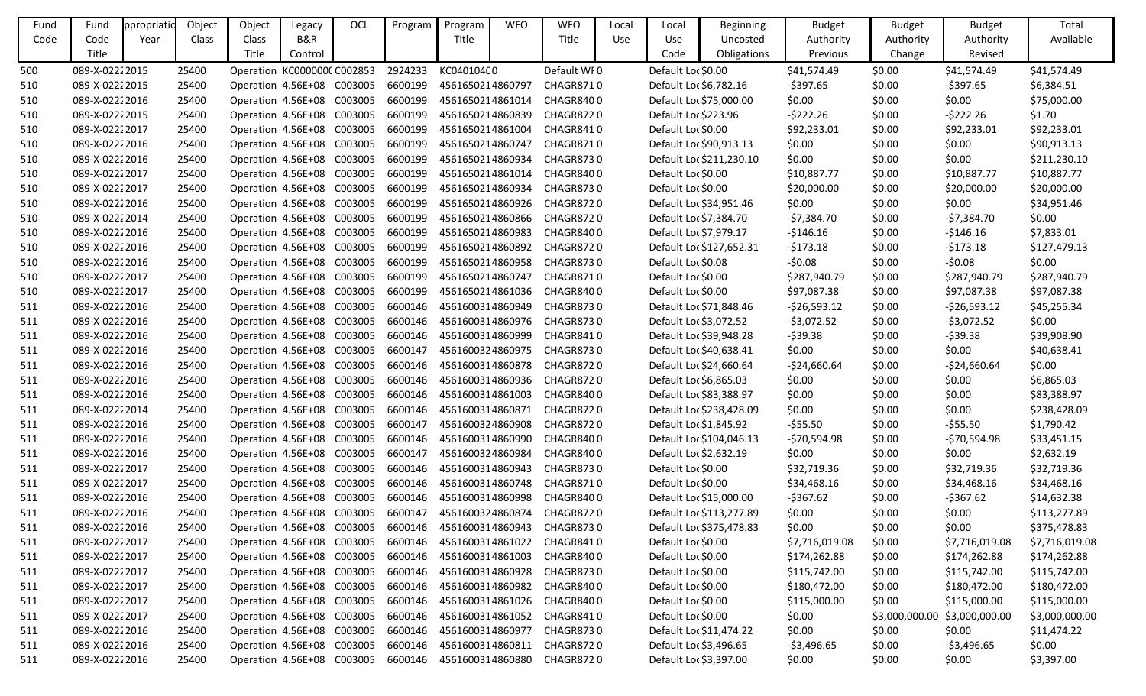| Fund | Fund           | ppropriatio | Object | Object                      | Legacy  | OCL     | Program | Program          | <b>WFO</b> | <b>WFO</b>                         | Local      | Local                  | <b>Beginning</b>         | <b>Budget</b>  | <b>Budget</b>                 | <b>Budget</b>  | Total          |
|------|----------------|-------------|--------|-----------------------------|---------|---------|---------|------------------|------------|------------------------------------|------------|------------------------|--------------------------|----------------|-------------------------------|----------------|----------------|
| Code | Code           | Year        | Class  | Class                       | B&R     |         |         | Title            |            | Title                              | <b>Use</b> | Use                    | Uncosted                 | Authority      | Authority                     | Authority      | Available      |
|      | Title          |             |        | Title                       | Control |         |         |                  |            |                                    |            | Code                   | Obligations              | Previous       | Change                        | Revised        |                |
| 500  | 089-X-02222015 |             | 25400  | Operation KC000000C C002853 |         |         | 2924233 | KC040104C0       |            | Default WF0                        |            | Default Loc \$0.00     |                          | \$41,574.49    | \$0.00                        | \$41,574.49    | \$41,574.49    |
| 510  | 089-X-02222015 |             | 25400  | Operation 4.56E+08 C003005  |         |         | 6600199 | 4561650214860797 |            | CHAGR8710                          |            | Default Loc \$6,782.16 |                          | $-5397.65$     | \$0.00                        | $-5397.65$     | \$6,384.51     |
| 510  | 089-X-02222016 |             | 25400  | Operation 4.56E+08 C003005  |         |         | 6600199 | 4561650214861014 |            | CHAGR8400                          |            |                        | Default Loc \$75,000.00  | \$0.00         | \$0.00                        | \$0.00         | \$75,000.00    |
| 510  | 089-X-02222015 |             | 25400  | Operation 4.56E+08 C003005  |         |         | 6600199 | 4561650214860839 |            | CHAGR8720                          |            | Default Loc \$223.96   |                          | $-5222.26$     | \$0.00                        | $-5222.26$     | \$1.70         |
| 510  | 089-X-02222017 |             | 25400  | Operation 4.56E+08          |         | C003005 | 6600199 | 4561650214861004 |            | CHAGR8410                          |            | Default Loc \$0.00     |                          | \$92,233.01    | \$0.00                        | \$92,233.01    | \$92,233.01    |
| 510  | 089-X-02222016 |             | 25400  | Operation 4.56E+08 C003005  |         |         | 6600199 | 4561650214860747 |            | CHAGR8710                          |            |                        | Default Loc \$90,913.13  | \$0.00         | \$0.00                        | \$0.00         | \$90,913.13    |
| 510  | 089-X-02222016 |             | 25400  | Operation 4.56E+08 C003005  |         |         | 6600199 | 4561650214860934 |            | CHAGR8730                          |            |                        | Default Loc \$211,230.10 | \$0.00         | \$0.00                        | \$0.00         | \$211,230.10   |
| 510  | 089-X-02222017 |             | 25400  | Operation 4.56E+08 C003005  |         |         | 6600199 | 4561650214861014 |            | CHAGR8400                          |            | Default Loc \$0.00     |                          | \$10,887.77    | \$0.00                        | \$10,887.77    | \$10,887.77    |
| 510  | 089-X-02222017 |             | 25400  | Operation 4.56E+08 C003005  |         |         | 6600199 | 4561650214860934 |            | CHAGR8730                          |            | Default Loc \$0.00     |                          | \$20,000.00    | \$0.00                        | \$20,000.00    | \$20,000.00    |
| 510  | 089-X-02222016 |             | 25400  | Operation 4.56E+08 C003005  |         |         | 6600199 | 4561650214860926 |            | CHAGR8720                          |            |                        | Default Loc \$34,951.46  | \$0.00         | \$0.00                        | \$0.00         | \$34,951.46    |
| 510  | 089-X-02222014 |             | 25400  | Operation 4.56E+08 C003005  |         |         | 6600199 | 4561650214860866 |            | CHAGR8720                          |            | Default Loc \$7,384.70 |                          | $-57,384.70$   | \$0.00                        | $-57,384.70$   | \$0.00         |
| 510  | 089-X-02222016 |             | 25400  | Operation 4.56E+08 C003005  |         |         | 6600199 | 4561650214860983 |            | CHAGR8400                          |            | Default Loc \$7,979.17 |                          | $-5146.16$     | \$0.00                        | $-$ \$146.16   | \$7,833.01     |
| 510  | 089-X-02222016 |             | 25400  | Operation 4.56E+08 C003005  |         |         | 6600199 | 4561650214860892 |            | CHAGR8720                          |            |                        | Default Loc \$127,652.31 | $-5173.18$     | \$0.00                        | $-5173.18$     | \$127,479.13   |
| 510  | 089-X-02222016 |             | 25400  | Operation 4.56E+08 C003005  |         |         | 6600199 | 4561650214860958 |            | CHAGR8730                          |            | Default Loc \$0.08     |                          | $-50.08$       | \$0.00                        | $-50.08$       | \$0.00         |
| 510  | 089-X-02222017 |             | 25400  | Operation 4.56E+08 C003005  |         |         | 6600199 | 4561650214860747 |            | CHAGR8710                          |            | Default Loc \$0.00     |                          | \$287,940.79   | \$0.00                        | \$287,940.79   | \$287,940.79   |
| 510  | 089-X-02222017 |             | 25400  | Operation 4.56E+08          |         | C003005 | 6600199 | 4561650214861036 |            | CHAGR8400                          |            | Default Loc \$0.00     |                          | \$97,087.38    | \$0.00                        | \$97,087.38    | \$97,087.38    |
| 511  | 089-X-02222016 |             | 25400  | Operation 4.56E+08 C003005  |         |         | 6600146 | 4561600314860949 |            | CHAGR8730                          |            |                        | Default Loc \$71,848.46  | $-526,593.12$  | \$0.00                        | $-526,593.12$  | \$45,255.34    |
| 511  | 089-X-02222016 |             | 25400  | Operation 4.56E+08 C003005  |         |         | 6600146 | 4561600314860976 |            | CHAGR8730                          |            | Default Loc \$3,072.52 |                          | $-53,072.52$   | \$0.00                        | $-53,072.52$   | \$0.00         |
| 511  | 089-X-02222016 |             | 25400  | Operation 4.56E+08 C003005  |         |         | 6600146 | 4561600314860999 |            | CHAGR8410                          |            |                        | Default Loc \$39,948.28  | $-539.38$      | \$0.00                        | $-539.38$      | \$39,908.90    |
| 511  | 089-X-02222016 |             | 25400  | Operation 4.56E+08 C003005  |         |         | 6600147 | 4561600324860975 |            | CHAGR8730                          |            |                        | Default Loc \$40,638.41  | \$0.00         | \$0.00                        | \$0.00         | \$40,638.41    |
| 511  | 089-X-02222016 |             | 25400  | Operation 4.56E+08 C003005  |         |         | 6600146 | 4561600314860878 |            | CHAGR8720                          |            |                        | Default Loc \$24,660.64  | $-524,660.64$  | \$0.00                        | $-524,660.64$  | \$0.00         |
| 511  | 089-X-02222016 |             | 25400  | Operation 4.56E+08 C003005  |         |         | 6600146 | 4561600314860936 |            | CHAGR8720                          |            | Default Loc \$6,865.03 |                          | \$0.00         | \$0.00                        | \$0.00         | \$6,865.03     |
| 511  | 089-X-02222016 |             | 25400  | Operation 4.56E+08 C003005  |         |         | 6600146 | 4561600314861003 |            | CHAGR8400                          |            |                        | Default Loc \$83,388.97  | \$0.00         | \$0.00                        | \$0.00         | \$83,388.97    |
| 511  | 089-X-02222014 |             | 25400  | Operation 4.56E+08 C003005  |         |         | 6600146 | 4561600314860871 |            | CHAGR8720                          |            |                        | Default Loc \$238,428.09 | \$0.00         | \$0.00                        | \$0.00         | \$238,428.09   |
| 511  | 089-X-02222016 |             | 25400  | Operation 4.56E+08 C003005  |         |         | 6600147 | 4561600324860908 |            | CHAGR8720                          |            | Default Loc \$1,845.92 |                          | $-$ \$55.50    | \$0.00                        | $-$ \$55.50    | \$1,790.42     |
| 511  | 089-X-02222016 |             | 25400  | Operation 4.56E+08          |         | C003005 | 6600146 | 4561600314860990 |            | CHAGR8400                          |            |                        | Default Loc \$104,046.13 | $-570,594.98$  | \$0.00                        | -\$70,594.98   | \$33,451.15    |
| 511  | 089-X-02222016 |             | 25400  | Operation 4.56E+08 C003005  |         |         | 6600147 | 4561600324860984 |            | CHAGR8400                          |            | Default Loc \$2,632.19 |                          | \$0.00         | \$0.00                        | \$0.00         | \$2,632.19     |
| 511  | 089-X-02222017 |             | 25400  | Operation 4.56E+08 C003005  |         |         | 6600146 | 4561600314860943 |            | CHAGR8730                          |            | Default Loc \$0.00     |                          | \$32,719.36    | \$0.00                        | \$32,719.36    | \$32,719.36    |
| 511  | 089-X-02222017 |             | 25400  | Operation 4.56E+08 C003005  |         |         |         |                  |            | 6600146 4561600314860748 CHAGR8710 |            | Default Loc \$0.00     |                          | \$34,468.16    | \$0.00                        | \$34,468.16    | \$34,468.16    |
| 511  | 089-X-02222016 |             | 25400  | Operation 4.56E+08 C003005  |         |         | 6600146 | 4561600314860998 |            | CHAGR8400                          |            |                        | Default Loc \$15,000.00  | $-5367.62$     | \$0.00                        | $-5367.62$     | \$14,632.38    |
| 511  | 089-X-02222016 |             | 25400  | Operation 4.56E+08 C003005  |         |         | 6600147 | 4561600324860874 |            | CHAGR8720                          |            |                        | Default Loc \$113,277.89 | \$0.00         | \$0.00                        | \$0.00         | \$113,277.89   |
| 511  | 089-X-02222016 |             | 25400  | Operation 4.56E+08 C003005  |         |         | 6600146 | 4561600314860943 |            | CHAGR8730                          |            |                        | Default Loc \$375,478.83 | \$0.00         | \$0.00                        | \$0.00         | \$375,478.83   |
| 511  | 089-X-02222017 |             | 25400  | Operation 4.56E+08 C003005  |         |         | 6600146 | 4561600314861022 |            | CHAGR8410                          |            | Default Loc \$0.00     |                          | \$7,716,019.08 | \$0.00                        | \$7,716,019.08 | \$7,716,019.08 |
| 511  | 089-X-02222017 |             | 25400  | Operation 4.56E+08 C003005  |         |         | 6600146 | 4561600314861003 |            | CHAGR8400                          |            | Default Loc \$0.00     |                          | \$174,262.88   | \$0.00                        | \$174,262.88   | \$174,262.88   |
| 511  | 089-X-02222017 |             | 25400  | Operation 4.56E+08 C003005  |         |         | 6600146 | 4561600314860928 |            | CHAGR8730                          |            | Default Loc \$0.00     |                          | \$115,742.00   | \$0.00                        | \$115,742.00   | \$115,742.00   |
| 511  | 089-X-02222017 |             | 25400  | Operation 4.56E+08 C003005  |         |         | 6600146 | 4561600314860982 |            | CHAGR8400                          |            | Default Loc \$0.00     |                          | \$180,472.00   | \$0.00                        | \$180,472.00   | \$180,472.00   |
| 511  | 089-X-02222017 |             | 25400  | Operation 4.56E+08 C003005  |         |         | 6600146 | 4561600314861026 |            | CHAGR8400                          |            | Default Loc \$0.00     |                          | \$115,000.00   | \$0.00                        | \$115,000.00   | \$115,000.00   |
| 511  | 089-X-02222017 |             | 25400  | Operation 4.56E+08 C003005  |         |         | 6600146 | 4561600314861052 |            | CHAGR8410                          |            | Default Loc \$0.00     |                          | \$0.00         | \$3,000,000.00 \$3,000,000.00 |                | \$3,000,000.00 |
| 511  | 089-X-02222016 |             | 25400  | Operation 4.56E+08 C003005  |         |         | 6600146 | 4561600314860977 |            | CHAGR8730                          |            |                        | Default Loc \$11,474.22  | \$0.00         | \$0.00                        | \$0.00         | \$11,474.22    |
| 511  | 089-X-02222016 |             | 25400  | Operation 4.56E+08 C003005  |         |         | 6600146 | 4561600314860811 |            | CHAGR8720                          |            | Default Loc \$3,496.65 |                          | $-53,496.65$   | \$0.00                        | -\$3,496.65    | \$0.00         |
| 511  | 089-X-02222016 |             | 25400  | Operation 4.56E+08 C003005  |         |         | 6600146 | 4561600314860880 |            | CHAGR8720                          |            | Default Loc \$3,397.00 |                          | \$0.00         | \$0.00                        | \$0.00         | \$3,397.00     |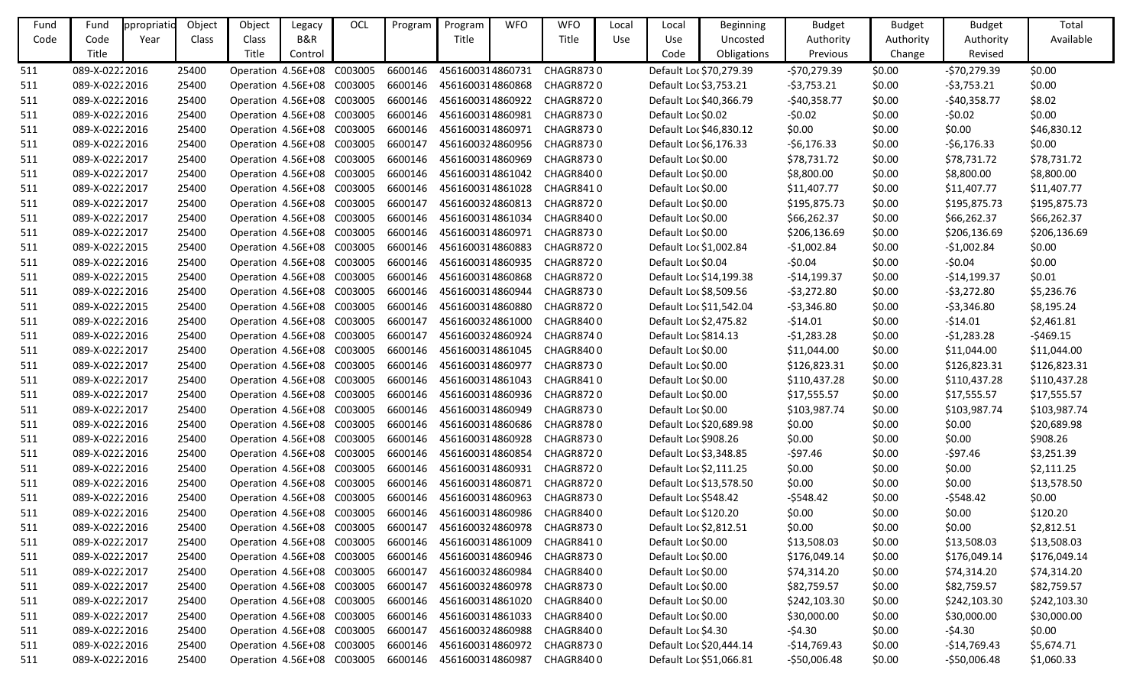| Fund | Fund           | ppropriatic | Object | Object                     | Legacy  | OCL     | Program | Program          | <b>WFO</b> | <b>WFO</b>                 | Local | Local                  | <b>Beginning</b>        | <b>Budget</b> | <b>Budget</b> | <b>Budget</b> | Total        |
|------|----------------|-------------|--------|----------------------------|---------|---------|---------|------------------|------------|----------------------------|-------|------------------------|-------------------------|---------------|---------------|---------------|--------------|
| Code | Code           | Year        | Class  | Class                      | B&R     |         |         | Title            |            | Title                      | Use   | Use                    | Uncosted                | Authority     | Authority     | Authority     | Available    |
|      | Title          |             |        | Title                      | Control |         |         |                  |            |                            |       | Code                   | Obligations             | Previous      | Change        | Revised       |              |
| 511  | 089-X-02222016 |             | 25400  | Operation 4.56E+08         |         | C003005 | 6600146 | 4561600314860731 |            | CHAGR8730                  |       |                        | Default Loc \$70,279.39 | -\$70,279.39  | \$0.00        | $-570,279.39$ | \$0.00       |
| 511  | 089-X-02222016 |             | 25400  | Operation 4.56E+08 C003005 |         |         | 6600146 | 4561600314860868 |            | <b>CHAGR8720</b>           |       | Default Loc \$3,753.21 |                         | $-53,753.21$  | \$0.00        | $-53,753.21$  | \$0.00       |
| 511  | 089-X-02222016 |             | 25400  | Operation 4.56E+08 C003005 |         |         | 6600146 | 4561600314860922 |            | <b>CHAGR8720</b>           |       |                        | Default Loc \$40,366.79 | $-$40,358.77$ | \$0.00        | $-$40,358.77$ | \$8.02       |
| 511  | 089-X-02222016 |             | 25400  | Operation 4.56E+08 C003005 |         |         | 6600146 | 4561600314860981 |            | <b>CHAGR8730</b>           |       | Default Loc \$0.02     |                         | $-50.02$      | \$0.00        | $-50.02$      | \$0.00       |
| 511  | 089-X-02222016 |             | 25400  | Operation 4.56E+08 C003005 |         |         | 6600146 | 4561600314860971 |            | CHAGR8730                  |       |                        | Default Loc \$46,830.12 | \$0.00        | \$0.00        | \$0.00        | \$46,830.12  |
| 511  | 089-X-02222016 |             | 25400  | Operation 4.56E+08 C003005 |         |         | 6600147 | 4561600324860956 |            | <b>CHAGR8730</b>           |       | Default Loc \$6,176.33 |                         | $-56,176.33$  | \$0.00        | $-56,176.33$  | \$0.00       |
| 511  | 089-X-02222017 |             | 25400  | Operation 4.56E+08 C003005 |         |         | 6600146 | 4561600314860969 |            | <b>CHAGR8730</b>           |       | Default Loc \$0.00     |                         | \$78,731.72   | \$0.00        | \$78,731.72   | \$78,731.72  |
| 511  | 089-X-02222017 |             | 25400  | Operation 4.56E+08 C003005 |         |         | 6600146 | 4561600314861042 |            | CHAGR8400                  |       | Default Loc \$0.00     |                         | \$8,800.00    | \$0.00        | \$8,800.00    | \$8,800.00   |
| 511  | 089-X-02222017 |             | 25400  | Operation 4.56E+08 C003005 |         |         | 6600146 | 4561600314861028 |            | CHAGR8410                  |       | Default Loc \$0.00     |                         | \$11,407.77   | \$0.00        | \$11,407.77   | \$11,407.77  |
| 511  | 089-X-02222017 |             | 25400  | Operation 4.56E+08 C003005 |         |         | 6600147 | 4561600324860813 |            | <b>CHAGR8720</b>           |       | Default Loc \$0.00     |                         | \$195,875.73  | \$0.00        | \$195,875.73  | \$195,875.73 |
| 511  | 089-X-02222017 |             | 25400  | Operation 4.56E+08 C003005 |         |         | 6600146 | 4561600314861034 |            | CHAGR8400                  |       | Default Loc \$0.00     |                         | \$66,262.37   | \$0.00        | \$66,262.37   | \$66,262.37  |
| 511  | 089-X-02222017 |             | 25400  | Operation 4.56E+08 C003005 |         |         | 6600146 | 4561600314860971 |            | <b>CHAGR8730</b>           |       | Default Loc \$0.00     |                         | \$206,136.69  | \$0.00        | \$206,136.69  | \$206,136.69 |
| 511  | 089-X-02222015 |             | 25400  | Operation 4.56E+08 C003005 |         |         | 6600146 | 4561600314860883 |            | <b>CHAGR8720</b>           |       | Default Loc \$1,002.84 |                         | $-$1,002.84$  | \$0.00        | $-$1,002.84$  | \$0.00       |
| 511  | 089-X-02222016 |             | 25400  | Operation 4.56E+08 C003005 |         |         | 6600146 | 4561600314860935 |            | <b>CHAGR8720</b>           |       | Default Loc \$0.04     |                         | $-50.04$      | \$0.00        | $-50.04$      | \$0.00       |
| 511  | 089-X-02222015 |             | 25400  | Operation 4.56E+08 C003005 |         |         | 6600146 | 4561600314860868 |            | <b>CHAGR8720</b>           |       |                        | Default Loc \$14,199.38 | -\$14,199.37  | \$0.00        | $-$14,199.37$ | \$0.01       |
| 511  | 089-X-02222016 |             | 25400  | Operation 4.56E+08 C003005 |         |         | 6600146 | 4561600314860944 |            | <b>CHAGR8730</b>           |       | Default Loc \$8,509.56 |                         | $-53,272.80$  | \$0.00        | $-53,272.80$  | \$5,236.76   |
| 511  | 089-X-02222015 |             | 25400  | Operation 4.56E+08 C003005 |         |         | 6600146 | 4561600314860880 |            | <b>CHAGR8720</b>           |       |                        | Default Loc \$11,542.04 | $-53,346.80$  | \$0.00        | $-53,346.80$  | \$8,195.24   |
| 511  | 089-X-02222016 |             | 25400  | Operation 4.56E+08 C003005 |         |         | 6600147 | 4561600324861000 |            | CHAGR8400                  |       | Default Loc \$2,475.82 |                         | $-514.01$     | \$0.00        | $-514.01$     | \$2,461.81   |
| 511  | 089-X-02222016 |             | 25400  | Operation 4.56E+08 C003005 |         |         | 6600147 | 4561600324860924 |            | CHAGR8740                  |       | Default Loc \$814.13   |                         | $-51,283.28$  | \$0.00        | $-51,283.28$  | $-5469.15$   |
| 511  | 089-X-02222017 |             | 25400  | Operation 4.56E+08 C003005 |         |         | 6600146 | 4561600314861045 |            | CHAGR8400                  |       | Default Loc \$0.00     |                         | \$11,044.00   | \$0.00        | \$11,044.00   | \$11,044.00  |
| 511  | 089-X-02222017 |             | 25400  | Operation 4.56E+08 C003005 |         |         | 6600146 | 4561600314860977 |            | CHAGR8730                  |       | Default Loc \$0.00     |                         | \$126,823.31  | \$0.00        | \$126,823.31  | \$126,823.31 |
| 511  | 089-X-02222017 |             | 25400  | Operation 4.56E+08 C003005 |         |         | 6600146 | 4561600314861043 |            | CHAGR8410                  |       | Default Loc \$0.00     |                         | \$110,437.28  | \$0.00        | \$110,437.28  | \$110,437.28 |
| 511  | 089-X-02222017 |             | 25400  | Operation 4.56E+08 C003005 |         |         | 6600146 | 4561600314860936 |            | CHAGR8720                  |       | Default Loc \$0.00     |                         | \$17,555.57   | \$0.00        | \$17,555.57   | \$17,555.57  |
| 511  | 089-X-02222017 |             | 25400  | Operation 4.56E+08 C003005 |         |         | 6600146 | 4561600314860949 |            | <b>CHAGR8730</b>           |       | Default Loc \$0.00     |                         | \$103,987.74  | \$0.00        | \$103,987.74  | \$103,987.74 |
| 511  | 089-X-02222016 |             | 25400  | Operation 4.56E+08 C003005 |         |         | 6600146 | 4561600314860686 |            | CHAGR8780                  |       |                        | Default Loc \$20,689.98 | \$0.00        | \$0.00        | \$0.00        | \$20,689.98  |
| 511  | 089-X-02222016 |             | 25400  | Operation 4.56E+08 C003005 |         |         | 6600146 | 4561600314860928 |            | <b>CHAGR8730</b>           |       | Default Loc \$908.26   |                         | \$0.00        | \$0.00        | \$0.00        | \$908.26     |
| 511  | 089-X-02222016 |             | 25400  | Operation 4.56E+08 C003005 |         |         | 6600146 | 4561600314860854 |            | <b>CHAGR8720</b>           |       | Default Loc \$3,348.85 |                         | $-597.46$     | \$0.00        | $-597.46$     | \$3,251.39   |
| 511  | 089-X-02222016 |             | 25400  | Operation 4.56E+08 C003005 |         |         | 6600146 | 4561600314860931 |            | CHAGR8720                  |       | Default Loc \$2,111.25 |                         | \$0.00        | \$0.00        | \$0.00        | \$2,111.25   |
| 511  | 089-X-02222016 |             | 25400  | Operation 4.56E+08 C003005 |         |         | 6600146 |                  |            | 4561600314860871 CHAGR8720 |       |                        | Default Loc \$13,578.50 | \$0.00        | \$0.00        | \$0.00        | \$13,578.50  |
| 511  | 089-X-02222016 |             | 25400  | Operation 4.56E+08 C003005 |         |         | 6600146 | 4561600314860963 |            | CHAGR8730                  |       | Default Loc \$548.42   |                         | $-5548.42$    | \$0.00        | $-5548.42$    | \$0.00       |
| 511  | 089-X-02222016 |             | 25400  | Operation 4.56E+08 C003005 |         |         | 6600146 | 4561600314860986 |            | CHAGR8400                  |       | Default Loc \$120.20   |                         | \$0.00        | \$0.00        | \$0.00        | \$120.20     |
| 511  | 089-X-02222016 |             | 25400  | Operation 4.56E+08 C003005 |         |         | 6600147 | 4561600324860978 |            | CHAGR8730                  |       | Default Loc \$2,812.51 |                         | \$0.00        | \$0.00        | \$0.00        | \$2,812.51   |
| 511  | 089-X-02222017 |             | 25400  | Operation 4.56E+08 C003005 |         |         | 6600146 | 4561600314861009 |            | CHAGR8410                  |       | Default Loc \$0.00     |                         | \$13,508.03   | \$0.00        | \$13,508.03   | \$13,508.03  |
| 511  | 089-X-02222017 |             | 25400  | Operation 4.56E+08 C003005 |         |         | 6600146 | 4561600314860946 |            | CHAGR8730                  |       | Default Loc \$0.00     |                         | \$176,049.14  | \$0.00        | \$176,049.14  | \$176,049.14 |
| 511  | 089-X-02222017 |             | 25400  | Operation 4.56E+08 C003005 |         |         | 6600147 | 4561600324860984 |            | CHAGR8400                  |       | Default Loc \$0.00     |                         | \$74,314.20   | \$0.00        | \$74,314.20   | \$74,314.20  |
| 511  | 089-X-02222017 |             | 25400  | Operation 4.56E+08 C003005 |         |         | 6600147 | 4561600324860978 |            | <b>CHAGR8730</b>           |       | Default Loc \$0.00     |                         | \$82,759.57   | \$0.00        | \$82,759.57   | \$82,759.57  |
| 511  | 089-X-02222017 |             | 25400  | Operation 4.56E+08 C003005 |         |         | 6600146 | 4561600314861020 |            | CHAGR8400                  |       | Default Loc \$0.00     |                         | \$242,103.30  | \$0.00        | \$242,103.30  | \$242,103.30 |
| 511  | 089-X-02222017 |             | 25400  | Operation 4.56E+08 C003005 |         |         | 6600146 | 4561600314861033 |            | CHAGR8400                  |       | Default Loc \$0.00     |                         | \$30,000.00   | \$0.00        | \$30,000.00   | \$30,000.00  |
| 511  | 089-X-02222016 |             | 25400  | Operation 4.56E+08 C003005 |         |         | 6600147 | 4561600324860988 |            | CHAGR8400                  |       | Default Loc \$4.30     |                         | $-54.30$      | \$0.00        | $-$ \$4.30    | \$0.00       |
| 511  | 089-X-02222016 |             | 25400  | Operation 4.56E+08 C003005 |         |         | 6600146 | 4561600314860972 |            | CHAGR8730                  |       |                        | Default Loc \$20,444.14 | $-$14,769.43$ | \$0.00        | $-$14,769.43$ | \$5,674.71   |
| 511  | 089-X-02222016 |             | 25400  | Operation 4.56E+08 C003005 |         |         | 6600146 | 4561600314860987 |            | CHAGR8400                  |       |                        | Default Loc \$51,066.81 | $-$50,006.48$ | \$0.00        | $-550,006.48$ | \$1,060.33   |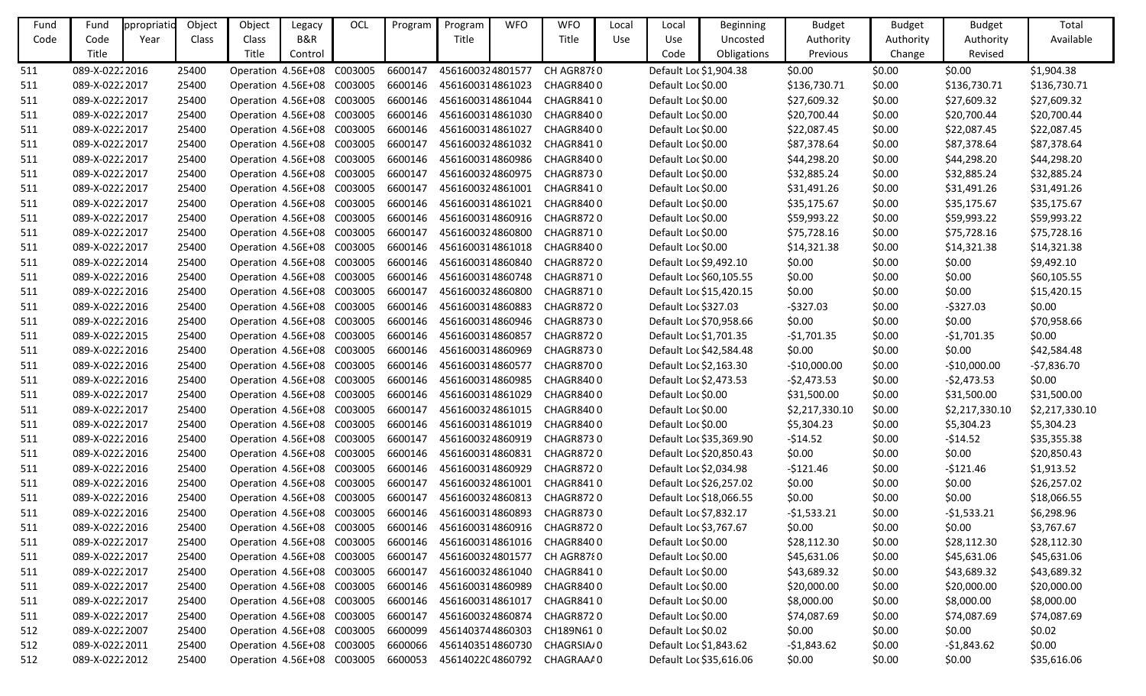| Fund | Fund            | ppropriatio | Object | Object                             | Legacy  | OCL     | Program | Program          | <b>WFO</b> | <b>WFO</b>                 | Local | Local              | <b>Beginning</b>        | <b>Budget</b>  | <b>Budget</b> | <b>Budget</b>  | Total          |
|------|-----------------|-------------|--------|------------------------------------|---------|---------|---------|------------------|------------|----------------------------|-------|--------------------|-------------------------|----------------|---------------|----------------|----------------|
| Code | Code            | Year        | Class  | Class                              | B&R     |         |         | Title            |            | Title                      | Use   | <b>Use</b>         | Uncosted                | Authority      | Authority     | Authority      | Available      |
|      | Title           |             |        | Title                              | Control |         |         |                  |            |                            |       | Code               | Obligations             | Previous       | Change        | Revised        |                |
| 511  | 089-X-02222016  |             | 25400  | Operation 4.56E+08                 |         | C003005 | 6600147 | 4561600324801577 |            | CH AGR8780                 |       |                    | Default Loc \$1,904.38  | \$0.00         | \$0.00        | \$0.00         | \$1,904.38     |
| 511  | 089-X-02222017  |             | 25400  | Operation 4.56E+08                 |         | C003005 | 6600146 | 4561600314861023 |            | CHAGR8400                  |       | Default Loc \$0.00 |                         | \$136,730.71   | \$0.00        | \$136,730.71   | \$136,730.71   |
| 511  | 089-X-02222017  |             | 25400  | Operation 4.56E+08 C003005         |         |         | 6600146 | 4561600314861044 |            | CHAGR8410                  |       | Default Loc \$0.00 |                         | \$27,609.32    | \$0.00        | \$27,609.32    | \$27,609.32    |
| 511  | 089-X-02222017  |             | 25400  | Operation 4.56E+08 C003005         |         |         | 6600146 | 4561600314861030 |            | CHAGR8400                  |       | Default Loc \$0.00 |                         | \$20,700.44    | \$0.00        | \$20,700.44    | \$20,700.44    |
| 511  | 089-X-02222017  |             | 25400  | Operation 4.56E+08 C003005         |         |         | 6600146 | 4561600314861027 |            | CHAGR8400                  |       | Default Loc \$0.00 |                         | \$22,087.45    | \$0.00        | \$22,087.45    | \$22,087.45    |
| 511  | 089-X-02222017  |             | 25400  | Operation 4.56E+08 C003005         |         |         | 6600147 | 4561600324861032 |            | CHAGR8410                  |       | Default Loc \$0.00 |                         | \$87,378.64    | \$0.00        | \$87,378.64    | \$87,378.64    |
| 511  | 089-X-02222017  |             | 25400  | Operation 4.56E+08 C003005         |         |         | 6600146 | 4561600314860986 |            | CHAGR8400                  |       | Default Loc \$0.00 |                         | \$44,298.20    | \$0.00        | \$44,298.20    | \$44,298.20    |
| 511  | 089-X-02222017  |             | 25400  | Operation 4.56E+08 C003005         |         |         | 6600147 | 4561600324860975 |            | <b>CHAGR8730</b>           |       | Default Loc \$0.00 |                         | \$32,885.24    | \$0.00        | \$32,885.24    | \$32,885.24    |
| 511  | 089-X-02222017  |             | 25400  | Operation 4.56E+08 C003005         |         |         | 6600147 |                  |            | 4561600324861001 CHAGR8410 |       | Default Loc \$0.00 |                         | \$31,491.26    | \$0.00        | \$31,491.26    | \$31,491.26    |
| 511  | 089-X-02222017  |             | 25400  | Operation 4.56E+08                 |         | C003005 | 6600146 | 4561600314861021 |            | CHAGR8400                  |       | Default Loc \$0.00 |                         | \$35,175.67    | \$0.00        | \$35,175.67    | \$35,175.67    |
| 511  | 089-X-02222017  |             | 25400  | Operation 4.56E+08 C003005         |         |         | 6600146 | 4561600314860916 |            | CHAGR8720                  |       | Default Loc \$0.00 |                         | \$59,993.22    | \$0.00        | \$59,993.22    | \$59,993.22    |
| 511  | 089-X-02222017  |             | 25400  | Operation 4.56E+08 C003005         |         |         | 6600147 | 4561600324860800 |            | <b>CHAGR8710</b>           |       | Default Loc \$0.00 |                         | \$75,728.16    | \$0.00        | \$75,728.16    | \$75,728.16    |
| 511  | 089-X-02222017  |             | 25400  | Operation 4.56E+08 C003005         |         |         | 6600146 | 4561600314861018 |            | CHAGR8400                  |       | Default Loc \$0.00 |                         | \$14,321.38    | \$0.00        | \$14,321.38    | \$14,321.38    |
| 511  | 089-X-02222014  |             | 25400  | Operation 4.56E+08 C003005         |         |         | 6600146 | 4561600314860840 |            | CHAGR8720                  |       |                    | Default Loc \$9,492.10  | \$0.00         | \$0.00        | \$0.00         | \$9,492.10     |
| 511  | 089-X-02222016  |             | 25400  | Operation 4.56E+08 C003005         |         |         | 6600146 | 4561600314860748 |            | CHAGR8710                  |       |                    | Default Loc \$60,105.55 | \$0.00         | \$0.00        | \$0.00         | \$60,105.55    |
| 511  | 089-X-02222016  |             | 25400  | Operation 4.56E+08 C003005         |         |         | 6600147 | 4561600324860800 |            | <b>CHAGR8710</b>           |       |                    | Default Loc \$15,420.15 | \$0.00         | \$0.00        | \$0.00         | \$15,420.15    |
| 511  | 089-X-02222016  |             | 25400  | Operation 4.56E+08 C003005         |         |         | 6600146 | 4561600314860883 |            | <b>CHAGR8720</b>           |       |                    | Default Loc \$327.03    | $-5327.03$     | \$0.00        | $-$327.03$     | \$0.00         |
| 511  | 089-X-02222016  |             | 25400  | Operation 4.56E+08                 |         | C003005 | 6600146 | 4561600314860946 |            | <b>CHAGR8730</b>           |       |                    | Default Loc \$70,958.66 | \$0.00         | \$0.00        | \$0.00         | \$70,958.66    |
| 511  | 089-X-02222015  |             | 25400  | Operation 4.56E+08 C003005         |         |         | 6600146 | 4561600314860857 |            | CHAGR8720                  |       |                    | Default Loc \$1,701.35  | $-$1,701.35$   | \$0.00        | $-$1,701.35$   | \$0.00         |
| 511  | 089-X-02222016  |             | 25400  | Operation 4.56E+08 C003005         |         |         | 6600146 | 4561600314860969 |            | <b>CHAGR8730</b>           |       |                    | Default Loc \$42,584.48 | \$0.00         | \$0.00        | \$0.00         | \$42,584.48    |
| 511  | 089-X-02222016  |             | 25400  | Operation 4.56E+08 C003005         |         |         | 6600146 | 4561600314860577 |            | CHAGR8700                  |       |                    | Default Loc \$2,163.30  | $-$10,000.00$  | \$0.00        | $-$10,000.00$  | $-57,836.70$   |
| 511  | 089-X-02222016  |             | 25400  | Operation 4.56E+08 C003005         |         |         | 6600146 | 4561600314860985 |            | CHAGR8400                  |       |                    | Default Loc \$2,473.53  | $-52,473.53$   | \$0.00        | $-52,473.53$   | \$0.00         |
| 511  | 089-X-02222017  |             | 25400  | Operation 4.56E+08 C003005         |         |         | 6600146 | 4561600314861029 |            | CHAGR8400                  |       | Default Loc \$0.00 |                         | \$31,500.00    | \$0.00        | \$31,500.00    | \$31,500.00    |
| 511  | 089-X-02222017  |             | 25400  | Operation 4.56E+08 C003005         |         |         | 6600147 | 4561600324861015 |            | CHAGR8400                  |       | Default Loc \$0.00 |                         | \$2,217,330.10 | \$0.00        | \$2,217,330.10 | \$2,217,330.10 |
| 511  | 089-X-02222017  |             | 25400  | Operation 4.56E+08 C003005         |         |         | 6600146 | 4561600314861019 |            | CHAGR8400                  |       | Default Loc \$0.00 |                         | \$5,304.23     | \$0.00        | \$5,304.23     | \$5,304.23     |
| 511  | 089-X-02222016  |             | 25400  | Operation 4.56E+08                 |         | C003005 | 6600147 | 4561600324860919 |            | <b>CHAGR8730</b>           |       |                    | Default Loc \$35,369.90 | $-514.52$      | \$0.00        | $-514.52$      | \$35,355.38    |
| 511  | 089-X-02222016  |             | 25400  | Operation 4.56E+08 C003005         |         |         | 6600146 | 4561600314860831 |            | CHAGR8720                  |       |                    | Default Loc \$20,850.43 | \$0.00         | \$0.00        | \$0.00         | \$20,850.43    |
| 511  | 089-X-02222016  |             | 25400  | Operation 4.56E+08 C003005         |         |         | 6600146 | 4561600314860929 |            | CHAGR872 0                 |       |                    | Default Loc \$2,034.98  | $-5121.46$     | \$0.00        | $-$121.46$     | \$1,913.52     |
| 511  | 089-X-0222 2016 |             | 25400  | Operation 4.56E+08 C003005 6600147 |         |         |         |                  |            | 4561600324861001 CHAGR8410 |       |                    | Default Loc \$26,257.02 | \$0.00         | \$0.00        | \$0.00         | \$26,257.02    |
| 511  | 089-X-02222016  |             | 25400  | Operation 4.56E+08 C003005         |         |         | 6600147 | 4561600324860813 |            | CHAGR8720                  |       |                    | Default Loc \$18,066.55 | \$0.00         | \$0.00        | \$0.00         | \$18,066.55    |
| 511  | 089-X-02222016  |             | 25400  | Operation 4.56E+08 C003005         |         |         | 6600146 | 4561600314860893 |            | CHAGR8730                  |       |                    | Default Loc \$7,832.17  | $-51,533.21$   | \$0.00        | $-51,533.21$   | \$6,298.96     |
| 511  | 089-X-02222016  |             | 25400  | Operation 4.56E+08 C003005         |         |         | 6600146 |                  |            | 4561600314860916 CHAGR8720 |       |                    | Default Loc \$3,767.67  | \$0.00         | \$0.00        | \$0.00         | \$3,767.67     |
| 511  | 089-X-02222017  |             | 25400  | Operation 4.56E+08 C003005         |         |         | 6600146 |                  |            | 4561600314861016 CHAGR8400 |       | Default Loc \$0.00 |                         | \$28,112.30    | \$0.00        | \$28,112.30    | \$28,112.30    |
| 511  | 089-X-02222017  |             | 25400  | Operation 4.56E+08 C003005         |         |         | 6600147 | 4561600324801577 |            | CH AGR8780                 |       | Default Loc \$0.00 |                         | \$45,631.06    | \$0.00        | \$45,631.06    | \$45,631.06    |
| 511  | 089-X-02222017  |             | 25400  | Operation 4.56E+08 C003005         |         |         | 6600147 | 4561600324861040 |            | CHAGR8410                  |       | Default Loc \$0.00 |                         | \$43,689.32    | \$0.00        | \$43,689.32    | \$43,689.32    |
| 511  | 089-X-02222017  |             | 25400  | Operation 4.56E+08 C003005         |         |         | 6600146 | 4561600314860989 |            | CHAGR8400                  |       | Default Loc \$0.00 |                         | \$20,000.00    | \$0.00        | \$20,000.00    | \$20,000.00    |
| 511  | 089-X-02222017  |             | 25400  | Operation 4.56E+08 C003005         |         |         | 6600146 | 4561600314861017 |            | CHAGR8410                  |       | Default Loc \$0.00 |                         | \$8,000.00     | \$0.00        | \$8,000.00     | \$8,000.00     |
| 511  | 089-X-02222017  |             | 25400  | Operation 4.56E+08 C003005         |         |         | 6600147 | 4561600324860874 |            | CHAGR8720                  |       | Default Loc \$0.00 |                         | \$74,087.69    | \$0.00        | \$74,087.69    | \$74,087.69    |
| 512  | 089-X-02222007  |             | 25400  | Operation 4.56E+08 C003005         |         |         | 6600099 | 4561403744860303 |            | CH189N610                  |       | Default Loc \$0.02 |                         | \$0.00         | \$0.00        | \$0.00         | \$0.02         |
| 512  | 089-X-02222011  |             | 25400  | Operation 4.56E+08 C003005         |         |         | 6600066 | 4561403514860730 |            | CHAGRSIA/0                 |       |                    | Default Loc \$1,843.62  | $-51,843.62$   | \$0.00        | $-$1,843.62$   | \$0.00         |
| 512  | 089-X-02222012  |             | 25400  | Operation 4.56E+08 C003005         |         |         | 6600053 |                  |            | 4561402204860792 CHAGRAAA0 |       |                    | Default Loc \$35,616.06 | \$0.00         | \$0.00        | \$0.00         | \$35,616.06    |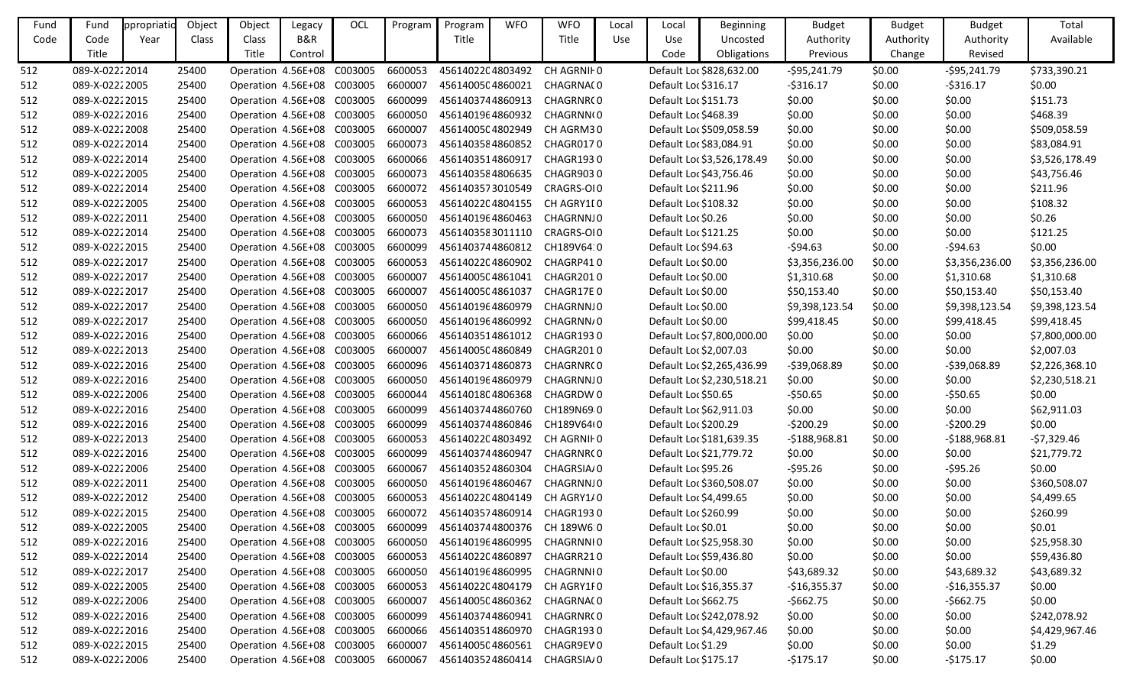| Fund | Fund           | ppropriatio | Object | Object                             | Legacy  | OCL     | Program | Program          | <b>WFO</b> | <b>WFO</b>                   | Local      | Local                | <b>Beginning</b>           | <b>Budget</b>  | <b>Budget</b> | <b>Budget</b>  | Total          |
|------|----------------|-------------|--------|------------------------------------|---------|---------|---------|------------------|------------|------------------------------|------------|----------------------|----------------------------|----------------|---------------|----------------|----------------|
| Code | Code           | Year        | Class  | Class                              | B&R     |         |         | Title            |            | Title                        | <b>Use</b> | Use                  | Uncosted                   | Authority      | Authority     | Authority      | Available      |
|      | Title          |             |        | Title                              | Control |         |         |                  |            |                              |            | Code                 | Obligations                | Previous       | Change        | Revised        |                |
| 512  | 089-X-02222014 |             | 25400  | Operation 4.56E+08                 |         | C003005 | 6600053 | 4561402204803492 |            | CH AGRNII 0                  |            |                      | Default Loc \$828,632.00   | $-595,241.79$  | \$0.00        | $-595,241.79$  | \$733,390.21   |
| 512  | 089-X-02222005 |             | 25400  | Operation 4.56E+08 C003005         |         |         | 6600007 | 4561400504860021 |            | CHAGRNA(0                    |            | Default Loc \$316.17 |                            | $-5316.17$     | \$0.00        | $-5316.17$     | \$0.00         |
| 512  | 089-X-02222015 |             | 25400  | Operation 4.56E+08 C003005         |         |         | 6600099 | 4561403744860913 |            | CHAGRNR(0                    |            | Default Loc \$151.73 |                            | \$0.00         | \$0.00        | \$0.00         | \$151.73       |
| 512  | 089-X-02222016 |             | 25400  | Operation 4.56E+08 C003005         |         |         | 6600050 | 4561401964860932 |            | CHAGRNN(0                    |            | Default Loc \$468.39 |                            | \$0.00         | \$0.00        | \$0.00         | \$468.39       |
| 512  | 089-X-02222008 |             | 25400  | Operation 4.56E+08                 |         | C003005 | 6600007 | 4561400504802949 |            | CH AGRM30                    |            |                      | Default Loc \$509,058.59   | \$0.00         | \$0.00        | \$0.00         | \$509,058.59   |
| 512  | 089-X-02222014 |             | 25400  | Operation 4.56E+08 C003005         |         |         | 6600073 | 4561403584860852 |            | CHAGR0170                    |            |                      | Default Loc \$83,084.91    | \$0.00         | \$0.00        | \$0.00         | \$83,084.91    |
| 512  | 089-X-02222014 |             | 25400  | Operation 4.56E+08                 |         | C003005 | 6600066 | 4561403514860917 |            | CHAGR1930                    |            |                      | Default Loc \$3,526,178.49 | \$0.00         | \$0.00        | \$0.00         | \$3,526,178.49 |
| 512  | 089-X-02222005 |             | 25400  | Operation 4.56E+08 C003005         |         |         | 6600073 | 4561403584806635 |            | CHAGR9030                    |            |                      | Default Loc \$43,756.46    | \$0.00         | \$0.00        | \$0.00         | \$43,756.46    |
| 512  | 089-X-02222014 |             | 25400  | Operation 4.56E+08 C003005         |         |         | 6600072 | 4561403573010549 |            | CRAGRS-OI0                   |            | Default Loc \$211.96 |                            | \$0.00         | \$0.00        | \$0.00         | \$211.96       |
| 512  | 089-X-02222005 |             | 25400  | Operation 4.56E+08                 |         | C003005 | 6600053 | 4561402204804155 |            | CH AGRY1[0                   |            | Default Loc \$108.32 |                            | \$0.00         | \$0.00        | \$0.00         | \$108.32       |
| 512  | 089-X-02222011 |             | 25400  | Operation 4.56E+08                 |         | C003005 | 6600050 | 4561401964860463 |            | CHAGRNNJ0                    |            | Default Loc \$0.26   |                            | \$0.00         | \$0.00        | \$0.00         | \$0.26         |
| 512  | 089-X-02222014 |             | 25400  | Operation 4.56E+08                 |         | C003005 | 6600073 | 4561403583011110 |            | CRAGRS-OI0                   |            | Default Loc \$121.25 |                            | \$0.00         | \$0.00        | \$0.00         | \$121.25       |
| 512  | 089-X-02222015 |             | 25400  | Operation 4.56E+08 C003005         |         |         | 6600099 | 4561403744860812 |            | CH189V64:0                   |            | Default Loc \$94.63  |                            | $-594.63$      | \$0.00        | $-594.63$      | \$0.00         |
| 512  | 089-X-02222017 |             | 25400  | Operation 4.56E+08 C003005         |         |         | 6600053 |                  |            | 4561402204860902 CHAGRP410   |            | Default Loc \$0.00   |                            | \$3,356,236.00 | \$0.00        | \$3,356,236.00 | \$3,356,236.00 |
| 512  | 089-X-02222017 |             | 25400  | Operation 4.56E+08 C003005         |         |         | 6600007 | 4561400504861041 |            | CHAGR2010                    |            | Default Loc \$0.00   |                            | \$1,310.68     | \$0.00        | \$1,310.68     | \$1,310.68     |
| 512  | 089-X-02222017 |             | 25400  | Operation 4.56E+08 C003005         |         |         | 6600007 | 4561400504861037 |            | CHAGR17E0                    |            | Default Loc \$0.00   |                            | \$50,153.40    | \$0.00        | \$50,153.40    | \$50,153.40    |
| 512  | 089-X-02222017 |             | 25400  | Operation 4.56E+08 C003005         |         |         | 6600050 | 4561401964860979 |            | CHAGRNNJ0                    |            | Default Loc \$0.00   |                            | \$9,398,123.54 | \$0.00        | \$9,398,123.54 | \$9,398,123.54 |
| 512  | 089-X-02222017 |             | 25400  | Operation 4.56E+08 C003005         |         |         | 6600050 | 4561401964860992 |            | CHAGRNN/0                    |            | Default Loc \$0.00   |                            | \$99,418.45    | \$0.00        | \$99,418.45    | \$99,418.45    |
| 512  | 089-X-02222016 |             | 25400  | Operation 4.56E+08 C003005         |         |         | 6600066 | 4561403514861012 |            | CHAGR1930                    |            |                      | Default Loc \$7,800,000.00 | \$0.00         | \$0.00        | \$0.00         | \$7,800,000.00 |
| 512  | 089-X-02222013 |             | 25400  | Operation 4.56E+08 C003005         |         |         | 6600007 | 4561400504860849 |            | CHAGR2010                    |            |                      | Default Loc \$2,007.03     | \$0.00         | \$0.00        | \$0.00         | \$2,007.03     |
| 512  | 089-X-02222016 |             | 25400  | Operation 4.56E+08                 |         | C003005 | 6600096 | 4561403714860873 |            | CHAGRNR(0                    |            |                      | Default Loc \$2,265,436.99 | $-539,068.89$  | \$0.00        | -\$39,068.89   | \$2,226,368.10 |
| 512  | 089-X-02222016 |             | 25400  | Operation 4.56E+08 C003005         |         |         | 6600050 | 4561401964860979 |            | CHAGRNNJ0                    |            |                      | Default Loc \$2,230,518.21 | \$0.00         | \$0.00        | \$0.00         | \$2,230,518.21 |
| 512  | 089-X-02222006 |             | 25400  | Operation 4.56E+08                 |         | C003005 | 6600044 | 4561401804806368 |            | CHAGRDW 0                    |            | Default Loc \$50.65  |                            | $-550.65$      | \$0.00        | $-550.65$      | \$0.00         |
| 512  | 089-X-02222016 |             | 25400  | Operation 4.56E+08 C003005         |         |         | 6600099 | 4561403744860760 |            | CH189N69 0                   |            |                      | Default Loc \$62,911.03    | \$0.00         | \$0.00        | \$0.00         | \$62,911.03    |
| 512  | 089-X-02222016 |             | 25400  | Operation 4.56E+08 C003005         |         |         | 6600099 |                  |            | 4561403744860846 CH189V64t0  |            | Default Loc \$200.29 |                            | $-5200.29$     | \$0.00        | $-5200.29$     | \$0.00         |
| 512  | 089-X-02222013 |             | 25400  | Operation 4.56E+08                 |         | C003005 | 6600053 |                  |            | 4561402204803492 CH AGRNIF 0 |            |                      | Default Loc \$181,639.35   | $-5188,968.81$ | \$0.00        | $-5188,968.81$ | -\$7,329.46    |
| 512  | 089-X-02222016 |             | 25400  | Operation 4.56E+08 C003005         |         |         | 6600099 | 4561403744860947 |            | CHAGRNR(0                    |            |                      | Default Loc \$21,779.72    | \$0.00         | \$0.00        | \$0.00         | \$21,779.72    |
| 512  | 089-X-02222006 |             | 25400  | Operation 4.56E+08 C003005         |         |         | 6600067 | 4561403524860304 |            | CHAGRSIA/0                   |            | Default Loc \$95.26  |                            | $-$ \$95.26    | \$0.00        | $-595.26$      | \$0.00         |
| 512  | 089-X-02222011 |             | 25400  | Operation 4.56E+08 C003005 6600050 |         |         |         |                  |            | 4561401964860467 CHAGRNNJ0   |            |                      | Default Loc \$360,508.07   | \$0.00         | \$0.00        | \$0.00         | \$360,508.07   |
| 512  | 089-X-02222012 |             | 25400  | Operation 4.56E+08 C003005         |         |         | 6600053 | 4561402204804149 |            | CH AGRY1/0                   |            |                      | Default Loc \$4,499.65     | \$0.00         | \$0.00        | \$0.00         | \$4,499.65     |
| 512  | 089-X-02222015 |             | 25400  | Operation 4.56E+08 C003005         |         |         | 6600072 | 4561403574860914 |            | CHAGR1930                    |            | Default Loc \$260.99 |                            | \$0.00         | \$0.00        | \$0.00         | \$260.99       |
| 512  | 089-X-02222005 |             | 25400  | Operation 4.56E+08 C003005         |         |         | 6600099 |                  |            | 4561403744800376 CH 189W6 0  |            | Default Loc \$0.01   |                            | \$0.00         | \$0.00        | \$0.00         | \$0.01         |
| 512  | 089-X-02222016 |             | 25400  | Operation 4.56E+08 C003005         |         |         | 6600050 | 4561401964860995 |            | CHAGRNNI0                    |            |                      | Default Loc \$25,958.30    | \$0.00         | \$0.00        | \$0.00         | \$25,958.30    |
| 512  | 089-X-02222014 |             | 25400  | Operation 4.56E+08 C003005         |         |         | 6600053 | 4561402204860897 |            | CHAGRR210                    |            |                      | Default Loc \$59,436.80    | \$0.00         | \$0.00        | \$0.00         | \$59,436.80    |
| 512  | 089-X-02222017 |             | 25400  | Operation 4.56E+08 C003005         |         |         | 6600050 | 4561401964860995 |            | CHAGRNNI0                    |            | Default Loc \$0.00   |                            | \$43,689.32    | \$0.00        | \$43,689.32    | \$43,689.32    |
| 512  | 089-X-02222005 |             | 25400  | Operation 4.56E+08 C003005         |         |         | 6600053 | 4561402204804179 |            | CH AGRY1F0                   |            |                      | Default Loc \$16,355.37    | $-$16,355.37$  | \$0.00        | $-$16,355.37$  | \$0.00         |
| 512  | 089-X-02222006 |             | 25400  | Operation 4.56E+08 C003005         |         |         | 6600007 | 4561400504860362 |            | CHAGRNA(0                    |            | Default Loc \$662.75 |                            | $-5662.75$     | \$0.00        | $-5662.75$     | \$0.00         |
| 512  | 089-X-02222016 |             | 25400  | Operation 4.56E+08 C003005         |         |         | 6600099 | 4561403744860941 |            | CHAGRNR(0                    |            |                      | Default Loc \$242,078.92   | \$0.00         | \$0.00        | \$0.00         | \$242,078.92   |
| 512  | 089-X-02222016 |             | 25400  | Operation 4.56E+08 C003005         |         |         | 6600066 | 4561403514860970 |            | CHAGR1930                    |            |                      | Default Loc \$4,429,967.46 | \$0.00         | \$0.00        | \$0.00         | \$4,429,967.46 |
| 512  | 089-X-02222015 |             | 25400  | Operation 4.56E+08 C003005         |         |         | 6600007 | 4561400504860561 |            | CHAGR9EV0                    |            | Default Loc \$1.29   |                            | \$0.00         | \$0.00        | \$0.00         | \$1.29         |
| 512  | 089-X-02222006 |             | 25400  | Operation 4.56E+08 C003005         |         |         | 6600067 | 4561403524860414 |            | CHAGRSIA/0                   |            | Default Loc \$175.17 |                            | $-5175.17$     | \$0.00        | $-5175.17$     | \$0.00         |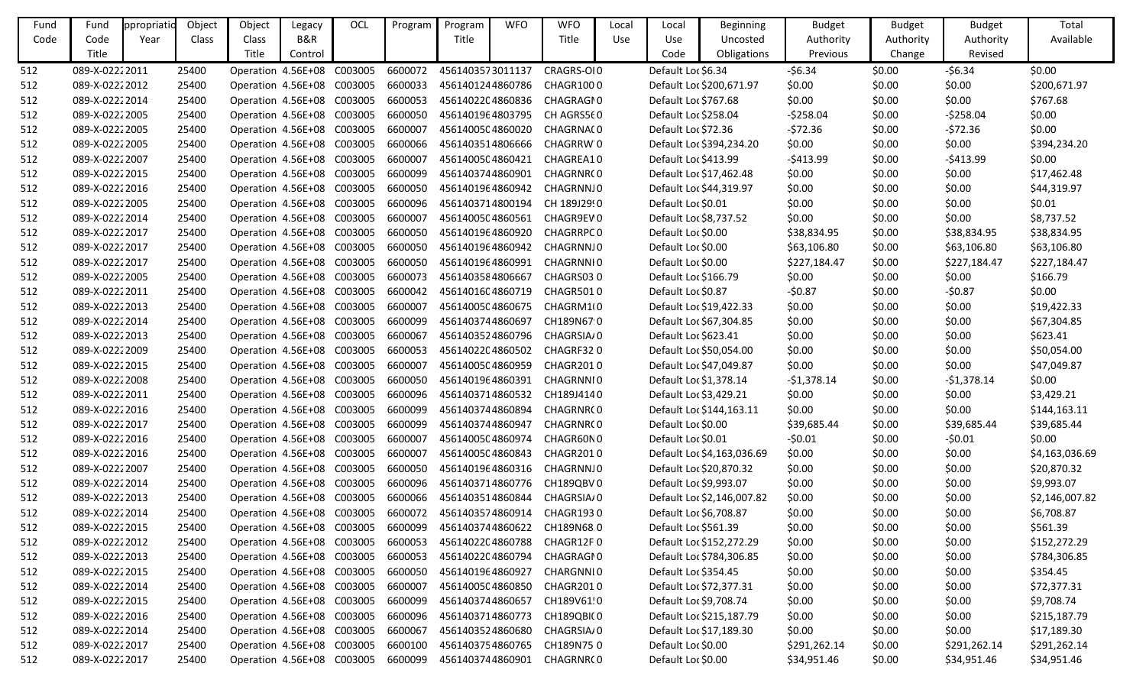| Fund | Fund           | ppropriatio | Object | Object                             | Legacy  | OCL | Program | Program          | <b>WFO</b> | <b>WFO</b>                 | Local | Local                  | Beginning                  | <b>Budget</b> | <b>Budget</b> | <b>Budget</b> | Total          |
|------|----------------|-------------|--------|------------------------------------|---------|-----|---------|------------------|------------|----------------------------|-------|------------------------|----------------------------|---------------|---------------|---------------|----------------|
| Code | Code           | Year        | Class  | Class                              | B&R     |     |         | Title            |            | Title                      | Use   | Use                    | Uncosted                   | Authority     | Authority     | Authority     | Available      |
|      | Title          |             |        | Title                              | Control |     |         |                  |            |                            |       | Code                   | Obligations                | Previous      | Change        | Revised       |                |
| 512  | 089-X-02222011 |             | 25400  | Operation 4.56E+08 C003005         |         |     | 6600072 | 4561403573011137 |            | CRAGRS-OI0                 |       | Default Loc \$6.34     |                            | $-56.34$      | \$0.00        | $-56.34$      | \$0.00         |
| 512  | 089-X-02222012 |             | 25400  | Operation 4.56E+08 C003005         |         |     | 6600033 | 4561401244860786 |            | CHAGR1000                  |       |                        | Default Loc \$200,671.97   | \$0.00        | \$0.00        | \$0.00        | \$200,671.97   |
| 512  | 089-X-02222014 |             | 25400  | Operation 4.56E+08 C003005         |         |     | 6600053 | 4561402204860836 |            | CHAGRAGI0                  |       | Default Loc \$767.68   |                            | \$0.00        | \$0.00        | \$0.00        | \$767.68       |
| 512  | 089-X-02222005 |             | 25400  | Operation 4.56E+08 C003005         |         |     | 6600050 | 4561401964803795 |            | CH AGRS560                 |       | Default Loc \$258.04   |                            | $-5258.04$    | \$0.00        | $-5258.04$    | \$0.00         |
| 512  | 089-X-02222005 |             | 25400  | Operation 4.56E+08 C003005         |         |     | 6600007 | 4561400504860020 |            | CHAGRNA(0                  |       | Default Loc \$72.36    |                            | $-572.36$     | \$0.00        | $-572.36$     | \$0.00         |
| 512  | 089-X-02222005 |             | 25400  | Operation 4.56E+08 C003005         |         |     | 6600066 | 4561403514806666 |            | CHAGRRW'O                  |       |                        | Default Loc \$394,234.20   | \$0.00        | \$0.00        | \$0.00        | \$394,234.20   |
| 512  | 089-X-02222007 |             | 25400  | Operation 4.56E+08 C003005         |         |     | 6600007 | 4561400504860421 |            | CHAGREA10                  |       | Default Loc \$413.99   |                            | $-5413.99$    | \$0.00        | $-5413.99$    | \$0.00         |
| 512  | 089-X-02222015 |             | 25400  | Operation 4.56E+08 C003005         |         |     | 6600099 | 4561403744860901 |            | CHAGRNR(0                  |       |                        | Default Loc \$17,462.48    | \$0.00        | \$0.00        | \$0.00        | \$17,462.48    |
| 512  | 089-X-02222016 |             | 25400  | Operation 4.56E+08 C003005         |         |     | 6600050 | 4561401964860942 |            | CHAGRNNJ0                  |       |                        | Default Loc \$44,319.97    | \$0.00        | \$0.00        | \$0.00        | \$44,319.97    |
| 512  | 089-X-02222005 |             | 25400  | Operation 4.56E+08 C003005         |         |     | 6600096 | 4561403714800194 |            | CH 189J2990                |       | Default Loc \$0.01     |                            | \$0.00        | \$0.00        | \$0.00        | \$0.01         |
| 512  | 089-X-02222014 |             | 25400  | Operation 4.56E+08 C003005         |         |     | 6600007 | 4561400504860561 |            | CHAGR9EV0                  |       | Default Loc \$8,737.52 |                            | \$0.00        | \$0.00        | \$0.00        | \$8,737.52     |
| 512  | 089-X-02222017 |             | 25400  | Operation 4.56E+08 C003005         |         |     | 6600050 | 4561401964860920 |            | CHAGRRPC0                  |       | Default Loc \$0.00     |                            | \$38,834.95   | \$0.00        | \$38,834.95   | \$38,834.95    |
| 512  | 089-X-02222017 |             | 25400  | Operation 4.56E+08 C003005         |         |     | 6600050 | 4561401964860942 |            | CHAGRNNJ0                  |       | Default Loc \$0.00     |                            | \$63,106.80   | \$0.00        | \$63,106.80   | \$63,106.80    |
| 512  | 089-X-02222017 |             | 25400  | Operation 4.56E+08 C003005         |         |     | 6600050 | 4561401964860991 |            | CHAGRNNI0                  |       | Default Loc \$0.00     |                            | \$227,184.47  | \$0.00        | \$227,184.47  | \$227,184.47   |
| 512  | 089-X-02222005 |             | 25400  | Operation 4.56E+08 C003005         |         |     | 6600073 | 4561403584806667 |            | CHAGRS030                  |       | Default Loc \$166.79   |                            | \$0.00        | \$0.00        | \$0.00        | \$166.79       |
| 512  | 089-X-02222011 |             | 25400  | Operation 4.56E+08 C003005         |         |     | 6600042 | 4561401604860719 |            | CHAGR5010                  |       | Default Loc \$0.87     |                            | $-50.87$      | \$0.00        | $-50.87$      | \$0.00         |
| 512  | 089-X-02222013 |             | 25400  | Operation 4.56E+08 C003005         |         |     | 6600007 | 4561400504860675 |            | CHAGRM1(0                  |       |                        | Default Loc \$19,422.33    | \$0.00        | \$0.00        | \$0.00        | \$19,422.33    |
| 512  | 089-X-02222014 |             | 25400  | Operation 4.56E+08 C003005         |         |     | 6600099 | 4561403744860697 |            | CH189N67 0                 |       |                        | Default Loc \$67,304.85    | \$0.00        | \$0.00        | \$0.00        | \$67,304.85    |
| 512  | 089-X-02222013 |             | 25400  | Operation 4.56E+08 C003005         |         |     | 6600067 | 4561403524860796 |            | CHAGRSIA/0                 |       | Default Loc \$623.41   |                            | \$0.00        | \$0.00        | \$0.00        | \$623.41       |
| 512  | 089-X-02222009 |             | 25400  | Operation 4.56E+08 C003005         |         |     | 6600053 | 4561402204860502 |            | CHAGRF320                  |       |                        | Default Loc \$50,054.00    | \$0.00        | \$0.00        | \$0.00        | \$50,054.00    |
| 512  | 089-X-02222015 |             | 25400  | Operation 4.56E+08 C003005         |         |     | 6600007 | 4561400504860959 |            | CHAGR2010                  |       |                        | Default Loc \$47,049.87    | \$0.00        | \$0.00        | \$0.00        | \$47,049.87    |
| 512  | 089-X-02222008 |             | 25400  | Operation 4.56E+08 C003005         |         |     | 6600050 | 4561401964860391 |            | CHAGRNNI0                  |       | Default Loc \$1,378.14 |                            | $-51,378.14$  | \$0.00        | $-51,378.14$  | \$0.00         |
| 512  | 089-X-02222011 |             | 25400  | Operation 4.56E+08 C003005         |         |     | 6600096 | 4561403714860532 |            | CH189J4140                 |       | Default Loc \$3,429.21 |                            | \$0.00        | \$0.00        | \$0.00        | \$3,429.21     |
| 512  | 089-X-02222016 |             | 25400  | Operation 4.56E+08 C003005         |         |     | 6600099 | 4561403744860894 |            | CHAGRNR(0                  |       |                        | Default Loc \$144,163.11   | \$0.00        | \$0.00        | \$0.00        | \$144,163.11   |
| 512  | 089-X-02222017 |             | 25400  | Operation 4.56E+08 C003005         |         |     | 6600099 | 4561403744860947 |            | CHAGRNR(0                  |       | Default Loc \$0.00     |                            | \$39,685.44   | \$0.00        | \$39,685.44   | \$39,685.44    |
| 512  | 089-X-02222016 |             | 25400  | Operation 4.56E+08 C003005         |         |     | 6600007 | 4561400504860974 |            | CHAGR60N0                  |       | Default Loc \$0.01     |                            | $-50.01$      | \$0.00        | $-50.01$      | \$0.00         |
| 512  | 089-X-02222016 |             | 25400  | Operation 4.56E+08 C003005         |         |     | 6600007 | 4561400504860843 |            | CHAGR2010                  |       |                        | Default Loc \$4,163,036.69 | \$0.00        | \$0.00        | \$0.00        | \$4,163,036.69 |
| 512  | 089-X-02222007 |             | 25400  | Operation 4.56E+08 C003005         |         |     | 6600050 | 4561401964860316 |            | CHAGRNNJ0                  |       |                        | Default Loc \$20,870.32    | \$0.00        | \$0.00        | \$0.00        | \$20,870.32    |
| 512  | 089-X-02222014 |             | 25400  | Operation 4.56E+08 C003005 6600096 |         |     |         |                  |            | 4561403714860776 CH189QBV0 |       | Default Loc \$9,993.07 |                            | \$0.00        | \$0.00        | \$0.00        | \$9,993.07     |
| 512  | 089-X-02222013 |             | 25400  | Operation 4.56E+08 C003005         |         |     | 6600066 | 4561403514860844 |            | CHAGRSIA/0                 |       |                        | Default Loc \$2,146,007.82 | \$0.00        | \$0.00        | \$0.00        | \$2,146,007.82 |
| 512  | 089-X-02222014 |             | 25400  | Operation 4.56E+08 C003005         |         |     | 6600072 | 4561403574860914 |            | CHAGR1930                  |       | Default Loc \$6,708.87 |                            | \$0.00        | \$0.00        | \$0.00        | \$6,708.87     |
| 512  | 089-X-02222015 |             | 25400  | Operation 4.56E+08 C003005         |         |     | 6600099 | 4561403744860622 |            | CH189N68.0                 |       | Default Loc \$561.39   |                            | \$0.00        | \$0.00        | \$0.00        | \$561.39       |
| 512  | 089-X-02222012 |             | 25400  | Operation 4.56E+08 C003005         |         |     | 6600053 | 4561402204860788 |            | CHAGR12F0                  |       |                        | Default Loc \$152,272.29   | \$0.00        | \$0.00        | \$0.00        | \$152,272.29   |
| 512  | 089-X-02222013 |             | 25400  | Operation 4.56E+08 C003005         |         |     | 6600053 | 4561402204860794 |            | CHAGRAGI0                  |       |                        | Default Loc \$784,306.85   | \$0.00        | \$0.00        | \$0.00        | \$784,306.85   |
| 512  | 089-X-02222015 |             | 25400  | Operation 4.56E+08 C003005         |         |     | 6600050 | 4561401964860927 |            | CHARGNNI0                  |       | Default Loc \$354.45   |                            | \$0.00        | \$0.00        | \$0.00        | \$354.45       |
| 512  | 089-X-02222014 |             | 25400  | Operation 4.56E+08 C003005         |         |     | 6600007 | 4561400504860850 |            | CHAGR2010                  |       |                        | Default Loc \$72,377.31    | \$0.00        | \$0.00        | \$0.00        | \$72,377.31    |
| 512  | 089-X-02222015 |             | 25400  | Operation 4.56E+08 C003005         |         |     | 6600099 | 4561403744860657 |            | CH189V61!0                 |       | Default Loc \$9,708.74 |                            | \$0.00        | \$0.00        | \$0.00        | \$9,708.74     |
| 512  | 089-X-02222016 |             | 25400  | Operation 4.56E+08 C003005         |         |     | 6600096 | 4561403714860773 |            | CH189QBI(0                 |       |                        | Default Loc \$215,187.79   | \$0.00        | \$0.00        | \$0.00        | \$215,187.79   |
| 512  | 089-X-02222014 |             | 25400  | Operation 4.56E+08 C003005         |         |     | 6600067 | 4561403524860680 |            | CHAGRSIA/0                 |       |                        | Default Loc \$17,189.30    | \$0.00        | \$0.00        | \$0.00        | \$17,189.30    |
| 512  | 089-X-02222017 |             | 25400  | Operation 4.56E+08 C003005         |         |     | 6600100 | 4561403754860765 |            | CH189N750                  |       | Default Loc \$0.00     |                            | \$291,262.14  | \$0.00        | \$291,262.14  | \$291,262.14   |
| 512  | 089-X-02222017 |             | 25400  | Operation 4.56E+08 C003005         |         |     | 6600099 | 4561403744860901 |            | CHAGRNR(0                  |       | Default Loc \$0.00     |                            | \$34,951.46   | \$0.00        | \$34,951.46   | \$34,951.46    |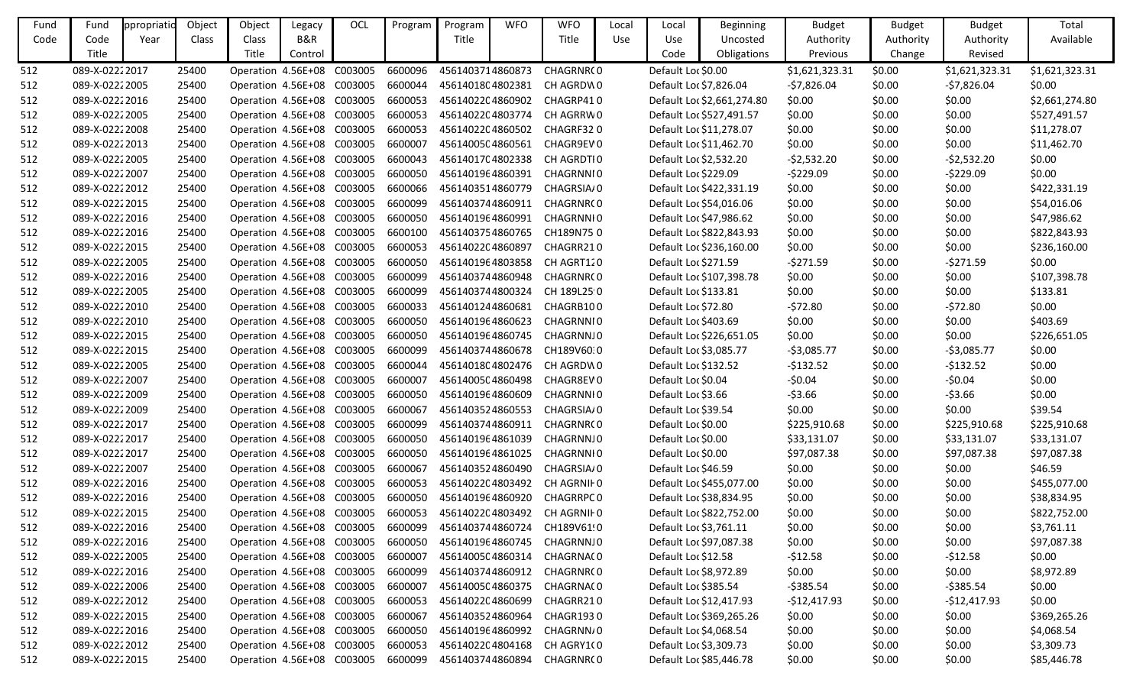| Fund | Fund            | ppropriatio | Object | Object                             | Legacy         | OCL     | Program | Program          | <b>WFO</b> | <b>WFO</b>                  | Local | Local                  | <b>Beginning</b>           | <b>Budget</b>  | <b>Budget</b> | <b>Budget</b>  | Total          |
|------|-----------------|-------------|--------|------------------------------------|----------------|---------|---------|------------------|------------|-----------------------------|-------|------------------------|----------------------------|----------------|---------------|----------------|----------------|
| Code | Code            | Year        | Class  | Class                              | <b>B&amp;R</b> |         |         | Title            |            | Title                       | Use   | Use                    | Uncosted                   | Authority      | Authority     | Authority      | Available      |
|      | Title           |             |        | <b>Title</b>                       | Control        |         |         |                  |            |                             |       | Code                   | Obligations                | Previous       | Change        | Revised        |                |
| 512  | 089-X-02222017  |             | 25400  | Operation 4.56E+08                 |                | C003005 | 6600096 | 4561403714860873 |            | CHAGRNR(0                   |       | Default Loc \$0.00     |                            | \$1,621,323.31 | \$0.00        | \$1,621,323.31 | \$1,621,323.31 |
| 512  | 089-X-02222005  |             | 25400  | Operation 4.56E+08                 |                | C003005 | 6600044 | 4561401804802381 |            | CH AGRDW0                   |       | Default Loc \$7,826.04 |                            | $-57,826.04$   | \$0.00        | -\$7,826.04    | \$0.00         |
| 512  | 089-X-02222016  |             | 25400  | Operation 4.56E+08 C003005         |                |         | 6600053 | 4561402204860902 |            | CHAGRP410                   |       |                        | Default Loc \$2,661,274.80 | \$0.00         | \$0.00        | \$0.00         | \$2,661,274.80 |
| 512  | 089-X-02222005  |             | 25400  | Operation 4.56E+08                 |                | C003005 | 6600053 | 4561402204803774 |            | CH AGRRW0                   |       |                        | Default Loc \$527,491.57   | \$0.00         | \$0.00        | \$0.00         | \$527,491.57   |
| 512  | 089-X-02222008  |             | 25400  | Operation 4.56E+08                 |                | C003005 | 6600053 | 4561402204860502 |            | CHAGRF320                   |       |                        | Default Loc \$11,278.07    | \$0.00         | \$0.00        | \$0.00         | \$11,278.07    |
| 512  | 089-X-02222013  |             | 25400  | Operation 4.56E+08                 |                | C003005 | 6600007 | 4561400504860561 |            | CHAGR9EV0                   |       |                        | Default Loc \$11,462.70    | \$0.00         | \$0.00        | \$0.00         | \$11,462.70    |
| 512  | 089-X-02222005  |             | 25400  | Operation 4.56E+08                 |                | C003005 | 6600043 | 4561401704802338 |            | CH AGRDTIO                  |       |                        | Default Loc \$2,532.20     | $-52,532.20$   | \$0.00        | $-52,532.20$   | \$0.00         |
| 512  | 089-X-02222007  |             | 25400  | Operation 4.56E+08 C003005         |                |         | 6600050 | 4561401964860391 |            | CHAGRNNI0                   |       | Default Loc \$229.09   |                            | $-5229.09$     | \$0.00        | $-5229.09$     | \$0.00         |
| 512  | 089-X-02222012  |             | 25400  | Operation 4.56E+08 C003005         |                |         | 6600066 | 4561403514860779 |            | CHAGRSIA/0                  |       |                        | Default Loc \$422,331.19   | \$0.00         | \$0.00        | \$0.00         | \$422,331.19   |
| 512  | 089-X-02222015  |             | 25400  | Operation 4.56E+08                 |                | C003005 | 6600099 | 4561403744860911 |            | CHAGRNR(0                   |       |                        | Default Loc \$54,016.06    | \$0.00         | \$0.00        | \$0.00         | \$54,016.06    |
| 512  | 089-X-02222016  |             | 25400  | Operation 4.56E+08                 |                | C003005 | 6600050 | 4561401964860991 |            | CHAGRNNI0                   |       |                        | Default Loc \$47,986.62    | \$0.00         | \$0.00        | \$0.00         | \$47,986.62    |
| 512  | 089-X-02222016  |             | 25400  | Operation 4.56E+08                 |                | C003005 | 6600100 | 4561403754860765 |            | CH189N750                   |       |                        | Default Loc \$822,843.93   | \$0.00         | \$0.00        | \$0.00         | \$822,843.93   |
| 512  | 089-X-02222015  |             | 25400  | Operation 4.56E+08 C003005         |                |         | 6600053 | 4561402204860897 |            | CHAGRR210                   |       |                        | Default Loc \$236,160.00   | \$0.00         | \$0.00        | \$0.00         | \$236,160.00   |
| 512  | 089-X-02222005  |             | 25400  | Operation 4.56E+08                 |                | C003005 | 6600050 | 4561401964803858 |            | CH AGRT120                  |       | Default Loc \$271.59   |                            | $-5271.59$     | \$0.00        | $-5271.59$     | \$0.00         |
| 512  | 089-X-02222016  |             | 25400  | Operation 4.56E+08                 |                | C003005 | 6600099 | 4561403744860948 |            | CHAGRNR(0                   |       |                        | Default Loc \$107,398.78   | \$0.00         | \$0.00        | \$0.00         | \$107,398.78   |
| 512  | 089-X-02222005  |             | 25400  | Operation 4.56E+08                 |                | C003005 | 6600099 | 4561403744800324 |            | CH 189L25 0                 |       | Default Loc \$133.81   |                            | \$0.00         | \$0.00        | \$0.00         | \$133.81       |
| 512  | 089-X-02222010  |             | 25400  | Operation 4.56E+08 C003005         |                |         | 6600033 | 4561401244860681 |            | CHAGRB100                   |       | Default Loc \$72.80    |                            | $-572.80$      | \$0.00        | $-572.80$      | \$0.00         |
| 512  | 089-X-02222010  |             | 25400  | Operation 4.56E+08                 |                | C003005 | 6600050 | 4561401964860623 |            | CHAGRNNI0                   |       | Default Loc \$403.69   |                            | \$0.00         | \$0.00        | \$0.00         | \$403.69       |
| 512  | 089-X-02222015  |             | 25400  | Operation 4.56E+08 C003005         |                |         | 6600050 | 4561401964860745 |            | CHAGRNNJ0                   |       |                        | Default Loc \$226,651.05   | \$0.00         | \$0.00        | \$0.00         | \$226,651.05   |
| 512  | 089-X-02222015  |             | 25400  | Operation 4.56E+08 C003005         |                |         | 6600099 | 4561403744860678 |            | CH189V60.0                  |       | Default Loc \$3,085.77 |                            | $-53,085.77$   | \$0.00        | $-53,085.77$   | \$0.00         |
| 512  | 089-X-02222005  |             | 25400  | Operation 4.56E+08 C003005         |                |         | 6600044 |                  |            | 4561401804802476 CH AGRDW0  |       | Default Loc \$132.52   |                            | $-5132.52$     | \$0.00        | $-5132.52$     | \$0.00         |
| 512  | 089-X-02222007  |             | 25400  | Operation 4.56E+08                 |                | C003005 | 6600007 | 4561400504860498 |            | CHAGR8EV0                   |       | Default Loc \$0.04     |                            | $-50.04$       | \$0.00        | $-50.04$       | \$0.00         |
| 512  | 089-X-02222009  |             | 25400  | Operation 4.56E+08 C003005         |                |         | 6600050 | 4561401964860609 |            | CHAGRNNI 0                  |       | Default Loc \$3.66     |                            | $-53.66$       | \$0.00        | $-53.66$       | \$0.00         |
| 512  | 089-X-02222009  |             | 25400  | Operation 4.56E+08                 |                | C003005 | 6600067 | 4561403524860553 |            | CHAGRSIA/0                  |       | Default Loc \$39.54    |                            | \$0.00         | \$0.00        | \$0.00         | \$39.54        |
| 512  | 089-X-02222017  |             | 25400  | Operation 4.56E+08 C003005         |                |         | 6600099 | 4561403744860911 |            | CHAGRNR(0                   |       | Default Loc \$0.00     |                            | \$225,910.68   | \$0.00        | \$225,910.68   | \$225,910.68   |
| 512  | 089-X-02222017  |             | 25400  | Operation 4.56E+08                 |                | C003005 | 6600050 | 4561401964861039 |            | CHAGRNNJ0                   |       | Default Loc \$0.00     |                            | \$33,131.07    | \$0.00        | \$33,131.07    | \$33,131.07    |
| 512  | 089-X-02222017  |             | 25400  | Operation 4.56E+08                 |                | C003005 | 6600050 | 4561401964861025 |            | CHAGRNNI0                   |       | Default Loc \$0.00     |                            | \$97,087.38    | \$0.00        | \$97,087.38    | \$97,087.38    |
| 512  | 089-X-02222007  |             | 25400  | Operation 4.56E+08 C003005         |                |         | 6600067 | 4561403524860490 |            | CHAGRSIA/0                  |       | Default Loc \$46.59    |                            | \$0.00         | \$0.00        | \$0.00         | \$46.59        |
| 512  | 089-X-0222 2016 |             | 25400  | Operation 4.56E+08 C003005 6600053 |                |         |         |                  |            | 4561402204803492 CH AGRNIF0 |       |                        | Default Loc \$455,077.00   | \$0.00         | \$0.00        | \$0.00         | \$455,077.00   |
| 512  | 089-X-02222016  |             | 25400  | Operation 4.56E+08 C003005         |                |         | 6600050 | 4561401964860920 |            | CHAGRRPC 0                  |       |                        | Default Loc \$38,834.95    | \$0.00         | \$0.00        | \$0.00         | \$38,834.95    |
| 512  | 089-X-02222015  |             | 25400  | Operation 4.56E+08 C003005         |                |         | 6600053 | 4561402204803492 |            | CH AGRNIF 0                 |       |                        | Default Loc \$822,752.00   | \$0.00         | \$0.00        | \$0.00         | \$822,752.00   |
| 512  | 089-X-02222016  |             | 25400  | Operation 4.56E+08 C003005         |                |         | 6600099 | 4561403744860724 |            | CH189V61!0                  |       |                        | Default Loc \$3,761.11     | \$0.00         | \$0.00        | \$0.00         | \$3,761.11     |
| 512  | 089-X-02222016  |             | 25400  | Operation 4.56E+08 C003005         |                |         | 6600050 |                  |            | 4561401964860745 CHAGRNNJ0  |       |                        | Default Loc \$97,087.38    | \$0.00         | \$0.00        | \$0.00         | \$97,087.38    |
| 512  | 089-X-02222005  |             | 25400  | Operation 4.56E+08 C003005         |                |         | 6600007 | 4561400504860314 |            | CHAGRNA(0                   |       | Default Loc \$12.58    |                            | $-512.58$      | \$0.00        | $-512.58$      | \$0.00         |
| 512  | 089-X-02222016  |             | 25400  | Operation 4.56E+08 C003005         |                |         | 6600099 | 4561403744860912 |            | CHAGRNR(0                   |       |                        | Default Loc \$8,972.89     | \$0.00         | \$0.00        | \$0.00         | \$8,972.89     |
| 512  | 089-X-02222006  |             | 25400  | Operation 4.56E+08 C003005         |                |         | 6600007 | 4561400504860375 |            | CHAGRNA(0                   |       | Default Loc \$385.54   |                            | $-5385.54$     | \$0.00        | $-5385.54$     | \$0.00         |
| 512  | 089-X-02222012  |             | 25400  | Operation 4.56E+08 C003005         |                |         | 6600053 | 4561402204860699 |            | CHAGRR210                   |       |                        | Default Loc \$12,417.93    | $-$12,417.93$  | \$0.00        | $-$12,417.93$  | \$0.00         |
| 512  | 089-X-02222015  |             | 25400  | Operation 4.56E+08 C003005         |                |         | 6600067 | 4561403524860964 |            | CHAGR1930                   |       |                        | Default Loc \$369,265.26   | \$0.00         | \$0.00        | \$0.00         | \$369,265.26   |
| 512  | 089-X-02222016  |             | 25400  | Operation 4.56E+08 C003005         |                |         | 6600050 | 4561401964860992 |            | CHAGRNN/0                   |       | Default Loc \$4,068.54 |                            | \$0.00         | \$0.00        | \$0.00         | \$4,068.54     |
| 512  | 089-X-02222012  |             | 25400  | Operation 4.56E+08 C003005         |                |         | 6600053 | 4561402204804168 |            | CH AGRY1(0                  |       |                        | Default Loc \$3,309.73     | \$0.00         | \$0.00        | \$0.00         | \$3,309.73     |
| 512  | 089-X-02222015  |             | 25400  | Operation 4.56E+08 C003005         |                |         | 6600099 | 4561403744860894 |            | CHAGRNR(0                   |       |                        | Default Loc \$85,446.78    | \$0.00         | \$0.00        | \$0.00         | \$85,446.78    |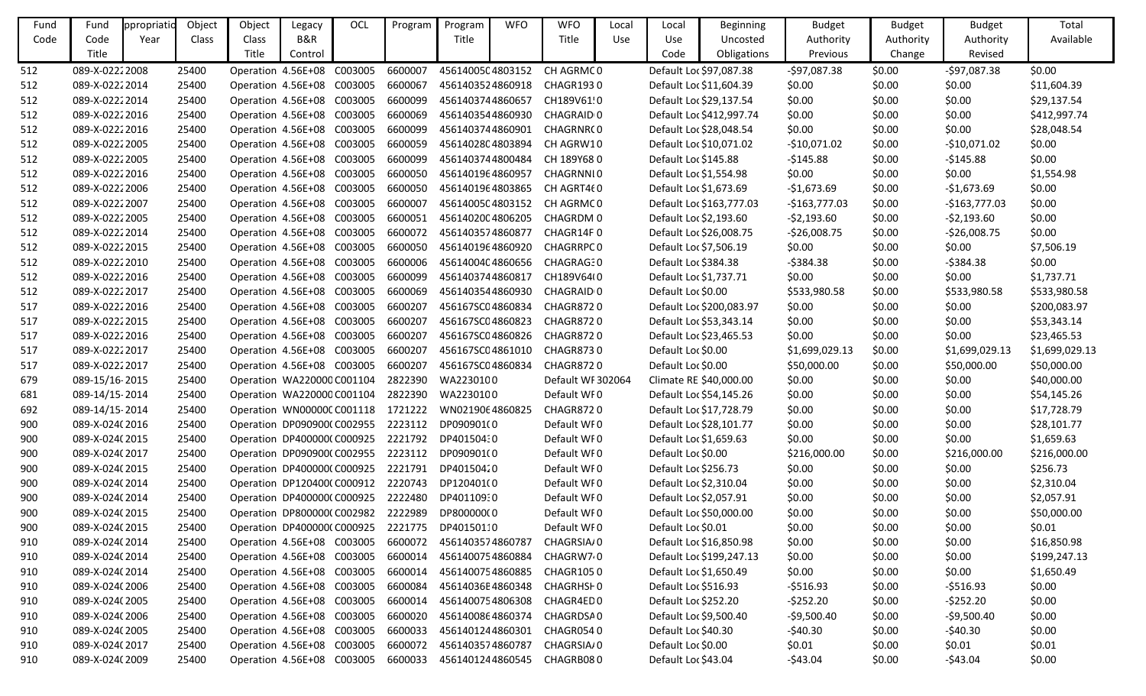| Fund | Fund           | ppropriatio | Object | Object                     | Legacy  | OCL | Program | Program                                       | <b>WFO</b> | <b>WFO</b>            | Local | Local                  | Beginning                | <b>Budget</b>  | <b>Budget</b> | <b>Budget</b>  | Total          |
|------|----------------|-------------|--------|----------------------------|---------|-----|---------|-----------------------------------------------|------------|-----------------------|-------|------------------------|--------------------------|----------------|---------------|----------------|----------------|
| Code | Code           | Year        | Class  | Class                      | B&R     |     |         | Title                                         |            | Title                 | Use   | Use                    | Uncosted                 | Authority      | Authority     | Authority      | Available      |
|      | Title          |             |        | <b>Title</b>               | Control |     |         |                                               |            |                       |       | Code                   | Obligations              | Previous       | Change        | Revised        |                |
| 512  | 089-X-02222008 |             | 25400  | Operation 4.56E+08 C003005 |         |     | 6600007 | 4561400504803152                              |            | CH AGRMC0             |       |                        | Default Loc \$97,087.38  | $-597,087.38$  | \$0.00        | $-597,087.38$  | \$0.00         |
| 512  | 089-X-02222014 |             | 25400  | Operation 4.56E+08 C003005 |         |     | 6600067 | 4561403524860918                              |            | CHAGR1930             |       |                        | Default Loc \$11,604.39  | \$0.00         | \$0.00        | \$0.00         | \$11,604.39    |
| 512  | 089-X-02222014 |             | 25400  | Operation 4.56E+08 C003005 |         |     | 6600099 | 4561403744860657                              |            | CH189V61!0            |       |                        | Default Loc \$29,137.54  | \$0.00         | \$0.00        | \$0.00         | \$29,137.54    |
| 512  | 089-X-02222016 |             | 25400  | Operation 4.56E+08 C003005 |         |     | 6600069 | 4561403544860930                              |            | CHAGRAID 0            |       |                        | Default Loc \$412,997.74 | \$0.00         | \$0.00        | \$0.00         | \$412,997.74   |
| 512  | 089-X-02222016 |             | 25400  | Operation 4.56E+08 C003005 |         |     | 6600099 | 4561403744860901                              |            | CHAGRNR(0             |       |                        | Default Loc \$28,048.54  | \$0.00         | \$0.00        | \$0.00         | \$28,048.54    |
| 512  | 089-X-02222005 |             | 25400  | Operation 4.56E+08 C003005 |         |     | 6600059 | 4561402804803894                              |            | CH AGRW10             |       |                        | Default Loc \$10,071.02  | $-$10,071.02$  | \$0.00        | $-$10,071.02$  | \$0.00         |
| 512  | 089-X-02222005 |             | 25400  | Operation 4.56E+08 C003005 |         |     | 6600099 | 4561403744800484                              |            | CH 189Y680            |       | Default Loc \$145.88   |                          | $-$145.88$     | \$0.00        | $-$145.88$     | \$0.00         |
| 512  | 089-X-02222016 |             | 25400  | Operation 4.56E+08 C003005 |         |     | 6600050 | 4561401964860957                              |            | CHAGRNNI0             |       | Default Loc \$1,554.98 |                          | \$0.00         | \$0.00        | \$0.00         | \$1,554.98     |
| 512  | 089-X-02222006 |             | 25400  | Operation 4.56E+08 C003005 |         |     | 6600050 | 4561401964803865                              |            | CH AGRT460            |       | Default Loc \$1,673.69 |                          | $-$1,673.69$   | \$0.00        | $-$1,673.69$   | \$0.00         |
| 512  | 089-X-02222007 |             | 25400  | Operation 4.56E+08 C003005 |         |     | 6600007 | 4561400504803152                              |            | CH AGRMC0             |       |                        | Default Loc \$163,777.03 | $-$163,777.03$ | \$0.00        | $-$163,777.03$ | \$0.00         |
| 512  | 089-X-02222005 |             | 25400  | Operation 4.56E+08 C003005 |         |     | 6600051 | 4561402004806205                              |            | CHAGRDM 0             |       | Default Loc \$2,193.60 |                          | $-52,193.60$   | \$0.00        | $-52,193.60$   | \$0.00         |
| 512  | 089-X-02222014 |             | 25400  | Operation 4.56E+08 C003005 |         |     | 6600072 | 4561403574860877                              |            | CHAGR14F0             |       |                        | Default Loc \$26,008.75  | $-526,008.75$  | \$0.00        | $-526,008.75$  | \$0.00         |
| 512  | 089-X-02222015 |             | 25400  | Operation 4.56E+08 C003005 |         |     | 6600050 | 4561401964860920                              |            | CHAGRRPC0             |       | Default Loc \$7,506.19 |                          | \$0.00         | \$0.00        | \$0.00         | \$7,506.19     |
| 512  | 089-X-02222010 |             | 25400  | Operation 4.56E+08 C003005 |         |     | 6600006 | 4561400404860656                              |            | <b>CHAGRAG30</b>      |       | Default Loc \$384.38   |                          | $-5384.38$     | \$0.00        | $-5384.38$     | \$0.00         |
| 512  | 089-X-02222016 |             | 25400  | Operation 4.56E+08 C003005 |         |     | 6600099 | 4561403744860817                              |            | CH189V64(0            |       | Default Loc \$1,737.71 |                          | \$0.00         | \$0.00        | \$0.00         | \$1,737.71     |
| 512  | 089-X-02222017 |             | 25400  | Operation 4.56E+08 C003005 |         |     | 6600069 | 4561403544860930                              |            | CHAGRAID <sub>0</sub> |       | Default Loc \$0.00     |                          | \$533,980.58   | \$0.00        | \$533,980.58   | \$533,980.58   |
| 517  | 089-X-02222016 |             | 25400  | Operation 4.56E+08 C003005 |         |     | 6600207 | 456167SC04860834                              |            | CHAGR8720             |       |                        | Default Loc \$200,083.97 | \$0.00         | \$0.00        | \$0.00         | \$200,083.97   |
| 517  | 089-X-02222015 |             | 25400  | Operation 4.56E+08 C003005 |         |     | 6600207 | 456167SC04860823                              |            | CHAGR8720             |       |                        | Default Loc \$53,343.14  | \$0.00         | \$0.00        | \$0.00         | \$53,343.14    |
| 517  | 089-X-02222016 |             | 25400  | Operation 4.56E+08 C003005 |         |     | 6600207 | 456167SC04860826                              |            | CHAGR8720             |       |                        | Default Loc \$23,465.53  | \$0.00         | \$0.00        | \$0.00         | \$23,465.53    |
| 517  | 089-X-02222017 |             | 25400  | Operation 4.56E+08 C003005 |         |     | 6600207 | 456167SC04861010                              |            | CHAGR8730             |       | Default Loc \$0.00     |                          | \$1,699,029.13 | \$0.00        | \$1,699,029.13 | \$1,699,029.13 |
| 517  | 089-X-02222017 |             | 25400  | Operation 4.56E+08 C003005 |         |     | 6600207 | 456167SC04860834                              |            | CHAGR8720             |       | Default Loc \$0.00     |                          | \$50,000.00    | \$0.00        | \$50,000.00    | \$50,000.00    |
| 679  | 089-15/16-2015 |             | 25400  | Operation WA220000 C001104 |         |     | 2822390 | WA2230100                                     |            | Default WF 302064     |       |                        | Climate RE \$40,000.00   | \$0.00         | \$0.00        | \$0.00         | \$40,000.00    |
| 681  | 089-14/15-2014 |             | 25400  | Operation WA220000 C001104 |         |     | 2822390 | WA2230100                                     |            | Default WF0           |       |                        | Default Loc \$54,145.26  | \$0.00         | \$0.00        | \$0.00         | \$54,145.26    |
| 692  | 089-14/15-2014 |             | 25400  | Operation WN00000CC001118  |         |     | 1721222 | WN0219064860825                               |            | CHAGR8720             |       |                        | Default Loc \$17,728.79  | \$0.00         | \$0.00        | \$0.00         | \$17,728.79    |
| 900  | 089-X-024(2016 |             | 25400  | Operation DP090900(C002955 |         |     | 2223112 | DP090901(0                                    |            | Default WF0           |       |                        | Default Loc \$28,101.77  | \$0.00         | \$0.00        | \$0.00         | \$28,101.77    |
| 900  | 089-X-024(2015 |             | 25400  | Operation DP400000(C000925 |         |     | 2221792 | DP401504:0                                    |            | Default WI0           |       | Default Loc \$1,659.63 |                          | \$0.00         | \$0.00        | \$0.00         | \$1,659.63     |
| 900  | 089-X-024(2017 |             | 25400  | Operation DP090900(C002955 |         |     | 2223112 | DP090901(0                                    |            | Default WF0           |       | Default Loc \$0.00     |                          | \$216,000.00   | \$0.00        | \$216,000.00   | \$216,000.00   |
| 900  | 089-X-024(2015 |             | 25400  | Operation DP400000(C000925 |         |     | 2221791 | DP40150420                                    |            | Default WI0           |       | Default Loc \$256.73   |                          | \$0.00         | \$0.00        | \$0.00         | \$256.73       |
| 900  | 089-X-024(2014 |             | 25400  |                            |         |     |         | Operation DP120400(C000912 2220743 DP120401(0 |            | Default WF0           |       | Default Loc \$2,310.04 |                          | \$0.00         | \$0.00        | \$0.00         | \$2,310.04     |
| 900  | 089-X-024(2014 |             | 25400  | Operation DP400000(C000925 |         |     | 2222480 | DP40110930                                    |            | Default WF0           |       | Default Loc \$2,057.91 |                          | \$0.00         | \$0.00        | \$0.00         | \$2,057.91     |
| 900  | 089-X-024(2015 |             | 25400  | Operation DP800000(C002982 |         |     | 2222989 | DP800000(0                                    |            | Default WF0           |       |                        | Default Loc \$50,000.00  | \$0.00         | \$0.00        | \$0.00         | \$50,000.00    |
| 900  | 089-X-024(2015 |             | 25400  | Operation DP400000(C000925 |         |     | 2221775 | DP40150110                                    |            | Default WF0           |       | Default Loc \$0.01     |                          | \$0.00         | \$0.00        | \$0.00         | \$0.01         |
| 910  | 089-X-024(2014 |             | 25400  | Operation 4.56E+08 C003005 |         |     | 6600072 | 4561403574860787                              |            | CHAGRSIA/0            |       |                        | Default Loc \$16,850.98  | \$0.00         | \$0.00        | \$0.00         | \$16,850.98    |
| 910  | 089-X-024(2014 |             | 25400  | Operation 4.56E+08 C003005 |         |     | 6600014 | 4561400754860884                              |            | CHAGRW7 <sub>0</sub>  |       |                        | Default Loc \$199,247.13 | \$0.00         | \$0.00        | \$0.00         | \$199,247.13   |
| 910  | 089-X-024(2014 |             | 25400  | Operation 4.56E+08 C003005 |         |     | 6600014 | 4561400754860885                              |            | CHAGR1050             |       | Default Loc \$1,650.49 |                          | \$0.00         | \$0.00        | \$0.00         | \$1,650.49     |
| 910  | 089-X-024(2006 |             | 25400  | Operation 4.56E+08 C003005 |         |     | 6600084 | 45614036E4860348                              |            | CHAGRHSI 0            |       | Default Loc \$516.93   |                          | $-5516.93$     | \$0.00        | $-5516.93$     | \$0.00         |
| 910  | 089-X-024(2005 |             | 25400  | Operation 4.56E+08 C003005 |         |     | 6600014 | 4561400754806308                              |            | CHAGR4ED0             |       | Default Loc \$252.20   |                          | $-5252.20$     | \$0.00        | $-5252.20$     | \$0.00         |
| 910  | 089-X-024(2006 |             | 25400  | Operation 4.56E+08 C003005 |         |     | 6600020 | 4561400864860374                              |            | CHAGRDSA0             |       | Default Loc \$9,500.40 |                          | $-59,500.40$   | \$0.00        | $-59,500.40$   | \$0.00         |
| 910  | 089-X-024(2005 |             | 25400  | Operation 4.56E+08 C003005 |         |     | 6600033 | 4561401244860301                              |            | CHAGR0540             |       | Default Loc \$40.30    |                          | $-540.30$      | \$0.00        | $-$40.30$      | \$0.00         |
| 910  | 089-X-024(2017 |             | 25400  | Operation 4.56E+08 C003005 |         |     | 6600072 | 4561403574860787                              |            | CHAGRSIA/0            |       | Default Loc \$0.00     |                          | \$0.01         | \$0.00        | \$0.01         | \$0.01         |
| 910  | 089-X-024(2009 |             | 25400  | Operation 4.56E+08 C003005 |         |     | 6600033 | 4561401244860545                              |            | CHAGRB080             |       | Default Loc \$43.04    |                          | $-$43.04$      | \$0.00        | $-$43.04$      | \$0.00         |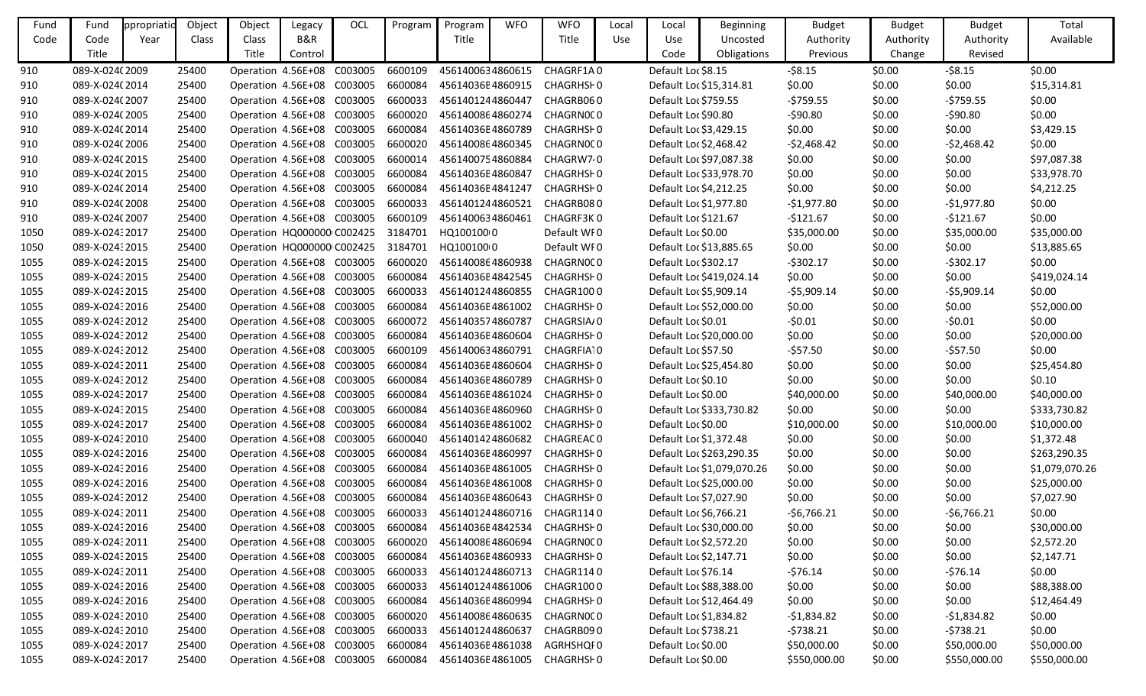| Fund | Fund            | ppropriatic | Object | Object                             | Legacy  | OCL | Program | Program          | <b>WFO</b> | <b>WFO</b>                 | Local | Local                   | <b>Beginning</b>           | <b>Budget</b> | <b>Budget</b> | <b>Budget</b> | Total          |
|------|-----------------|-------------|--------|------------------------------------|---------|-----|---------|------------------|------------|----------------------------|-------|-------------------------|----------------------------|---------------|---------------|---------------|----------------|
| Code | Code            | Year        | Class  | Class                              | B&R     |     |         | Title            |            | Title                      | Use   | Use                     | Uncosted                   | Authority     | Authority     | Authority     | Available      |
|      | Title           |             |        | Title                              | Control |     |         |                  |            |                            |       | Code                    | Obligations                | Previous      | Change        | Revised       |                |
| 910  | 089-X-024(2009  |             | 25400  | Operation 4.56E+08 C003005         |         |     | 6600109 | 4561400634860615 |            | CHAGRF1A0                  |       | Default Loc \$8.15      |                            | $-58.15$      | \$0.00        | $-58.15$      | \$0.00         |
| 910  | 089-X-024(2014  |             | 25400  | Operation 4.56E+08 C003005         |         |     | 6600084 | 45614036E4860915 |            | CHAGRHSF0                  |       | Default Loc \$15,314.81 |                            | \$0.00        | \$0.00        | \$0.00        | \$15,314.81    |
| 910  | 089-X-024(2007  |             | 25400  | Operation 4.56E+08 C003005         |         |     | 6600033 | 4561401244860447 |            | CHAGRB060                  |       | Default Loc \$759.55    |                            | $-5759.55$    | \$0.00        | $-5759.55$    | \$0.00         |
| 910  | 089-X-024(2005  |             | 25400  | Operation 4.56E+08 C003005         |         |     | 6600020 | 4561400864860274 |            | CHAGRN0CO                  |       | Default Loc \$90.80     |                            | -\$90.80      | \$0.00        | -\$90.80      | \$0.00         |
| 910  | 089-X-024(2014  |             | 25400  | Operation 4.56E+08 C003005         |         |     | 6600084 | 45614036E4860789 |            | CHAGRHSI 0                 |       | Default Loc \$3,429.15  |                            | \$0.00        | \$0.00        | \$0.00        | \$3,429.15     |
| 910  | 089-X-024(2006  |             | 25400  | Operation 4.56E+08 C003005         |         |     | 6600020 | 4561400864860345 |            | CHAGRN0CO                  |       | Default Loc \$2,468.42  |                            | $-52,468.42$  | \$0.00        | $-52,468.42$  | \$0.00         |
| 910  | 089-X-024(2015  |             | 25400  | Operation 4.56E+08 C003005         |         |     | 6600014 | 4561400754860884 |            | CHAGRW7 0                  |       |                         | Default Loc \$97,087.38    | \$0.00        | \$0.00        | \$0.00        | \$97,087.38    |
| 910  | 089-X-024(2015  |             | 25400  | Operation 4.56E+08 C003005         |         |     | 6600084 | 45614036E4860847 |            | CHAGRHSI 0                 |       |                         | Default Loc \$33,978.70    | \$0.00        | \$0.00        | \$0.00        | \$33,978.70    |
| 910  | 089-X-024(2014  |             | 25400  | Operation 4.56E+08 C003005         |         |     | 6600084 | 45614036E4841247 |            | CHAGRHSI 0                 |       | Default Loc \$4,212.25  |                            | \$0.00        | \$0.00        | \$0.00        | \$4,212.25     |
| 910  | 089-X-024(2008) |             | 25400  | Operation 4.56E+08 C003005         |         |     | 6600033 | 4561401244860521 |            | CHAGRB080                  |       | Default Loc \$1,977.80  |                            | $-$1,977.80$  | \$0.00        | $-$1,977.80$  | \$0.00         |
| 910  | 089-X-024(2007  |             | 25400  | Operation 4.56E+08 C003005         |         |     | 6600109 | 4561400634860461 |            | CHAGRF3K0                  |       | Default Loc \$121.67    |                            | $-$121.67$    | \$0.00        | $-5121.67$    | \$0.00         |
| 1050 | 089-X-0243 2017 |             | 25400  | Operation HQ000000 C002425         |         |     | 3184701 | HQ100100 0       |            | Default WI0                |       | Default Loc \$0.00      |                            | \$35,000.00   | \$0.00        | \$35,000.00   | \$35,000.00    |
| 1050 | 089-X-02432015  |             | 25400  | Operation HQ000000 C002425         |         |     | 3184701 | HQ100100 0       |            | Default WF0                |       |                         | Default Loc \$13,885.65    | \$0.00        | \$0.00        | \$0.00        | \$13,885.65    |
| 1055 | 089-X-02432015  |             | 25400  | Operation 4.56E+08 C003005         |         |     | 6600020 | 4561400864860938 |            | CHAGRN0CO                  |       | Default Loc \$302.17    |                            | $-5302.17$    | \$0.00        | $-5302.17$    | \$0.00         |
| 1055 | 089-X-02432015  |             | 25400  | Operation 4.56E+08 C003005         |         |     | 6600084 | 45614036E4842545 |            | CHAGRHSI 0                 |       |                         | Default Loc \$419,024.14   | \$0.00        | \$0.00        | \$0.00        | \$419,024.14   |
| 1055 | 089-X-0243 2015 |             | 25400  | Operation 4.56E+08 C003005         |         |     | 6600033 | 4561401244860855 |            | CHAGR1000                  |       | Default Loc \$5,909.14  |                            | $-55,909.14$  | \$0.00        | $-55,909.14$  | \$0.00         |
| 1055 | 089-X-02432016  |             | 25400  | Operation 4.56E+08 C003005         |         |     | 6600084 | 45614036E4861002 |            | CHAGRHSF0                  |       |                         | Default Loc \$52,000.00    | \$0.00        | \$0.00        | \$0.00        | \$52,000.00    |
| 1055 | 089-X-02432012  |             | 25400  | Operation 4.56E+08 C003005         |         |     | 6600072 | 4561403574860787 |            | CHAGRSIA/0                 |       | Default Loc \$0.01      |                            | $-50.01$      | \$0.00        | $-50.01$      | \$0.00         |
| 1055 | 089-X-02432012  |             | 25400  | Operation 4.56E+08 C003005         |         |     | 6600084 | 45614036E4860604 |            | CHAGRHSI 0                 |       |                         | Default Loc \$20,000.00    | \$0.00        | \$0.00        | \$0.00        | \$20,000.00    |
| 1055 | 089-X-02432012  |             | 25400  | Operation 4.56E+08 C003005         |         |     | 6600109 | 4561400634860791 |            | CHAGRFIA10                 |       | Default Loc \$57.50     |                            | $-557.50$     | \$0.00        | $-557.50$     | \$0.00         |
| 1055 | 089-X-02432011  |             | 25400  | Operation 4.56E+08 C003005         |         |     | 6600084 | 45614036E4860604 |            | CHAGRHSF0                  |       |                         | Default Loc \$25,454.80    | \$0.00        | \$0.00        | \$0.00        | \$25,454.80    |
| 1055 | 089-X-02432012  |             | 25400  | Operation 4.56E+08 C003005         |         |     | 6600084 | 45614036E4860789 |            | CHAGRHSF0                  |       | Default Loc \$0.10      |                            | \$0.00        | \$0.00        | \$0.00        | \$0.10         |
| 1055 | 089-X-02432017  |             | 25400  | Operation 4.56E+08 C003005         |         |     | 6600084 | 45614036E4861024 |            | CHAGRHSF0                  |       | Default Loc \$0.00      |                            | \$40,000.00   | \$0.00        | \$40,000.00   | \$40,000.00    |
| 1055 | 089-X-02432015  |             | 25400  | Operation 4.56E+08 C003005         |         |     | 6600084 | 45614036E4860960 |            | CHAGRHSF0                  |       |                         | Default Loc \$333,730.82   | \$0.00        | \$0.00        | \$0.00        | \$333,730.82   |
| 1055 | 089-X-02432017  |             | 25400  | Operation 4.56E+08 C003005         |         |     | 6600084 | 45614036E4861002 |            | CHAGRHSF0                  |       | Default Loc \$0.00      |                            | \$10,000.00   | \$0.00        | \$10,000.00   | \$10,000.00    |
| 1055 | 089-X-02432010  |             | 25400  | Operation 4.56E+08 C003005         |         |     | 6600040 | 4561401424860682 |            | CHAGREAC 0                 |       | Default Loc \$1,372.48  |                            | \$0.00        | \$0.00        | \$0.00        | \$1,372.48     |
| 1055 | 089-X-02432016  |             | 25400  | Operation 4.56E+08 C003005         |         |     | 6600084 | 45614036E4860997 |            | CHAGRHSI 0                 |       |                         | Default Loc \$263,290.35   | \$0.00        | \$0.00        | \$0.00        | \$263,290.35   |
| 1055 | 089-X-02432016  |             | 25400  | Operation 4.56E+08 C003005         |         |     | 6600084 | 45614036E4861005 |            | CHAGRHSF 0                 |       |                         | Default Loc \$1,079,070.26 | \$0.00        | \$0.00        | \$0.00        | \$1,079,070.26 |
| 1055 | 089-X-02432016  |             | 25400  | Operation 4.56E+08 C003005 6600084 |         |     |         |                  |            | 45614036E4861008 CHAGRHSF0 |       |                         | Default Loc \$25,000.00    | \$0.00        | \$0.00        | \$0.00        | \$25,000.00    |
| 1055 | 089-X-02432012  |             | 25400  | Operation 4.56E+08 C003005         |         |     | 6600084 | 45614036E4860643 |            | CHAGRHSH0                  |       | Default Loc \$7,027.90  |                            | \$0.00        | \$0.00        | \$0.00        | \$7,027.90     |
| 1055 | 089-X-02432011  |             | 25400  | Operation 4.56E+08 C003005         |         |     | 6600033 | 4561401244860716 |            | CHAGR1140                  |       | Default Loc \$6,766.21  |                            | $-56,766.21$  | \$0.00        | $-56,766.21$  | \$0.00         |
| 1055 | 089-X-02432016  |             | 25400  | Operation 4.56E+08 C003005         |         |     | 6600084 | 45614036E4842534 |            | CHAGRHSI 0                 |       |                         | Default Loc \$30,000.00    | \$0.00        | \$0.00        | \$0.00        | \$30,000.00    |
| 1055 | 089-X-02432011  |             | 25400  | Operation 4.56E+08 C003005         |         |     | 6600020 | 4561400864860694 |            | CHAGRN0CO                  |       | Default Loc \$2,572.20  |                            | \$0.00        | \$0.00        | \$0.00        | \$2,572.20     |
| 1055 | 089-X-02432015  |             | 25400  | Operation 4.56E+08 C003005         |         |     | 6600084 | 45614036E4860933 |            | CHAGRHSI 0                 |       | Default Loc \$2,147.71  |                            | \$0.00        | \$0.00        | \$0.00        | \$2,147.71     |
| 1055 | 089-X-02432011  |             | 25400  | Operation 4.56E+08 C003005         |         |     | 6600033 | 4561401244860713 |            | CHAGR1140                  |       | Default Loc \$76.14     |                            | $-576.14$     | \$0.00        | $-576.14$     | \$0.00         |
| 1055 | 089-X-02432016  |             | 25400  | Operation 4.56E+08 C003005         |         |     | 6600033 | 4561401244861006 |            | CHAGR1000                  |       |                         | Default Loc \$88,388.00    | \$0.00        | \$0.00        | \$0.00        | \$88,388.00    |
| 1055 | 089-X-02432016  |             | 25400  | Operation 4.56E+08 C003005         |         |     | 6600084 | 45614036E4860994 |            | CHAGRHSI 0                 |       |                         | Default Loc \$12,464.49    | \$0.00        | \$0.00        | \$0.00        | \$12,464.49    |
| 1055 | 089-X-02432010  |             | 25400  | Operation 4.56E+08 C003005         |         |     | 6600020 | 4561400864860635 |            | CHAGRN0CO                  |       | Default Loc \$1,834.82  |                            | $-$1,834.82$  | \$0.00        | $-$1,834.82$  | \$0.00         |
| 1055 | 089-X-02432010  |             | 25400  | Operation 4.56E+08 C003005         |         |     | 6600033 | 4561401244860637 |            | CHAGRB090                  |       | Default Loc \$738.21    |                            | $-5738.21$    | \$0.00        | $-5738.21$    | \$0.00         |
| 1055 | 089-X-02432017  |             | 25400  | Operation 4.56E+08 C003005         |         |     | 6600084 | 45614036E4861038 |            | AGRHSHQI0                  |       | Default Loc \$0.00      |                            | \$50,000.00   | \$0.00        | \$50,000.00   | \$50,000.00    |
| 1055 | 089-X-02432017  |             | 25400  | Operation 4.56E+08 C003005 6600084 |         |     |         | 45614036E4861005 |            | CHAGRHSI 0                 |       | Default Loc \$0.00      |                            | \$550,000.00  | \$0.00        | \$550,000.00  | \$550,000.00   |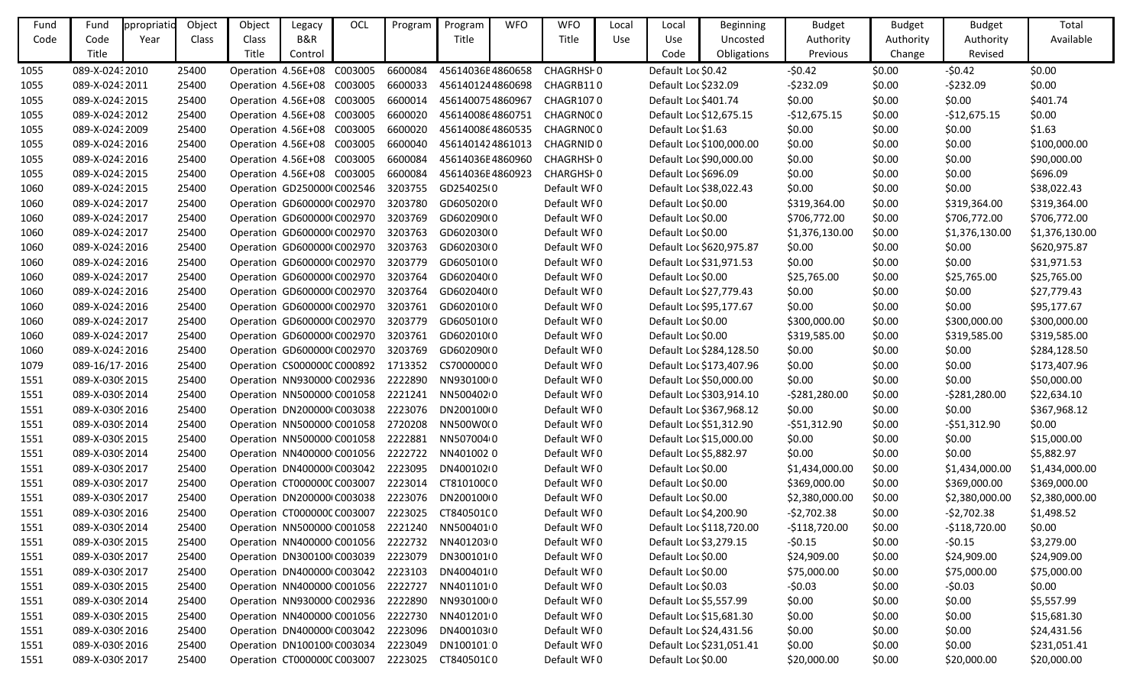| Fund | Fund            | ppropriatio | Object | Object                             | Legacy  | OCL | Program | Program          | <b>WFO</b> | <b>WFO</b>            | Local | Local                   | Beginning                | <b>Budget</b>  | Budget    | <b>Budget</b>  | Total          |
|------|-----------------|-------------|--------|------------------------------------|---------|-----|---------|------------------|------------|-----------------------|-------|-------------------------|--------------------------|----------------|-----------|----------------|----------------|
| Code | Code            | Year        | Class  | <b>Class</b>                       | B&R     |     |         | Title            |            | Title                 | Use   | Use                     | Uncosted                 | Authority      | Authority | Authority      | Available      |
|      | Title           |             |        | Title                              | Control |     |         |                  |            |                       |       | Code                    | Obligations              | Previous       | Change    | Revised        |                |
| 1055 | 089-X-02432010  |             | 25400  | Operation 4.56E+08 C003005         |         |     | 6600084 | 45614036E4860658 |            | CHAGRHS <sub>F0</sub> |       | Default Loc \$0.42      |                          | $-50.42$       | \$0.00    | $-50.42$       | \$0.00         |
| 1055 | 089-X-02432011  |             | 25400  | Operation 4.56E+08 C003005         |         |     | 6600033 | 4561401244860698 |            | CHAGRB110             |       | Default Loc \$232.09    |                          | $-5232.09$     | \$0.00    | $-5232.09$     | \$0.00         |
| 1055 | 089-X-0243 2015 |             | 25400  | Operation 4.56E+08 C003005         |         |     | 6600014 | 4561400754860967 |            | <b>CHAGR1070</b>      |       | Default Loc \$401.74    |                          | \$0.00         | \$0.00    | \$0.00         | \$401.74       |
| 1055 | 089-X-0243 2012 |             | 25400  | Operation 4.56E+08 C003005         |         |     | 6600020 | 4561400864860751 |            | CHAGRN0CO             |       | Default Loc \$12,675.15 |                          | $-$12,675.15$  | \$0.00    | $-$12,675.15$  | \$0.00         |
| 1055 | 089-X-02432009  |             | 25400  | Operation 4.56E+08 C003005         |         |     | 6600020 | 4561400864860535 |            | CHAGRN0CO             |       | Default Loc \$1.63      |                          | \$0.00         | \$0.00    | \$0.00         | \$1.63         |
| 1055 | 089-X-0243 2016 |             | 25400  | Operation 4.56E+08 C003005         |         |     | 6600040 | 4561401424861013 |            | <b>CHAGRNID 0</b>     |       |                         | Default Loc \$100,000.00 | \$0.00         | \$0.00    | \$0.00         | \$100,000.00   |
| 1055 | 089-X-02432016  |             | 25400  | Operation 4.56E+08 C003005         |         |     | 6600084 | 45614036E4860960 |            | CHAGRHS <sub>F0</sub> |       |                         | Default Loc \$90,000.00  | \$0.00         | \$0.00    | \$0.00         | \$90,000.00    |
| 1055 | 089-X-0243 2015 |             | 25400  | Operation 4.56E+08 C003005         |         |     | 6600084 | 45614036E4860923 |            | <b>CHARGHSF0</b>      |       | Default Loc \$696.09    |                          | \$0.00         | \$0.00    | \$0.00         | \$696.09       |
| 1060 | 089-X-0243 2015 |             | 25400  | Operation GD250000(C002546         |         |     | 3203755 | GD254025(0       |            | Default WF0           |       | Default Loc \$38,022.43 |                          | \$0.00         | \$0.00    | \$0.00         | \$38,022.43    |
| 1060 | 089-X-02432017  |             | 25400  | Operation GD600000 C002970         |         |     | 3203780 | GD605020(0       |            | Default WF0           |       | Default Loc \$0.00      |                          | \$319,364.00   | \$0.00    | \$319,364.00   | \$319,364.00   |
| 1060 | 089-X-0243 2017 |             | 25400  | Operation GD600000 C002970         |         |     | 3203769 | GD602090(0       |            | Default WF0           |       | Default Loc \$0.00      |                          | \$706,772.00   | \$0.00    | \$706,772.00   | \$706,772.00   |
| 1060 | 089-X-02432017  |             | 25400  | Operation GD600000 C002970         |         |     | 3203763 | GD602030(0       |            | Default WF0           |       | Default Loc \$0.00      |                          | \$1,376,130.00 | \$0.00    | \$1,376,130.00 | \$1,376,130.00 |
| 1060 | 089-X-0243 2016 |             | 25400  | Operation GD600000 C002970         |         |     | 3203763 | GD602030(0       |            | Default WF0           |       |                         | Default Loc \$620,975.87 | \$0.00         | \$0.00    | \$0.00         | \$620,975.87   |
| 1060 | 089-X-02432016  |             | 25400  | Operation GD600000 C002970         |         |     | 3203779 | GD605010(0       |            | Default WF0           |       |                         | Default Loc \$31,971.53  | \$0.00         | \$0.00    | \$0.00         | \$31,971.53    |
| 1060 | 089-X-0243 2017 |             | 25400  | Operation GD600000 C002970         |         |     | 3203764 | GD602040(0       |            | Default WF0           |       | Default Loc \$0.00      |                          | \$25,765.00    | \$0.00    | \$25,765.00    | \$25,765.00    |
| 1060 | 089-X-0243 2016 |             | 25400  | Operation GD600000 C002970         |         |     | 3203764 | GD602040(0       |            | Default WF0           |       |                         | Default Loc \$27,779.43  | \$0.00         | \$0.00    | \$0.00         | \$27,779.43    |
| 1060 | 089-X-0243 2016 |             | 25400  | Operation GD600000 C002970         |         |     | 3203761 | GD602010(0       |            | Default WF0           |       | Default Loc \$95,177.67 |                          | \$0.00         | \$0.00    | \$0.00         | \$95,177.67    |
| 1060 | 089-X-02432017  |             | 25400  | Operation GD600000 C002970         |         |     | 3203779 | GD605010(0       |            | Default WF0           |       | Default Loc \$0.00      |                          | \$300,000.00   | \$0.00    | \$300,000.00   | \$300,000.00   |
| 1060 | 089-X-0243 2017 |             | 25400  | Operation GD600000(C002970         |         |     | 3203761 | GD602010(0       |            | Default WF0           |       | Default Loc \$0.00      |                          | \$319,585.00   | \$0.00    | \$319,585.00   | \$319,585.00   |
| 1060 | 089-X-0243 2016 |             | 25400  | Operation GD600000 C002970         |         |     | 3203769 | GD602090(0       |            | Default WF0           |       |                         | Default Loc \$284,128.50 | \$0.00         | \$0.00    | \$0.00         | \$284,128.50   |
| 1079 | 089-16/17-2016  |             | 25400  | Operation CS0000000 C000892        |         |     | 1713352 | CS70000000       |            | Default WF0           |       |                         | Default Loc \$173,407.96 | \$0.00         | \$0.00    | \$0.00         | \$173,407.96   |
| 1551 | 089-X-0309 2015 |             | 25400  | Operation NN930000 C002936         |         |     | 2222890 | NN9301000        |            | Default WF0           |       |                         | Default Loc \$50,000.00  | \$0.00         | \$0.00    | \$0.00         | \$50,000.00    |
| 1551 | 089-X-0309 2014 |             | 25400  | Operation NN500000 C001058         |         |     | 2221241 | NN5004020        |            | Default WF0           |       |                         | Default Loc \$303,914.10 | $-5281,280.00$ | \$0.00    | $-5281,280.00$ | \$22,634.10    |
| 1551 | 089-X-0309 2016 |             | 25400  | Operation DN200000 C003038         |         |     | 2223076 | DN200100(0       |            | Default WF0           |       |                         | Default Loc \$367,968.12 | \$0.00         | \$0.00    | \$0.00         | \$367,968.12   |
| 1551 | 089-X-0309 2014 |             | 25400  | Operation NN500000 C001058         |         |     | 2720208 | NN500W0(0        |            | Default WF0           |       |                         | Default Loc \$51,312.90  | $-551,312.90$  | \$0.00    | $-551,312.90$  | \$0.00         |
| 1551 | 089-X-0309 2015 |             | 25400  | Operation NN500000 C001058         |         |     | 2222881 | NN5070040        |            | Default WF0           |       | Default Loc \$15,000.00 |                          | \$0.00         | \$0.00    | \$0.00         | \$15,000.00    |
| 1551 | 089-X-0309 2014 |             | 25400  | Operation NN400000 C001056         |         |     | 2222722 | NN4010020        |            | Default WF0           |       | Default Loc \$5,882.97  |                          | \$0.00         | \$0.00    | \$0.00         | \$5,882.97     |
| 1551 | 089-X-0309 2017 |             | 25400  | Operation DN400000 C003042 2223095 |         |     |         | DN400102(0       |            | Default WF0           |       | Default Loc \$0.00      |                          | \$1,434,000.00 | \$0.00    | \$1,434,000.00 | \$1,434,000.00 |
| 1551 | 089-X-0309 2017 |             | 25400  | Operation CT000000CC003007 2223014 |         |     |         | CT81010000       |            | Default WF0           |       | Default Loc \$0.00      |                          | \$369,000.00   | \$0.00    | \$369,000.00   | \$369,000.00   |
| 1551 | 089-X-0309 2017 |             | 25400  | Operation DN200000 C003038         |         |     | 2223076 | DN200100(0       |            | Default WF0           |       | Default Loc \$0.00      |                          | \$2,380,000.00 | \$0.00    | \$2,380,000.00 | \$2,380,000.00 |
| 1551 | 089-X-0309 2016 |             | 25400  | Operation CT000000CC003007         |         |     | 2223025 | CT84050100       |            | Default WI0           |       | Default Loc \$4,200.90  |                          | $-52,702.38$   | \$0.00    | $-52,702.38$   | \$1,498.52     |
| 1551 | 089-X-0309 2014 |             | 25400  | Operation NN500000 C001058         |         |     | 2221240 | NN5004010        |            | Default WF0           |       |                         | Default Loc \$118,720.00 | $-$118,720.00$ | \$0.00    | $-$118,720.00$ | \$0.00         |
| 1551 | 089-X-0309 2015 |             | 25400  | Operation NN400000 C001056         |         |     | 2222732 | NN40120300       |            | Default WF0           |       | Default Loc \$3,279.15  |                          | $-50.15$       | \$0.00    | $-50.15$       | \$3,279.00     |
| 1551 | 089-X-0309 2017 |             | 25400  | Operation DN300100 C003039         |         |     | 2223079 | DN300101(0       |            | Default WF0           |       | Default Loc \$0.00      |                          | \$24,909.00    | \$0.00    | \$24,909.00    | \$24,909.00    |
| 1551 | 089-X-0309 2017 |             | 25400  | Operation DN400000 C003042         |         |     | 2223103 | DN400401(0       |            | Default WF0           |       | Default Loc \$0.00      |                          | \$75,000.00    | \$0.00    | \$75,000.00    | \$75,000.00    |
| 1551 | 089-X-0309 2015 |             | 25400  | Operation NN400000 C001056         |         |     | 2222727 | NN4011010        |            | Default WF0           |       | Default Loc \$0.03      |                          | $-50.03$       | \$0.00    | $-50.03$       | \$0.00         |
| 1551 | 089-X-0309 2014 |             | 25400  | Operation NN930000 C002936         |         |     | 2222890 | NN9301000        |            | Default WF0           |       | Default Loc \$5,557.99  |                          | \$0.00         | \$0.00    | \$0.00         | \$5,557.99     |
| 1551 | 089-X-0309 2015 |             | 25400  | Operation NN400000 C001056         |         |     | 2222730 | NN4012010        |            | Default WF0           |       |                         | Default Loc \$15,681.30  | \$0.00         | \$0.00    | \$0.00         | \$15,681.30    |
| 1551 | 089-X-0309 2016 |             | 25400  | Operation DN400000 C003042         |         |     | 2223096 | DN400103(0       |            | Default WF0           |       |                         | Default Loc \$24,431.56  | \$0.00         | \$0.00    | \$0.00         | \$24,431.56    |
| 1551 | 089-X-0309 2016 |             | 25400  | Operation DN100100 C003034         |         |     | 2223049 | DN100101:0       |            | Default WF0           |       |                         | Default Loc \$231,051.41 | \$0.00         | \$0.00    | \$0.00         | \$231,051.41   |
| 1551 | 089-X-0309 2017 |             | 25400  | Operation CT0000000 C003007        |         |     | 2223025 | CT84050100       |            | Default WF0           |       | Default Loc \$0.00      |                          | \$20,000.00    | \$0.00    | \$20,000.00    | \$20,000.00    |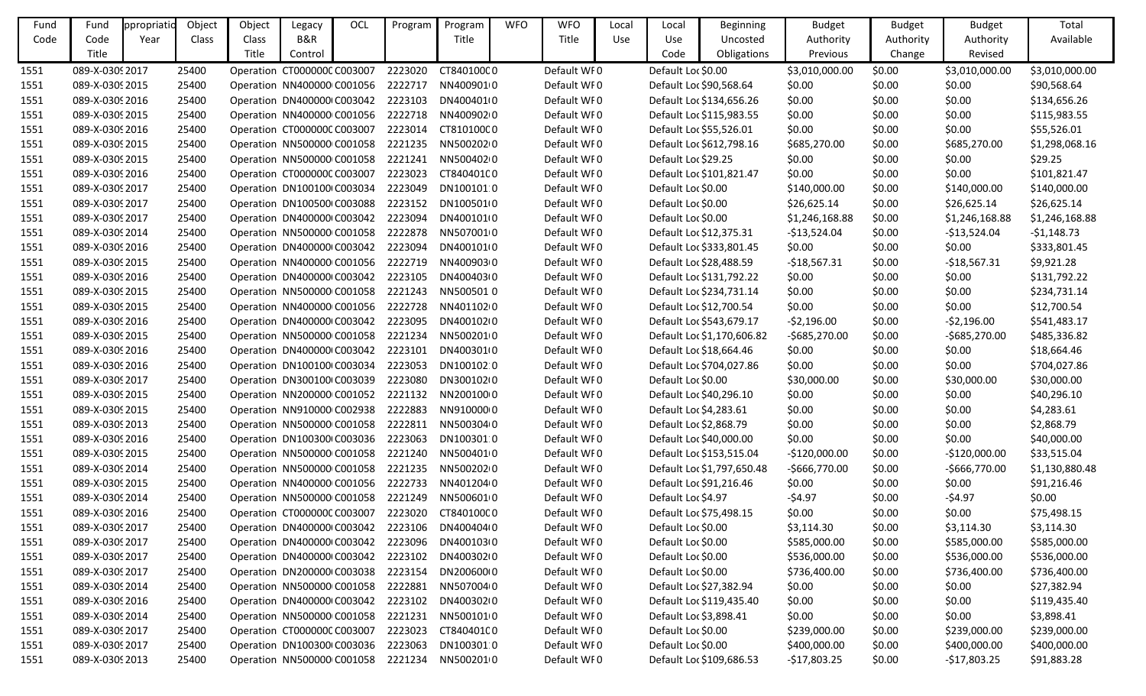| Fund | Fund            | ppropriatic | Object | Object                             | Legacy                             | OCL | Program | Program    | <b>WFO</b> | <b>WFO</b>  | Local      | Local               | Beginning                  | <b>Budget</b>  | <b>Budget</b> | <b>Budget</b>  | Total          |
|------|-----------------|-------------|--------|------------------------------------|------------------------------------|-----|---------|------------|------------|-------------|------------|---------------------|----------------------------|----------------|---------------|----------------|----------------|
| Code | Code            | Year        | Class  | Class                              | B&R                                |     |         | Title      |            | Title       | <b>Use</b> | Use                 | Uncosted                   | Authority      | Authority     | Authority      | Available      |
|      | Title           |             |        | Title                              | Control                            |     |         |            |            |             |            | Code                | Obligations                | Previous       | Change        | Revised        |                |
| 1551 | 089-X-0309 2017 |             | 25400  |                                    | Operation CT0000000 C003007        |     | 2223020 | CT84010000 |            | Default WF0 |            | Default Loc \$0.00  |                            | \$3,010,000.00 | \$0.00        | \$3,010,000.00 | \$3,010,000.00 |
| 1551 | 089-X-0309 2015 |             | 25400  |                                    | Operation NN400000 C001056         |     | 2222717 | NN4009010  |            | Default WF0 |            |                     | Default Loc \$90,568.64    | \$0.00         | \$0.00        | \$0.00         | \$90,568.64    |
| 1551 | 089-X-0309 2016 |             | 25400  |                                    | Operation DN400000 C003042         |     | 2223103 | DN400401(0 |            | Default WFO |            |                     | Default Loc \$134,656.26   | \$0.00         | \$0.00        | \$0.00         | \$134,656.26   |
| 1551 | 089-X-0309 2015 |             | 25400  |                                    | Operation NN400000 C001056         |     | 2222718 | NN4009020  |            | Default WF0 |            |                     | Default Loc \$115,983.55   | \$0.00         | \$0.00        | \$0.00         | \$115,983.55   |
| 1551 | 089-X-0309 2016 |             | 25400  |                                    | Operation CT0000000 C003007        |     | 2223014 | CT81010000 |            | Default WF0 |            |                     | Default Loc \$55,526.01    | \$0.00         | \$0.00        | \$0.00         | \$55,526.01    |
| 1551 | 089-X-0309 2015 |             | 25400  |                                    | Operation NN500000 C001058         |     | 2221235 | NN5002020  |            | Default WI0 |            |                     | Default Loc \$612,798.16   | \$685,270.00   | \$0.00        | \$685,270.00   | \$1,298,068.16 |
| 1551 | 089-X-0309 2015 |             | 25400  |                                    | Operation NN500000 C001058         |     | 2221241 | NN50040200 |            | Default WF0 |            | Default Loc \$29.25 |                            | \$0.00         | \$0.00        | \$0.00         | \$29.25        |
| 1551 | 089-X-0309 2016 |             | 25400  |                                    | Operation CT000000C C003007        |     | 2223023 | CT84040100 |            | Default WFO |            |                     | Default Loc \$101,821.47   | \$0.00         | \$0.00        | \$0.00         | \$101,821.47   |
| 1551 | 089-X-0309 2017 |             | 25400  |                                    | Operation DN100100 C003034         |     | 2223049 | DN1001010  |            | Default WF0 |            | Default Loc \$0.00  |                            | \$140,000.00   | \$0.00        | \$140,000.00   | \$140,000.00   |
| 1551 | 089-X-0309 2017 |             | 25400  |                                    | Operation DN100500 C003088         |     | 2223152 | DN100501(0 |            | Default WF0 |            | Default Loc \$0.00  |                            | \$26,625.14    | \$0.00        | \$26,625.14    | \$26,625.14    |
| 1551 | 089-X-0309 2017 |             | 25400  |                                    | Operation DN400000 C003042         |     | 2223094 | DN400101(0 |            | Default WFO |            | Default Loc \$0.00  |                            | \$1,246,168.88 | \$0.00        | \$1,246,168.88 | \$1,246,168.88 |
| 1551 | 089-X-0309 2014 |             | 25400  |                                    | Operation NN500000 C001058         |     | 2222878 | NN5070010  |            | Default WF0 |            |                     | Default Loc \$12,375.31    | $-$13,524.04$  | \$0.00        | $-$13,524.04$  | $-$1,148.73$   |
| 1551 | 089-X-0309 2016 |             | 25400  |                                    | Operation DN400000 C003042         |     | 2223094 | DN400101(0 |            | Default WFO |            |                     | Default Loc \$333,801.45   | \$0.00         | \$0.00        | \$0.00         | \$333,801.45   |
| 1551 | 089-X-0309 2015 |             | 25400  |                                    | Operation NN400000 C001056         |     | 2222719 | NN4009030  |            | Default WF0 |            |                     | Default Loc \$28,488.59    | $-$18,567.31$  | \$0.00        | $-$18,567.31$  | \$9,921.28     |
| 1551 | 089-X-0309 2016 |             | 25400  |                                    | Operation DN400000 C003042         |     | 2223105 | DN400403(0 |            | Default WF0 |            |                     | Default Loc \$131,792.22   | \$0.00         | \$0.00        | \$0.00         | \$131,792.22   |
| 1551 | 089-X-0309 2015 |             | 25400  |                                    | Operation NN500000 C001058         |     | 2221243 | NN5005010  |            | Default WFO |            |                     | Default Loc \$234,731.14   | \$0.00         | \$0.00        | \$0.00         | \$234,731.14   |
| 1551 | 089-X-0309 2015 |             | 25400  |                                    | Operation NN400000 C001056         |     | 2222728 | NN4011020  |            | Default WF0 |            |                     | Default Loc \$12,700.54    | \$0.00         | \$0.00        | \$0.00         | \$12,700.54    |
| 1551 | 089-X-0309 2016 |             | 25400  |                                    | Operation DN400000 C003042         |     | 2223095 | DN400102(0 |            | Default WF0 |            |                     | Default Loc \$543,679.17   | $-52,196.00$   | \$0.00        | $-52,196.00$   | \$541,483.17   |
| 1551 | 089-X-0309 2015 |             | 25400  |                                    | Operation NN500000 C001058         |     | 2221234 | NN5002010  |            | Default WFO |            |                     | Default Loc \$1,170,606.82 | $-5685,270.00$ | \$0.00        | $-5685,270.00$ | \$485,336.82   |
| 1551 | 089-X-0309 2016 |             | 25400  |                                    | Operation DN400000 C003042         |     | 2223101 | DN400301(0 |            | Default WF0 |            |                     | Default Loc \$18,664.46    | \$0.00         | \$0.00        | \$0.00         | \$18,664.46    |
| 1551 | 089-X-0309 2016 |             | 25400  |                                    | Operation DN100100 C003034         |     | 2223053 | DN100102 0 |            | Default WF0 |            |                     | Default Loc \$704,027.86   | \$0.00         | \$0.00        | \$0.00         | \$704,027.86   |
| 1551 | 089-X-0309 2017 |             | 25400  |                                    | Operation DN300100 C003039         |     | 2223080 | DN300102(0 |            | Default WI0 |            | Default Loc \$0.00  |                            | \$30,000.00    | \$0.00        | \$30,000.00    | \$30,000.00    |
| 1551 | 089-X-0309 2015 |             | 25400  |                                    | Operation NN200000 C001052         |     | 2221132 | NN20010000 |            | Default WF0 |            |                     | Default Loc \$40,296.10    | \$0.00         | \$0.00        | \$0.00         | \$40,296.10    |
| 1551 | 089-X-0309 2015 |             | 25400  |                                    | Operation NN910000 C002938         |     | 2222883 | NN91000000 |            | Default WFO |            |                     | Default Loc \$4,283.61     | \$0.00         | \$0.00        | \$0.00         | \$4,283.61     |
| 1551 | 089-X-0309 2013 |             | 25400  |                                    | Operation NN500000 C001058         |     | 2222811 | NN5003040  |            | Default WF0 |            |                     | Default Loc \$2,868.79     | \$0.00         | \$0.00        | \$0.00         | \$2,868.79     |
| 1551 | 089-X-0309 2016 |             | 25400  |                                    | Operation DN100300 C003036         |     | 2223063 | DN1003010  |            | Default WF0 |            |                     | Default Loc \$40,000.00    | \$0.00         | \$0.00        | \$0.00         | \$40,000.00    |
| 1551 | 089-X-0309 2015 |             | 25400  |                                    | Operation NN500000 C001058         |     | 2221240 | NN5004010  |            | Default WFO |            |                     | Default Loc \$153,515.04   | $-$120,000.00$ | \$0.00        | $-$120,000.00$ | \$33,515.04    |
| 1551 | 089-X-0309 2014 |             | 25400  |                                    | Operation NN500000 C001058         |     | 2221235 | NN5002020  |            | Default WI0 |            |                     | Default Loc \$1,797,650.48 | $-5666,770.00$ | \$0.00        | $-5666,770.00$ | \$1,130,880.48 |
| 1551 | 089-X-0309 2015 |             | 25400  | Operation NN400000 C001056 2222733 |                                    |     |         | NN4012040  |            | Default WF0 |            |                     | Default Loc \$91,216.46    | \$0.00         | \$0.00        | \$0.00         | \$91,216.46    |
| 1551 | 089-X-0309 2014 |             | 25400  |                                    | Operation NN500000 C001058         |     | 2221249 | NN5006010  |            | Default WFO |            | Default Loc \$4.97  |                            | $-54.97$       | \$0.00        | $-54.97$       | \$0.00         |
| 1551 | 089-X-0309 2016 |             | 25400  |                                    | Operation CT000000CC003007         |     | 2223020 | CT84010000 |            | Default WF0 |            |                     | Default Loc \$75,498.15    | \$0.00         | \$0.00        | \$0.00         | \$75,498.15    |
| 1551 | 089-X-0309 2017 |             | 25400  |                                    | Operation DN400000 C003042         |     | 2223106 | DN400404(0 |            | Default WFO |            | Default Loc \$0.00  |                            | \$3,114.30     | \$0.00        | \$3,114.30     | \$3,114.30     |
| 1551 | 089-X-0309 2017 |             | 25400  |                                    | Operation DN400000 C003042         |     | 2223096 | DN400103(0 |            | Default WF0 |            | Default Loc \$0.00  |                            | \$585,000.00   | \$0.00        | \$585,000.00   | \$585,000.00   |
| 1551 | 089-X-0309 2017 |             | 25400  |                                    | Operation DN400000 C003042         |     | 2223102 | DN400302(0 |            | Default WF0 |            | Default Loc \$0.00  |                            | \$536,000.00   | \$0.00        | \$536,000.00   | \$536,000.00   |
| 1551 | 089-X-0309 2017 |             | 25400  |                                    | Operation DN200000 C003038         |     | 2223154 | DN20060000 |            | Default WF0 |            | Default Loc \$0.00  |                            | \$736,400.00   | \$0.00        | \$736,400.00   | \$736,400.00   |
| 1551 | 089-X-0309 2014 |             | 25400  |                                    | Operation NN500000 C001058         |     | 2222881 | NN5070040  |            | Default WFO |            |                     | Default Loc \$27,382.94    | \$0.00         | \$0.00        | \$0.00         | \$27,382.94    |
| 1551 | 089-X-0309 2016 |             | 25400  |                                    | Operation DN400000 C003042         |     | 2223102 | DN400302(0 |            | Default WFO |            |                     | Default Loc \$119,435.40   | \$0.00         | \$0.00        | \$0.00         | \$119,435.40   |
| 1551 | 089-X-0309 2014 |             | 25400  |                                    | Operation NN500000 C001058         |     | 2221231 | NN5001010  |            | Default WFO |            |                     | Default Loc \$3,898.41     | \$0.00         | \$0.00        | \$0.00         | \$3,898.41     |
| 1551 | 089-X-0309 2017 |             | 25400  |                                    | Operation CT000000CC003007         |     | 2223023 | CT84040100 |            | Default WF0 |            | Default Loc \$0.00  |                            | \$239,000.00   | \$0.00        | \$239,000.00   | \$239,000.00   |
| 1551 | 089-X-0309 2017 |             | 25400  |                                    | Operation DN100300 C003036         |     | 2223063 | DN100301 0 |            | Default WF0 |            | Default Loc \$0.00  |                            | \$400,000.00   | \$0.00        | \$400,000.00   | \$400,000.00   |
| 1551 | 089-X-0309 2013 |             | 25400  |                                    | Operation NN500000 C001058 2221234 |     |         | NN5002010  |            | Default WF0 |            |                     | Default Loc \$109,686.53   | $-$17,803.25$  | \$0.00        | $-$17,803.25$  | \$91,883.28    |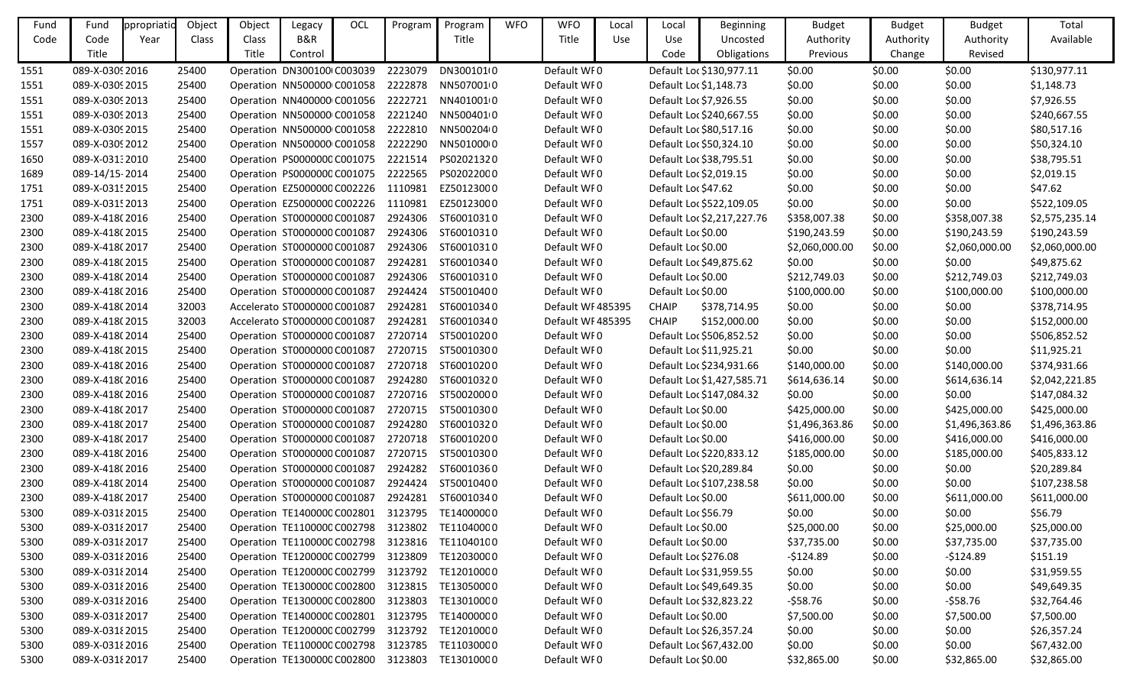| Fund | Fund            | ppropriatic | Object | Object                              | Legacy  | OCL | Program | Program    | <b>WFO</b> | <b>WFO</b>       | Local | Local               | <b>Beginning</b>           | <b>Budget</b>  | <b>Budget</b> | <b>Budget</b>  | Total          |
|------|-----------------|-------------|--------|-------------------------------------|---------|-----|---------|------------|------------|------------------|-------|---------------------|----------------------------|----------------|---------------|----------------|----------------|
| Code | Code            | Year        | Class  | Class                               | B&R     |     |         | Title      |            | Title            | Use   | Use                 | Uncosted                   | Authority      | Authority     | Authority      | Available      |
|      | Title           |             |        | Title                               | Control |     |         |            |            |                  |       | Code                | Obligations                | Previous       | Change        | Revised        |                |
| 1551 | 089-X-0309 2016 |             | 25400  | Operation DN300100 C003039          |         |     | 2223079 | DN300101(0 |            | Default WF0      |       |                     | Default Loc \$130,977.11   | \$0.00         | \$0.00        | \$0.00         | \$130,977.11   |
| 1551 | 089-X-0309 2015 |             | 25400  | Operation NN500000 C001058          |         |     | 2222878 | NN5070010  |            | Default WF0      |       |                     | Default Loc \$1,148.73     | \$0.00         | \$0.00        | \$0.00         | \$1,148.73     |
| 1551 | 089-X-0309 2013 |             | 25400  | Operation NN400000 C001056          |         |     | 2222721 | NN4010010  |            | Default WF0      |       |                     | Default Loc \$7,926.55     | \$0.00         | \$0.00        | \$0.00         | \$7,926.55     |
| 1551 | 089-X-0309 2013 |             | 25400  | Operation NN500000 C001058          |         |     | 2221240 | NN5004010  |            | Default WF0      |       |                     | Default Loc \$240,667.55   | \$0.00         | \$0.00        | \$0.00         | \$240,667.55   |
| 1551 | 089-X-0309 2015 |             | 25400  | Operation NN500000 C001058          |         |     | 2222810 | NN5002040  |            | Default WI0      |       |                     | Default Loc \$80,517.16    | \$0.00         | \$0.00        | \$0.00         | \$80,517.16    |
| 1557 | 089-X-0309 2012 |             | 25400  | Operation NN500000 C001058          |         |     | 2222290 | NN5010000  |            | Default WF0      |       |                     | Default Loc \$50,324.10    | \$0.00         | \$0.00        | \$0.00         | \$50,324.10    |
| 1650 | 089-X-03132010  |             | 25400  | Operation PS0000000 C001075         |         |     | 2221514 | PS02021320 |            | Default WF0      |       |                     | Default Loc \$38,795.51    | \$0.00         | \$0.00        | \$0.00         | \$38,795.51    |
| 1689 | 089-14/15-2014  |             | 25400  | Operation PS0000000 C001075         |         |     | 2222565 | PS02022000 |            | Default WF0      |       |                     | Default Loc \$2,019.15     | \$0.00         | \$0.00        | \$0.00         | \$2,019.15     |
| 1751 | 089-X-0315 2015 |             | 25400  | Operation EZ5000000 C002226         |         |     | 1110981 | EZ50123000 |            | Default WF0      |       | Default Loc \$47.62 |                            | \$0.00         | \$0.00        | \$0.00         | \$47.62        |
| 1751 | 089-X-0315 2013 |             | 25400  | Operation EZ5000000 C002226         |         |     | 1110981 | EZ50123000 |            | Default WF0      |       |                     | Default Loc \$522,109.05   | \$0.00         | \$0.00        | \$0.00         | \$522,109.05   |
| 2300 | 089-X-418(2016  |             | 25400  | Operation ST0000000 C001087         |         |     | 2924306 | ST60010310 |            | Default WF0      |       |                     | Default Loc \$2,217,227.76 | \$358,007.38   | \$0.00        | \$358,007.38   | \$2,575,235.14 |
| 2300 | 089-X-418(2015  |             | 25400  | Operation ST0000000 C001087         |         |     | 2924306 | ST60010310 |            | Default WF0      |       | Default Loc \$0.00  |                            | \$190,243.59   | \$0.00        | \$190,243.59   | \$190,243.59   |
| 2300 | 089-X-418(2017  |             | 25400  | Operation ST0000000 C001087         |         |     | 2924306 | ST60010310 |            | Default WF0      |       | Default Loc \$0.00  |                            | \$2,060,000.00 | \$0.00        | \$2,060,000.00 | \$2,060,000.00 |
| 2300 | 089-X-418(2015  |             | 25400  | Operation ST0000000 C001087         |         |     | 2924281 | ST60010340 |            | Default WF0      |       |                     | Default Loc \$49,875.62    | \$0.00         | \$0.00        | \$0.00         | \$49,875.62    |
| 2300 | 089-X-418(2014  |             | 25400  | Operation ST0000000 C001087         |         |     | 2924306 | ST60010310 |            | Default WF0      |       | Default Loc \$0.00  |                            | \$212,749.03   | \$0.00        | \$212,749.03   | \$212,749.03   |
| 2300 | 089-X-418(2016  |             | 25400  | Operation ST0000000 C001087         |         |     | 2924424 | ST50010400 |            | Default WI0      |       | Default Loc \$0.00  |                            | \$100,000.00   | \$0.00        | \$100,000.00   | \$100,000.00   |
| 2300 | 089-X-418(2014  |             | 32003  | Accelerato ST0000000 C001087        |         |     | 2924281 | ST60010340 |            | Default WF485395 |       | <b>CHAIP</b>        | \$378,714.95               | \$0.00         | \$0.00        | \$0.00         | \$378,714.95   |
| 2300 | 089-X-418(2015  |             | 32003  | Accelerato ST0000000 C001087        |         |     | 2924281 | ST60010340 |            | Default WF485395 |       | <b>CHAIP</b>        | \$152,000.00               | \$0.00         | \$0.00        | \$0.00         | \$152,000.00   |
| 2300 | 089-X-418(2014  |             | 25400  | Operation ST0000000 C001087         |         |     | 2720714 | ST50010200 |            | Default WF0      |       |                     | Default Loc \$506,852.52   | \$0.00         | \$0.00        | \$0.00         | \$506,852.52   |
| 2300 | 089-X-418(2015  |             | 25400  | Operation ST0000000 C001087         |         |     | 2720715 | ST50010300 |            | Default WF0      |       |                     | Default Loc \$11,925.21    | \$0.00         | \$0.00        | \$0.00         | \$11,925.21    |
| 2300 | 089-X-418(2016  |             | 25400  | Operation ST0000000 C001087         |         |     | 2720718 | ST60010200 |            | Default WI0      |       |                     | Default Loc \$234,931.66   | \$140,000.00   | \$0.00        | \$140,000.00   | \$374,931.66   |
| 2300 | 089-X-418(2016  |             | 25400  | Operation ST0000000 C001087         |         |     | 2924280 | ST60010320 |            | Default WI0      |       |                     | Default Loc \$1,427,585.71 | \$614,636.14   | \$0.00        | \$614,636.14   | \$2,042,221.85 |
| 2300 | 089-X-418(2016  |             | 25400  | Operation ST0000000 C001087         |         |     | 2720716 | ST50020000 |            | Default WF0      |       |                     | Default Loc \$147,084.32   | \$0.00         | \$0.00        | \$0.00         | \$147,084.32   |
| 2300 | 089-X-418(2017  |             | 25400  | Operation ST0000000 C001087         |         |     | 2720715 | ST50010300 |            | Default WF0      |       | Default Loc \$0.00  |                            | \$425,000.00   | \$0.00        | \$425,000.00   | \$425,000.00   |
| 2300 | 089-X-418(2017  |             | 25400  | Operation ST0000000 C001087         |         |     | 2924280 | ST60010320 |            | Default WF0      |       | Default Loc \$0.00  |                            | \$1,496,363.86 | \$0.00        | \$1,496,363.86 | \$1,496,363.86 |
| 2300 | 089-X-418(2017  |             | 25400  | Operation ST0000000 C001087         |         |     | 2720718 | ST60010200 |            | Default WI0      |       | Default Loc \$0.00  |                            | \$416,000.00   | \$0.00        | \$416,000.00   | \$416,000.00   |
| 2300 | 089-X-418(2016  |             | 25400  | Operation ST0000000 C001087         |         |     | 2720715 | ST50010300 |            | Default WF0      |       |                     | Default Loc \$220,833.12   | \$185,000.00   | \$0.00        | \$185,000.00   | \$405,833.12   |
| 2300 | 089-X-418(2016  |             | 25400  | Operation ST0000000 C001087         |         |     | 2924282 | ST60010360 |            | Default WF0      |       |                     | Default Loc \$20,289.84    | \$0.00         | \$0.00        | \$0.00         | \$20,289.84    |
| 2300 | 089-X-418(2014  |             | 25400  | Operation ST0000000 C001087 2924424 |         |     |         | ST50010400 |            | Default WF0      |       |                     | Default Loc \$107,238.58   | \$0.00         | \$0.00        | \$0.00         | \$107,238.58   |
| 2300 | 089-X-418(2017  |             | 25400  | Operation ST0000000 C001087         |         |     | 2924281 | ST60010340 |            | Default WF0      |       | Default Loc \$0.00  |                            | \$611,000.00   | \$0.00        | \$611,000.00   | \$611,000.00   |
| 5300 | 089-X-03182015  |             | 25400  | Operation TE1400000 C002801         |         |     | 3123795 | TE14000000 |            | Default WI0      |       | Default Loc \$56.79 |                            | \$0.00         | \$0.00        | \$0.00         | \$56.79        |
| 5300 | 089-X-03182017  |             | 25400  | Operation TE1100000 C002798         |         |     | 3123802 | TE11040000 |            | Default WF0      |       | Default Loc \$0.00  |                            | \$25,000.00    | \$0.00        | \$25,000.00    | \$25,000.00    |
| 5300 | 089-X-03182017  |             | 25400  | Operation TE1100000 C002798         |         |     | 3123816 | TE11040100 |            | Default WF0      |       | Default Loc \$0.00  |                            | \$37,735.00    | \$0.00        | \$37,735.00    | \$37,735.00    |
| 5300 | 089-X-03182016  |             | 25400  | Operation TE1200000 C002799         |         |     | 3123809 | TE12030000 |            | Default WF0      |       |                     | Default Loc \$276.08       | $-5124.89$     | \$0.00        | $-$124.89$     | \$151.19       |
| 5300 | 089-X-03182014  |             | 25400  | Operation TE1200000 C002799         |         |     | 3123792 | TE12010000 |            | Default WF0      |       |                     | Default Loc \$31,959.55    | \$0.00         | \$0.00        | \$0.00         | \$31,959.55    |
| 5300 | 089-X-031 {2016 |             | 25400  | Operation TE1300000 C002800         |         |     | 3123815 | TE13050000 |            | Default WI0      |       |                     | Default Loc \$49,649.35    | \$0.00         | \$0.00        | \$0.00         | \$49,649.35    |
| 5300 | 089-X-03182016  |             | 25400  | Operation TE1300000 C002800         |         |     | 3123803 | TE13010000 |            | Default WF0      |       |                     | Default Loc \$32,823.22    | -\$58.76       | \$0.00        | $-$ \$58.76    | \$32,764.46    |
| 5300 | 089-X-03182017  |             | 25400  | Operation TE1400000 C002801         |         |     | 3123795 | TE14000000 |            | Default WF0      |       | Default Loc \$0.00  |                            | \$7,500.00     | \$0.00        | \$7,500.00     | \$7,500.00     |
| 5300 | 089-X-03182015  |             | 25400  | Operation TE1200000 C002799         |         |     | 3123792 | TE12010000 |            | Default WI0      |       |                     | Default Loc \$26,357.24    | \$0.00         | \$0.00        | \$0.00         | \$26,357.24    |
| 5300 | 089-X-03182016  |             | 25400  | Operation TE1100000 C002798         |         |     | 3123785 | TE11030000 |            | Default WF0      |       |                     | Default Loc \$67,432.00    | \$0.00         | \$0.00        | \$0.00         | \$67,432.00    |
| 5300 | 089-X-03182017  |             | 25400  | Operation TE1300000 C002800         |         |     | 3123803 | TE13010000 |            | Default WF0      |       | Default Loc \$0.00  |                            | \$32,865.00    | \$0.00        | \$32,865.00    | \$32,865.00    |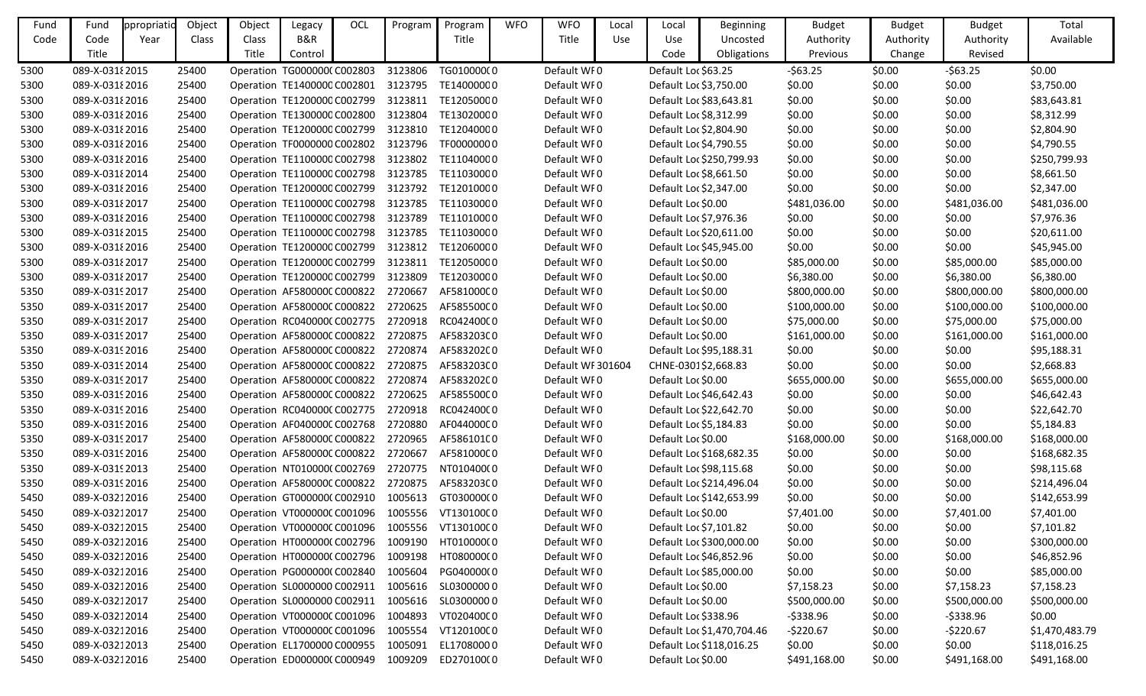| Fund | Fund            | ppropriatic | Object | Object | Legacy                              | OCL | Program | Program    | <b>WFO</b> | <b>WFO</b>        | Local      | Local                | Beginning                  | <b>Budget</b> | <b>Budget</b> | <b>Budget</b> | Total          |
|------|-----------------|-------------|--------|--------|-------------------------------------|-----|---------|------------|------------|-------------------|------------|----------------------|----------------------------|---------------|---------------|---------------|----------------|
| Code | Code            | Year        | Class  | Class  | B&R                                 |     |         | Title      |            | Title             | <b>Use</b> | <b>Use</b>           | Uncosted                   | Authority     | Authority     | Authority     | Available      |
|      | Title           |             |        | Title  | Control                             |     |         |            |            |                   |            | Code                 | Obligations                | Previous      | Change        | Revised       |                |
| 5300 | 089-X-0318 2015 |             | 25400  |        | Operation TG0000000 C002803         |     | 3123806 | TG010000(0 |            | Default WF0       |            | Default Loc \$63.25  |                            | $-563.25$     | \$0.00        | $-563.25$     | \$0.00         |
| 5300 | 089-X-0318 2016 |             | 25400  |        | Operation TE1400000 C002801         |     | 3123795 | TE14000000 |            | Default WF0       |            |                      | Default Loc \$3,750.00     | \$0.00        | \$0.00        | \$0.00        | \$3,750.00     |
| 5300 | 089-X-0318 2016 |             | 25400  |        | Operation TE1200000 C002799         |     | 3123811 | TE12050000 |            | Default WF0       |            |                      | Default Loc \$83,643.81    | \$0.00        | \$0.00        | \$0.00        | \$83,643.81    |
| 5300 | 089-X-0318 2016 |             | 25400  |        | Operation TE1300000 C002800         |     | 3123804 | TE13020000 |            | Default WF0       |            |                      | Default Loc \$8,312.99     | \$0.00        | \$0.00        | \$0.00        | \$8,312.99     |
| 5300 | 089-X-03182016  |             | 25400  |        | Operation TE1200000 C002799         |     | 3123810 | TE12040000 |            | Default WF0       |            |                      | Default Loc \$2,804.90     | \$0.00        | \$0.00        | \$0.00        | \$2,804.90     |
| 5300 | 089-X-0318 2016 |             | 25400  |        | Operation TF0000000 C002802         |     | 3123796 | TF00000000 |            | Default WF0       |            |                      | Default Loc \$4,790.55     | \$0.00        | \$0.00        | \$0.00        | \$4,790.55     |
| 5300 | 089-X-031 2016  |             | 25400  |        | Operation TE1100000 C002798         |     | 3123802 | TE11040000 |            | Default WF0       |            |                      | Default Loc \$250,799.93   | \$0.00        | \$0.00        | \$0.00        | \$250,799.93   |
| 5300 | 089-X-0318 2014 |             | 25400  |        | Operation TE1100000 C002798         |     | 3123785 | TE11030000 |            | Default WF0       |            |                      | Default Loc \$8,661.50     | \$0.00        | \$0.00        | \$0.00        | \$8,661.50     |
| 5300 | 089-X-0318 2016 |             | 25400  |        | Operation TE1200000 C002799         |     | 3123792 | TE12010000 |            | Default WF0       |            |                      | Default Loc \$2,347.00     | \$0.00        | \$0.00        | \$0.00        | \$2,347.00     |
| 5300 | 089-X-0318 2017 |             | 25400  |        | Operation TE1100000 C002798         |     | 3123785 | TE11030000 |            | Default WF0       |            | Default Loc \$0.00   |                            | \$481,036.00  | \$0.00        | \$481,036.00  | \$481,036.00   |
| 5300 | 089-X-0318 2016 |             | 25400  |        | Operation TE1100000 C002798         |     | 3123789 | TE11010000 |            | Default WF0       |            |                      | Default Loc \$7,976.36     | \$0.00        | \$0.00        | \$0.00        | \$7,976.36     |
| 5300 | 089-X-0318 2015 |             | 25400  |        | Operation TE1100000 C002798         |     | 3123785 | TE11030000 |            | Default WF0       |            |                      | Default Loc \$20,611.00    | \$0.00        | \$0.00        | \$0.00        | \$20,611.00    |
| 5300 | 089-X-031 2016  |             | 25400  |        | Operation TE1200000 C002799         |     | 3123812 | TE12060000 |            | Default WF0       |            |                      | Default Loc \$45,945.00    | \$0.00        | \$0.00        | \$0.00        | \$45,945.00    |
| 5300 | 089-X-0318 2017 |             | 25400  |        | Operation TE1200000 C002799         |     | 3123811 | TE12050000 |            | Default WF0       |            | Default Loc \$0.00   |                            | \$85,000.00   | \$0.00        | \$85,000.00   | \$85,000.00    |
| 5300 | 089-X-0318 2017 |             | 25400  |        | Operation TE1200000 C002799         |     | 3123809 | TE12030000 |            | Default WF0       |            | Default Loc \$0.00   |                            | \$6,380.00    | \$0.00        | \$6,380.00    | \$6,380.00     |
| 5350 | 089-X-0319 2017 |             | 25400  |        | Operation AF580000C C000822         |     | 2720667 | AF581000C0 |            | Default WF0       |            | Default Loc \$0.00   |                            | \$800,000.00  | \$0.00        | \$800,000.00  | \$800,000.00   |
| 5350 | 089-X-0319 2017 |             | 25400  |        | Operation AF580000CC000822          |     | 2720625 | AF585500C0 |            | Default WF0       |            | Default Loc \$0.00   |                            | \$100,000.00  | \$0.00        | \$100,000.00  | \$100,000.00   |
| 5350 | 089-X-0319 2017 |             | 25400  |        | Operation RC040000CC002775          |     | 2720918 | RC04240000 |            | Default WF0       |            | Default Loc \$0.00   |                            | \$75,000.00   | \$0.00        | \$75,000.00   | \$75,000.00    |
| 5350 | 089-X-0319 2017 |             | 25400  |        | Operation AF580000CC000822          |     | 2720875 | AF583203C0 |            | Default WF0       |            | Default Loc \$0.00   |                            | \$161,000.00  | \$0.00        | \$161,000.00  | \$161,000.00   |
| 5350 | 089-X-0319 2016 |             | 25400  |        | Operation AF580000C C000822         |     | 2720874 | AF583202C0 |            | Default WF0       |            |                      | Default Loc \$95,188.31    | \$0.00        | \$0.00        | \$0.00        | \$95,188.31    |
| 5350 | 089-X-0319 2014 |             | 25400  |        | Operation AF580000C C000822         |     | 2720875 | AF583203C0 |            | Default WF 301604 |            |                      | CHNE-0301\$2,668.83        | \$0.00        | \$0.00        | \$0.00        | \$2,668.83     |
| 5350 | 089-X-0319 2017 |             | 25400  |        | Operation AF580000CC000822          |     | 2720874 | AF583202C0 |            | Default WF0       |            | Default Loc \$0.00   |                            | \$655,000.00  | \$0.00        | \$655,000.00  | \$655,000.00   |
| 5350 | 089-X-0319 2016 |             | 25400  |        | Operation AF580000CC000822          |     | 2720625 | AF585500C0 |            | Default WF0       |            |                      | Default Loc \$46,642.43    | \$0.00        | \$0.00        | \$0.00        | \$46,642.43    |
| 5350 | 089-X-0319 2016 |             | 25400  |        | Operation RC040000CC002775          |     | 2720918 | RC04240000 |            | Default WF0       |            |                      | Default Loc \$22,642.70    | \$0.00        | \$0.00        | \$0.00        | \$22,642.70    |
| 5350 | 089-X-0319 2016 |             | 25400  |        | Operation AF040000CC002768          |     | 2720880 | AF044000C0 |            | Default WF0       |            |                      | Default Loc \$5,184.83     | \$0.00        | \$0.00        | \$0.00        | \$5,184.83     |
| 5350 | 089-X-0319 2017 |             | 25400  |        | Operation AF580000C C000822         |     | 2720965 | AF586101C0 |            | Default WF0       |            | Default Loc \$0.00   |                            | \$168,000.00  | \$0.00        | \$168,000.00  | \$168,000.00   |
| 5350 | 089-X-0319 2016 |             | 25400  |        | Operation AF580000CC000822          |     | 2720667 | AF581000C0 |            | Default WF0       |            |                      | Default Loc \$168,682.35   | \$0.00        | \$0.00        | \$0.00        | \$168,682.35   |
| 5350 | 089-X-0319 2013 |             | 25400  |        | Operation NT010000(C002769          |     | 2720775 | NT010400(0 |            | Default WF0       |            |                      | Default Loc \$98,115.68    | \$0.00        | \$0.00        | \$0.00        | \$98,115.68    |
| 5350 | 089-X-0319 2016 |             | 25400  |        | Operation AF580000C C000822 2720875 |     |         | AF583203C0 |            | Default WF0       |            |                      | Default Loc \$214,496.04   | \$0.00        | \$0.00        | \$0.00        | \$214,496.04   |
| 5450 | 089-X-03212016  |             | 25400  |        | Operation GT0000000 C002910         |     | 1005613 | GT03000000 |            | Default WF0       |            |                      | Default Loc \$142,653.99   | \$0.00        | \$0.00        | \$0.00        | \$142,653.99   |
| 5450 | 089-X-03212017  |             | 25400  |        | Operation VT000000CC001096          |     | 1005556 | VT13010000 |            | Default WF0       |            | Default Loc \$0.00   |                            | \$7,401.00    | \$0.00        | \$7,401.00    | \$7,401.00     |
| 5450 | 089-X-03212015  |             | 25400  |        | Operation VT000000CC001096          |     | 1005556 | VT13010000 |            | Default WF0       |            |                      | Default Loc \$7,101.82     | \$0.00        | \$0.00        | \$0.00        | \$7,101.82     |
| 5450 | 089-X-03212016  |             | 25400  |        | Operation HT0000000 C002796         |     | 1009190 | HT010000(0 |            | Default WI0       |            |                      | Default Loc \$300,000.00   | \$0.00        | \$0.00        | \$0.00        | \$300,000.00   |
| 5450 | 089-X-03212016  |             | 25400  |        | Operation HT0000000 C002796         |     | 1009198 | HT080000(0 |            | Default WF0       |            |                      | Default Loc \$46,852.96    | \$0.00        | \$0.00        | \$0.00        | \$46,852.96    |
| 5450 | 089-X-03212016  |             | 25400  |        | Operation PG000000(C002840          |     | 1005604 | PG040000(0 |            | Default WF0       |            |                      | Default Loc \$85,000.00    | \$0.00        | \$0.00        | \$0.00        | \$85,000.00    |
| 5450 | 089-X-03212016  |             | 25400  |        | Operation SL0000000 C002911         |     | 1005616 | SL03000000 |            | Default WF0       |            | Default Loc \$0.00   |                            | \$7,158.23    | \$0.00        | \$7,158.23    | \$7,158.23     |
| 5450 | 089-X-03212017  |             | 25400  |        | Operation SL0000000 C002911         |     | 1005616 | SL03000000 |            | Default WF0       |            | Default Loc \$0.00   |                            | \$500,000.00  | \$0.00        | \$500,000.00  | \$500,000.00   |
| 5450 | 089-X-03212014  |             | 25400  |        | Operation VT000000CC001096          |     | 1004893 | VT02040000 |            | Default WF0       |            | Default Loc \$338.96 |                            | $-5338.96$    | \$0.00        | $-5338.96$    | \$0.00         |
| 5450 | 089-X-03212016  |             | 25400  |        | Operation VT000000CC001096          |     | 1005554 | VT12010000 |            | Default WF0       |            |                      | Default Loc \$1,470,704.46 | $-5220.67$    | \$0.00        | $-5220.67$    | \$1,470,483.79 |
| 5450 | 089-X-03212013  |             | 25400  |        | Operation EL1700000 C000955         |     | 1005091 | EL17080000 |            | Default WF0       |            |                      | Default Loc \$118,016.25   | \$0.00        | \$0.00        | \$0.00        | \$118,016.25   |
| 5450 | 089-X-03212016  |             | 25400  |        | Operation ED0000000 C000949         |     | 1009209 | ED270100(0 |            | Default WI0       |            | Default Loc \$0.00   |                            | \$491,168.00  | \$0.00        | \$491,168.00  | \$491,168.00   |